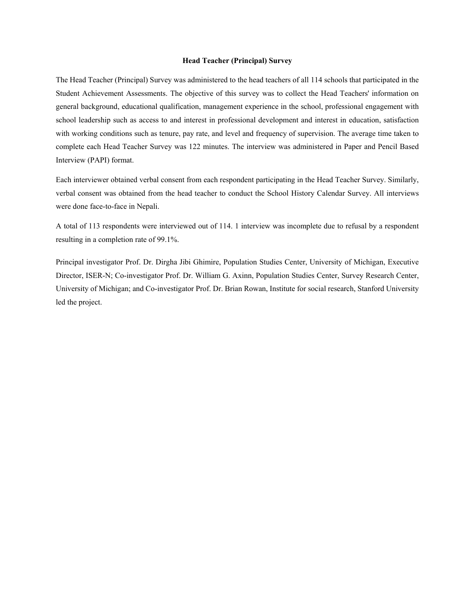### **Head Teacher (Principal) Survey**

The Head Teacher (Principal) Survey was administered to the head teachers of all 114 schools that participated in the Student Achievement Assessments. The objective of this survey was to collect the Head Teachers' information on general background, educational qualification, management experience in the school, professional engagement with school leadership such as access to and interest in professional development and interest in education, satisfaction with working conditions such as tenure, pay rate, and level and frequency of supervision. The average time taken to complete each Head Teacher Survey was 122 minutes. The interview was administered in Paper and Pencil Based Interview (PAPI) format.

Each interviewer obtained verbal consent from each respondent participating in the Head Teacher Survey. Similarly, verbal consent was obtained from the head teacher to conduct the School History Calendar Survey. All interviews were done face-to-face in Nepali.

A total of 113 respondents were interviewed out of 114. 1 interview was incomplete due to refusal by a respondent resulting in a completion rate of 99.1%.

Principal investigator Prof. Dr. Dirgha Jibi Ghimire, Population Studies Center, University of Michigan, Executive Director, ISER-N; Co-investigator Prof. Dr. William G. Axinn, Population Studies Center, Survey Research Center, University of Michigan; and Co-investigator Prof. Dr. Brian Rowan, Institute for social research, Stanford University led the project.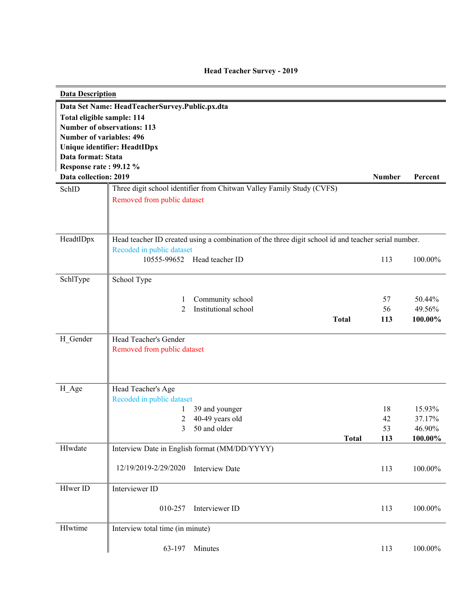| <b>Data Description</b>         |                                                                                                     |               |                  |
|---------------------------------|-----------------------------------------------------------------------------------------------------|---------------|------------------|
|                                 | Data Set Name: HeadTeacherSurvey.Public.px.dta                                                      |               |                  |
| Total eligible sample: 114      |                                                                                                     |               |                  |
|                                 | <b>Number of observations: 113</b>                                                                  |               |                  |
| <b>Number of variables: 496</b> |                                                                                                     |               |                  |
|                                 | Unique identifier: HeadtIDpx                                                                        |               |                  |
| Data format: Stata              |                                                                                                     |               |                  |
| Response rate: 99.12 %          |                                                                                                     |               |                  |
| Data collection: 2019           |                                                                                                     | <b>Number</b> | Percent          |
| SchID                           | Three digit school identifier from Chitwan Valley Family Study (CVFS)                               |               |                  |
|                                 | Removed from public dataset                                                                         |               |                  |
|                                 |                                                                                                     |               |                  |
|                                 |                                                                                                     |               |                  |
|                                 |                                                                                                     |               |                  |
| HeadtIDpx                       | Head teacher ID created using a combination of the three digit school id and teacher serial number. |               |                  |
|                                 | Recoded in public dataset<br>10555-99652<br>Head teacher ID                                         |               | 100.00%          |
|                                 |                                                                                                     | 113           |                  |
| SchlType                        | School Type                                                                                         |               |                  |
|                                 |                                                                                                     |               |                  |
|                                 | Community school<br>1                                                                               | 57            | 50.44%           |
|                                 | Institutional school<br>2                                                                           | 56            | 49.56%           |
|                                 | <b>Total</b>                                                                                        | 113           | 100.00%          |
|                                 |                                                                                                     |               |                  |
| H Gender                        | Head Teacher's Gender                                                                               |               |                  |
|                                 | Removed from public dataset                                                                         |               |                  |
|                                 |                                                                                                     |               |                  |
|                                 |                                                                                                     |               |                  |
|                                 |                                                                                                     |               |                  |
| H_Age                           | Head Teacher's Age                                                                                  |               |                  |
|                                 | Recoded in public dataset                                                                           | 18            |                  |
|                                 | 39 and younger<br>1<br>40-49 years old<br>2                                                         | 42            | 15.93%<br>37.17% |
|                                 | 3<br>50 and older                                                                                   | 53            | 46.90%           |
|                                 | <b>Total</b>                                                                                        | 113           | 100.00%          |
| HIwdate                         | Interview Date in English format (MM/DD/YYYY)                                                       |               |                  |
|                                 |                                                                                                     |               |                  |
|                                 | 12/19/2019-2/29/2020<br><b>Interview Date</b>                                                       | 113           | 100.00%          |
|                                 |                                                                                                     |               |                  |
| HIwer ID                        | Interviewer ID                                                                                      |               |                  |
|                                 |                                                                                                     |               |                  |
|                                 | 010-257<br>Interviewer ID                                                                           | 113           | 100.00%          |
|                                 |                                                                                                     |               |                  |
| HIwtime                         | Interview total time (in minute)                                                                    |               |                  |
|                                 |                                                                                                     |               |                  |
|                                 | 63-197<br>Minutes                                                                                   | 113           | 100.00%          |

# **Head Teacher Survey - 2019**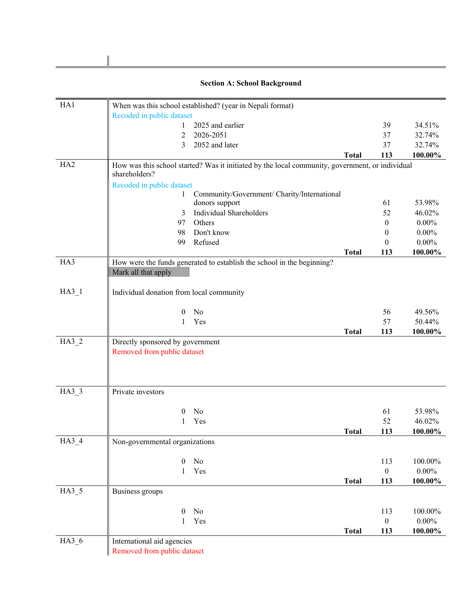|                 | <b>Section A: School Background</b>                                                                              |                  |          |
|-----------------|------------------------------------------------------------------------------------------------------------------|------------------|----------|
| HA1             | When was this school established? (year in Nepali format)                                                        |                  |          |
|                 | Recoded in public dataset                                                                                        |                  |          |
|                 | 2025 and earlier<br>1                                                                                            | 39               | 34.51%   |
|                 | 2026-2051<br>$\overline{2}$                                                                                      | 37               | 32.74%   |
|                 | 2052 and later<br>3                                                                                              | 37               | 32.74%   |
|                 | <b>Total</b>                                                                                                     | 113              | 100.00%  |
| HA <sub>2</sub> | How was this school started? Was it initiated by the local community, government, or individual<br>shareholders? |                  |          |
|                 | Recoded in public dataset                                                                                        |                  |          |
|                 | Community/Government/ Charity/International<br>1                                                                 |                  |          |
|                 | donors support                                                                                                   | 61               | 53.98%   |
|                 | Individual Shareholders<br>3                                                                                     | 52               | 46.02%   |
|                 | Others<br>97                                                                                                     | $\mathbf{0}$     | $0.00\%$ |
|                 | Don't know<br>98                                                                                                 | $\bf{0}$         | $0.00\%$ |
|                 | Refused<br>99                                                                                                    | $\theta$         | $0.00\%$ |
| HA3             | <b>Total</b>                                                                                                     | 113              | 100.00%  |
|                 | How were the funds generated to establish the school in the beginning?<br>Mark all that apply                    |                  |          |
| $HA3_1$         | Individual donation from local community                                                                         |                  |          |
|                 | No<br>$\bf{0}$                                                                                                   | 56               | 49.56%   |
|                 | Yes<br>$\mathbf{1}$                                                                                              | 57               | 50.44%   |
|                 | <b>Total</b>                                                                                                     | 113              | 100.00%  |
| $HA3_2$         | Directly sponsored by government                                                                                 |                  |          |
|                 | Removed from public dataset                                                                                      |                  |          |
|                 |                                                                                                                  |                  |          |
| $HA3_3$         | Private investors                                                                                                |                  |          |
|                 | No<br>$\theta$                                                                                                   | 61               | 53.98%   |
|                 | Yes<br>1                                                                                                         | 52               | 46.02%   |
|                 | <b>Total</b>                                                                                                     | 113              | 100.00%  |
| $HA3_4$         | Non-governmental organizations                                                                                   |                  |          |
|                 |                                                                                                                  |                  |          |
|                 | No<br>$\boldsymbol{0}$                                                                                           | 113              | 100.00%  |
|                 | Yes<br>$\mathbf{1}$                                                                                              | $\boldsymbol{0}$ | $0.00\%$ |
|                 | <b>Total</b>                                                                                                     | 113              | 100.00%  |
| $HA3_5$         | Business groups                                                                                                  |                  |          |
|                 | $\boldsymbol{0}$<br>No                                                                                           | 113              | 100.00%  |
|                 | Yes<br>$\mathbf{1}$                                                                                              | $\boldsymbol{0}$ | $0.00\%$ |
|                 | <b>Total</b>                                                                                                     | 113              | 100.00%  |
| $HA3_6$         | International aid agencies                                                                                       |                  |          |
|                 | Removed from public dataset                                                                                      |                  |          |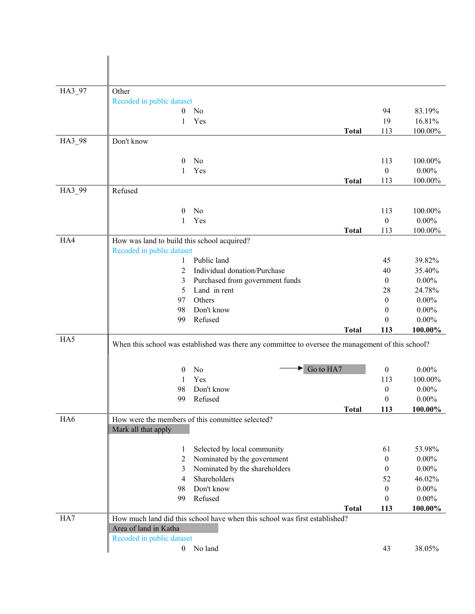| HA3_97 | Other                                       |                                                                                                    |              |                              |                      |
|--------|---------------------------------------------|----------------------------------------------------------------------------------------------------|--------------|------------------------------|----------------------|
|        | Recoded in public dataset                   |                                                                                                    |              |                              |                      |
|        | $\mathbf{0}$                                | No                                                                                                 |              | 94                           | 83.19%               |
|        | 1                                           | Yes                                                                                                |              | 19                           | 16.81%               |
|        |                                             |                                                                                                    | <b>Total</b> | 113                          | 100.00%              |
| HA3_98 | Don't know                                  |                                                                                                    |              |                              |                      |
|        | $\theta$                                    | No                                                                                                 |              |                              | 100.00%              |
|        | 1                                           | Yes                                                                                                |              | 113<br>$\boldsymbol{0}$      | $0.00\%$             |
|        |                                             |                                                                                                    | <b>Total</b> | 113                          | 100.00%              |
| HA3_99 | Refused                                     |                                                                                                    |              |                              |                      |
|        |                                             |                                                                                                    |              |                              |                      |
|        | 0                                           | No                                                                                                 |              | 113                          | 100.00%              |
|        | 1                                           | Yes                                                                                                |              | $\boldsymbol{0}$             | $0.00\%$             |
|        |                                             |                                                                                                    | <b>Total</b> | 113                          | 100.00%              |
| HA4    | How was land to build this school acquired? |                                                                                                    |              |                              |                      |
|        | Recoded in public dataset                   |                                                                                                    |              |                              |                      |
|        | 1                                           | Public land                                                                                        |              | 45                           | 39.82%               |
|        | 2                                           | Individual donation/Purchase                                                                       |              | 40                           | 35.40%               |
|        | 3                                           | Purchased from government funds                                                                    |              | $\boldsymbol{0}$             | $0.00\%$             |
|        | 5                                           | Land in rent                                                                                       |              | 28                           | 24.78%               |
|        | 97                                          | Others                                                                                             |              | $\boldsymbol{0}$             | $0.00\%$             |
|        | 98                                          | Don't know                                                                                         |              | $\theta$                     | $0.00\%$             |
|        | 99                                          | Refused                                                                                            |              | $\theta$                     | $0.00\%$             |
| HA5    |                                             |                                                                                                    | <b>Total</b> | 113                          | 100.00%              |
|        |                                             | When this school was established was there any committee to oversee the management of this school? |              |                              |                      |
|        |                                             |                                                                                                    |              |                              |                      |
|        | 0                                           | Go to HA7<br>No                                                                                    |              | $\boldsymbol{0}$             | $0.00\%$             |
|        | 1                                           | Yes                                                                                                |              | 113                          | 100.00%              |
|        | 98                                          | Don't know                                                                                         |              | $\boldsymbol{0}$             | $0.00\%$             |
|        | 99                                          | Refused                                                                                            |              | $\Omega$                     | $0.00\%$             |
|        |                                             |                                                                                                    | <b>Total</b> | 113                          | 100.00%              |
| HA6    |                                             | How were the members of this committee selected?                                                   |              |                              |                      |
|        | Mark all that apply                         |                                                                                                    |              |                              |                      |
|        |                                             |                                                                                                    |              |                              |                      |
|        | 1                                           | Selected by local community                                                                        |              | 61                           | 53.98%               |
|        | $\overline{c}$                              | Nominated by the government                                                                        |              | $\boldsymbol{0}$             | $0.00\%$             |
|        | 3                                           | Nominated by the shareholders                                                                      |              | $\mathbf{0}$                 | $0.00\%$             |
|        | 4                                           | Shareholders<br>Don't know                                                                         |              | 52                           | 46.02%               |
|        | 98<br>99                                    | Refused                                                                                            |              | $\boldsymbol{0}$<br>$\theta$ | $0.00\%$<br>$0.00\%$ |
|        |                                             |                                                                                                    | <b>Total</b> | 113                          | 100.00%              |
| HA7    |                                             | How much land did this school have when this school was first established?                         |              |                              |                      |
|        | Area of land in Katha                       |                                                                                                    |              |                              |                      |
|        | Recoded in public dataset                   |                                                                                                    |              |                              |                      |
|        |                                             | 0 No land                                                                                          |              | 43                           | 38.05%               |
|        |                                             |                                                                                                    |              |                              |                      |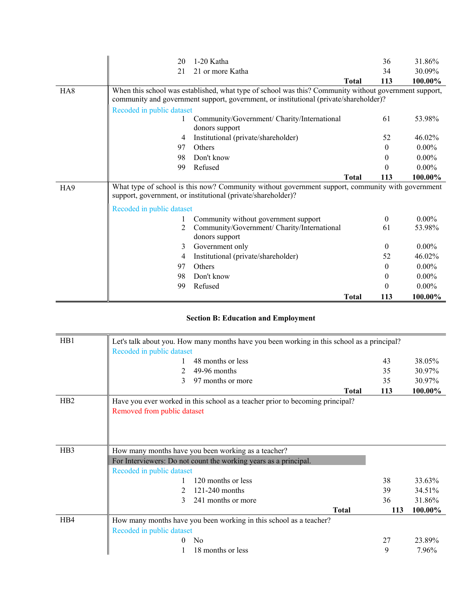|                 | 20                                                                                               | 1-20 Katha                                                                                            |              | 36       | 31.86%   |
|-----------------|--------------------------------------------------------------------------------------------------|-------------------------------------------------------------------------------------------------------|--------------|----------|----------|
|                 | 21                                                                                               | 21 or more Katha                                                                                      |              | 34       | 30.09%   |
|                 |                                                                                                  |                                                                                                       | <b>Total</b> | 113      | 100.00%  |
| HA <sub>8</sub> |                                                                                                  | When this school was established, what type of school was this? Community without government support, |              |          |          |
|                 |                                                                                                  | community and government support, government, or institutional (private/shareholder)?                 |              |          |          |
|                 | Recoded in public dataset                                                                        |                                                                                                       |              |          |          |
|                 |                                                                                                  | Community/Government/ Charity/International                                                           |              | 61       | 53.98%   |
|                 |                                                                                                  | donors support                                                                                        |              |          |          |
|                 | 4                                                                                                | Institutional (private/shareholder)                                                                   |              | 52       | 46.02%   |
|                 | 97                                                                                               | Others                                                                                                |              | $\Omega$ | $0.00\%$ |
|                 | 98                                                                                               | Don't know                                                                                            |              | $\Omega$ | $0.00\%$ |
|                 | 99                                                                                               | Refused                                                                                               |              | $\theta$ | $0.00\%$ |
|                 |                                                                                                  |                                                                                                       | Total        | 113      | 100.00%  |
| HA9             | What type of school is this now? Community without government support, community with government |                                                                                                       |              |          |          |
|                 |                                                                                                  | support, government, or institutional (private/shareholder)?                                          |              |          |          |
|                 | Recoded in public dataset                                                                        |                                                                                                       |              |          |          |
|                 |                                                                                                  | Community without government support                                                                  |              | $\theta$ | $0.00\%$ |
|                 | 2                                                                                                | Community/Government/ Charity/International                                                           |              | 61       | 53.98%   |
|                 |                                                                                                  | donors support                                                                                        |              |          |          |
|                 | 3                                                                                                | Government only                                                                                       |              | $\theta$ | $0.00\%$ |
|                 | 4                                                                                                | Institutional (private/shareholder)                                                                   |              | 52       | 46.02%   |
|                 | 97                                                                                               | Others                                                                                                |              | $\theta$ | $0.00\%$ |
|                 | 98                                                                                               | Don't know                                                                                            |              | $\theta$ | $0.00\%$ |
|                 | 99                                                                                               | Refused                                                                                               |              | $\theta$ | $0.00\%$ |
|                 |                                                                                                  |                                                                                                       | <b>Total</b> | 113      | 100.00%  |

# **Section B: Education and Employment**

| H <sub>B</sub> 1 | Recoded in public dataset   | Let's talk about you. How many months have you been working in this school as a principal? |              |     |         |
|------------------|-----------------------------|--------------------------------------------------------------------------------------------|--------------|-----|---------|
|                  |                             | 48 months or less                                                                          |              | 43  | 38.05%  |
|                  |                             | 49-96 months                                                                               |              | 35  | 30.97%  |
|                  | 3                           | 97 months or more                                                                          |              | 35  | 30.97%  |
|                  |                             |                                                                                            | <b>Total</b> | 113 | 100.00% |
| H <sub>B2</sub>  |                             | Have you ever worked in this school as a teacher prior to becoming principal?              |              |     |         |
|                  | Removed from public dataset |                                                                                            |              |     |         |
|                  |                             |                                                                                            |              |     |         |
|                  |                             |                                                                                            |              |     |         |
|                  |                             |                                                                                            |              |     |         |
| H <sub>B</sub> 3 |                             | How many months have you been working as a teacher?                                        |              |     |         |
|                  |                             | For Interviewers: Do not count the working years as a principal.                           |              |     |         |
|                  | Recoded in public dataset   |                                                                                            |              |     |         |
|                  |                             | 120 months or less                                                                         |              | 38  | 33.63%  |
|                  |                             | 121-240 months                                                                             |              | 39  | 34.51%  |
|                  | 3                           | 241 months or more                                                                         |              | 36  | 31.86%  |
|                  |                             |                                                                                            | <b>Total</b> | 113 | 100.00% |
| HB4              |                             | How many months have you been working in this school as a teacher?                         |              |     |         |
|                  | Recoded in public dataset   |                                                                                            |              |     |         |
|                  | 0                           | N <sub>0</sub>                                                                             |              | 27  | 23.89%  |
|                  |                             | 18 months or less                                                                          |              | 9   | 7.96%   |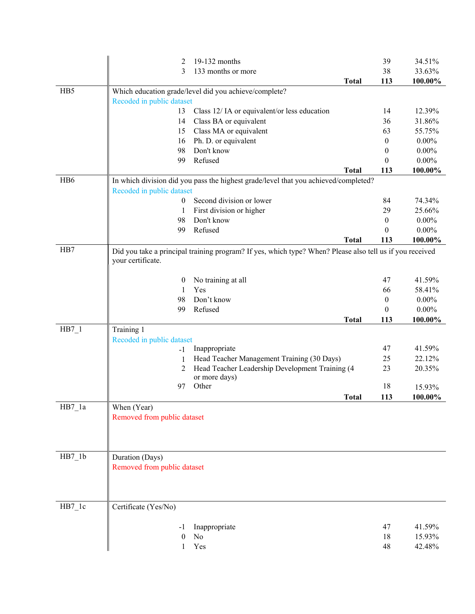|                     | 2                                              | 19-132 months                                                                                            |              | 39               | 34.51%   |
|---------------------|------------------------------------------------|----------------------------------------------------------------------------------------------------------|--------------|------------------|----------|
|                     | 3                                              | 133 months or more                                                                                       |              | 38               | 33.63%   |
|                     |                                                |                                                                                                          | <b>Total</b> | 113              | 100.00%  |
| H <sub>B5</sub>     |                                                | Which education grade/level did you achieve/complete?                                                    |              |                  |          |
|                     | Recoded in public dataset                      |                                                                                                          |              |                  |          |
|                     | 13                                             | Class 12/IA or equivalent/or less education                                                              |              | 14               | 12.39%   |
|                     | 14                                             | Class BA or equivalent                                                                                   |              | 36               | 31.86%   |
|                     | 15                                             | Class MA or equivalent                                                                                   |              | 63               | 55.75%   |
|                     | 16                                             | Ph. D. or equivalent                                                                                     |              | $\boldsymbol{0}$ | $0.00\%$ |
|                     | 98                                             | Don't know                                                                                               |              | $\theta$         | $0.00\%$ |
|                     | 99                                             | Refused                                                                                                  |              | $\theta$         | $0.00\%$ |
|                     |                                                |                                                                                                          | <b>Total</b> | 113              | 100.00%  |
| H <sub>B6</sub>     |                                                | In which division did you pass the highest grade/level that you achieved/completed?                      |              |                  |          |
|                     | Recoded in public dataset                      |                                                                                                          |              |                  |          |
|                     | 0                                              | Second division or lower                                                                                 |              | 84               | 74.34%   |
|                     | 1                                              | First division or higher                                                                                 |              | 29               | 25.66%   |
|                     | 98                                             | Don't know                                                                                               |              | $\theta$         | $0.00\%$ |
|                     | 99                                             | Refused                                                                                                  |              | $\theta$         | $0.00\%$ |
|                     |                                                |                                                                                                          | <b>Total</b> | 113              | 100.00%  |
| H <sub>B</sub> 7    | your certificate.                              | Did you take a principal training program? If yes, which type? When? Please also tell us if you received |              |                  |          |
|                     | $\boldsymbol{0}$                               | No training at all                                                                                       |              | 47               | 41.59%   |
|                     | 1                                              | Yes                                                                                                      |              | 66               | 58.41%   |
|                     | 98                                             | Don't know                                                                                               |              | $\boldsymbol{0}$ | $0.00\%$ |
|                     |                                                |                                                                                                          |              |                  |          |
|                     | 99                                             | Refused                                                                                                  |              | $\theta$         | $0.00\%$ |
|                     |                                                |                                                                                                          | <b>Total</b> | 113              | 100.00%  |
| $HB7_1$             | Training 1                                     |                                                                                                          |              |                  |          |
|                     | Recoded in public dataset                      |                                                                                                          |              |                  |          |
|                     | $-1$                                           | Inappropriate                                                                                            |              | 47               | 41.59%   |
|                     | 1                                              | Head Teacher Management Training (30 Days)                                                               |              | 25               | 22.12%   |
|                     | 2                                              | Head Teacher Leadership Development Training (4                                                          |              | 23               | 20.35%   |
|                     |                                                | or more days)                                                                                            |              |                  |          |
|                     | 97                                             | Other                                                                                                    |              | 18               | 15.93%   |
|                     |                                                |                                                                                                          | <b>Total</b> | 113              | 100.00%  |
| $HB7_1a$            | When (Year)<br>Removed from public dataset     |                                                                                                          |              |                  |          |
|                     |                                                |                                                                                                          |              |                  |          |
| $HB7_1b$            | Duration (Days)<br>Removed from public dataset |                                                                                                          |              |                  |          |
| $HB7$ <sup>1c</sup> | Certificate (Yes/No)                           |                                                                                                          |              |                  |          |
|                     | -1                                             | Inappropriate                                                                                            |              | 47               | 41.59%   |
|                     | $\mathbf{0}$                                   | No                                                                                                       |              | 18               | 15.93%   |
|                     | 1                                              | Yes                                                                                                      |              | 48               | 42.48%   |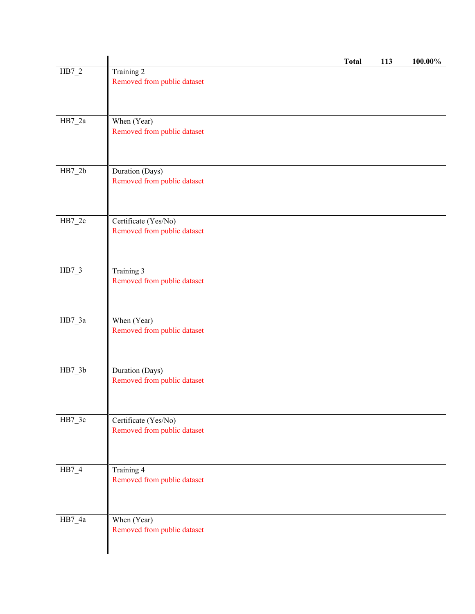|          |                                                     | <b>Total</b> | 113 | 100.00% |
|----------|-----------------------------------------------------|--------------|-----|---------|
| $HB7_2$  | Training 2<br>Removed from public dataset           |              |     |         |
| $HB7_2a$ | When (Year)<br>Removed from public dataset          |              |     |         |
| $HB7_2b$ | Duration (Days)<br>Removed from public dataset      |              |     |         |
| $HB7_2c$ | Certificate (Yes/No)<br>Removed from public dataset |              |     |         |
| HB7_3    | Training 3<br>Removed from public dataset           |              |     |         |
| $HB7_3a$ | When (Year)<br>Removed from public dataset          |              |     |         |
| $HB7_3b$ | Duration (Days)<br>Removed from public dataset      |              |     |         |
| $HB7_3c$ | Certificate (Yes/No)<br>Removed from public dataset |              |     |         |
| $HB7_4$  | Training 4<br>Removed from public dataset           |              |     |         |
| $HB7_4a$ | When (Year)<br>Removed from public dataset          |              |     |         |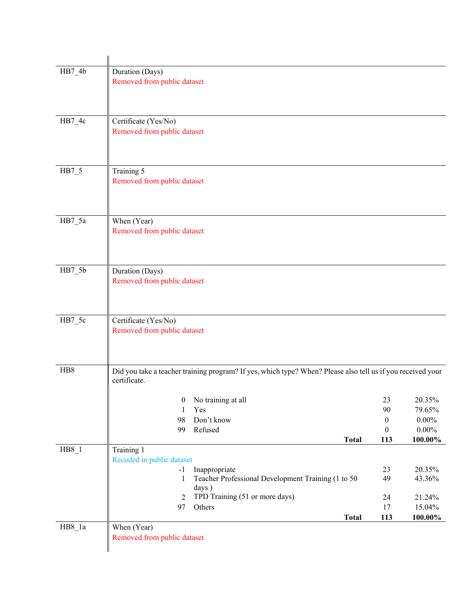| $HB7_4b$ | Duration (Days)                                                                                             |                  |          |
|----------|-------------------------------------------------------------------------------------------------------------|------------------|----------|
|          | Removed from public dataset                                                                                 |                  |          |
|          |                                                                                                             |                  |          |
|          |                                                                                                             |                  |          |
| $HB7_4c$ | Certificate (Yes/No)                                                                                        |                  |          |
|          | Removed from public dataset                                                                                 |                  |          |
|          |                                                                                                             |                  |          |
|          |                                                                                                             |                  |          |
| $HB7_5$  | Training 5                                                                                                  |                  |          |
|          | Removed from public dataset                                                                                 |                  |          |
|          |                                                                                                             |                  |          |
|          |                                                                                                             |                  |          |
| $HB7_5a$ | When (Year)                                                                                                 |                  |          |
|          | Removed from public dataset                                                                                 |                  |          |
|          |                                                                                                             |                  |          |
|          |                                                                                                             |                  |          |
| $HB7_5b$ | Duration (Days)                                                                                             |                  |          |
|          | Removed from public dataset                                                                                 |                  |          |
|          |                                                                                                             |                  |          |
|          |                                                                                                             |                  |          |
| HB7_5c   | Certificate (Yes/No)                                                                                        |                  |          |
|          | Removed from public dataset                                                                                 |                  |          |
|          |                                                                                                             |                  |          |
|          |                                                                                                             |                  |          |
| HB8      | Did you take a teacher training program? If yes, which type? When? Please also tell us if you received your |                  |          |
|          | certificate.                                                                                                |                  |          |
|          | 0 No training at all                                                                                        | 23               | 20.35%   |
|          | Yes<br>1                                                                                                    | 90               | 79.65%   |
|          | 98<br>Don't know                                                                                            | $\boldsymbol{0}$ | $0.00\%$ |
|          | Refused<br>99                                                                                               | 0                | $0.00\%$ |
| $HB8_1$  | <b>Total</b><br>Training 1                                                                                  | 113              | 100.00%  |
|          | Recoded in public dataset                                                                                   |                  |          |
|          | Inappropriate<br>$-1$                                                                                       | 23               | 20.35%   |
|          | Teacher Professional Development Training (1 to 50<br>$\mathbf{1}$                                          | 49               | 43.36%   |
|          | days)<br>TPD Training (51 or more days)<br>$\overline{2}$                                                   | 24               | 21.24%   |
|          | Others<br>97                                                                                                | 17               | 15.04%   |
|          | <b>Total</b>                                                                                                | 113              | 100.00%  |
| $HB8_1a$ | When (Year)                                                                                                 |                  |          |
|          | Removed from public dataset                                                                                 |                  |          |
|          |                                                                                                             |                  |          |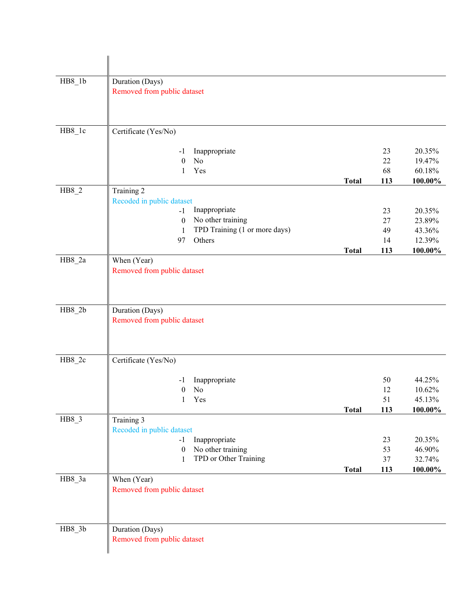| $HB8_l$  | Duration (Days)<br>Removed from public dataset                                                                                                                             |              |                             |                                                 |
|----------|----------------------------------------------------------------------------------------------------------------------------------------------------------------------------|--------------|-----------------------------|-------------------------------------------------|
| HB8_1c   | Certificate (Yes/No)                                                                                                                                                       |              |                             |                                                 |
|          | Inappropriate<br>-1<br>$\boldsymbol{0}$<br>No<br>Yes<br>1                                                                                                                  | <b>Total</b> | 23<br>22<br>68<br>113       | 20.35%<br>19.47%<br>60.18%<br>$100.00\%$        |
| $HB8_2$  | Training 2<br>Recoded in public dataset<br>Inappropriate<br>$-1$<br>No other training<br>$\boldsymbol{0}$<br>TPD Training (1 or more days)<br>$\mathbf{1}$<br>Others<br>97 | <b>Total</b> | 23<br>27<br>49<br>14<br>113 | 20.35%<br>23.89%<br>43.36%<br>12.39%<br>100.00% |
| $HB8_2a$ | When (Year)<br>Removed from public dataset                                                                                                                                 |              |                             |                                                 |
| $HB8_2b$ | Duration (Days)<br>Removed from public dataset                                                                                                                             |              |                             |                                                 |
| $HB8_2c$ | Certificate (Yes/No)                                                                                                                                                       |              |                             |                                                 |
|          | Inappropriate<br>-1<br>No<br>$\boldsymbol{0}$<br>Yes<br>1                                                                                                                  |              | 50<br>12<br>51<br>113       | 44.25%<br>10.62%<br>45.13%<br>100.00%           |
| HB8 3    | Training 3                                                                                                                                                                 | <b>Total</b> |                             |                                                 |
|          | Recoded in public dataset<br>Inappropriate<br>$-1$<br>No other training<br>$\boldsymbol{0}$<br>TPD or Other Training<br>1                                                  |              | 23<br>53<br>37              | 20.35%<br>46.90%<br>32.74%                      |
| HB8_3a   | When (Year)<br>Removed from public dataset                                                                                                                                 | <b>Total</b> | 113                         | 100.00%                                         |
| $HB8_3b$ | Duration (Days)<br>Removed from public dataset                                                                                                                             |              |                             |                                                 |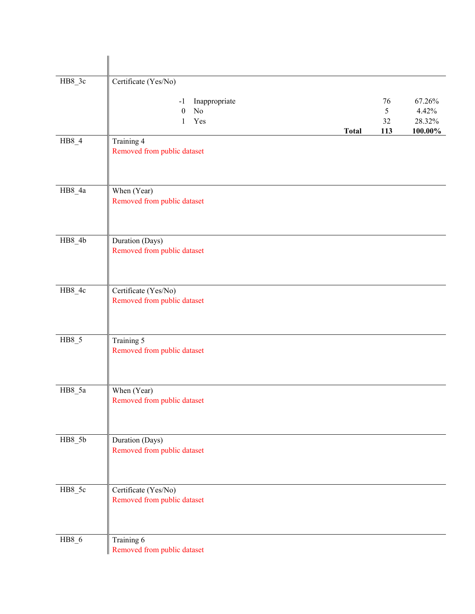| HB8_3c   | Certificate (Yes/No)                                        |              |                      |                                      |
|----------|-------------------------------------------------------------|--------------|----------------------|--------------------------------------|
|          | Inappropriate<br>$-1$<br>No<br>$\boldsymbol{0}$<br>Yes<br>1 | <b>Total</b> | 76<br>5<br>32<br>113 | 67.26%<br>4.42%<br>28.32%<br>100.00% |
| $HB8_4$  | Training 4<br>Removed from public dataset                   |              |                      |                                      |
| $HB8_4a$ | When (Year)<br>Removed from public dataset                  |              |                      |                                      |
| $HB8_4b$ | Duration (Days)<br>Removed from public dataset              |              |                      |                                      |
| HB8_4c   | Certificate (Yes/No)<br>Removed from public dataset         |              |                      |                                      |
| $HB8_5$  | Training 5<br>Removed from public dataset                   |              |                      |                                      |
| $HB8_5a$ | When (Year)<br>Removed from public dataset                  |              |                      |                                      |
| $HB8_5b$ | Duration (Days)<br>Removed from public dataset              |              |                      |                                      |
| HB8_5c   | Certificate (Yes/No)<br>Removed from public dataset         |              |                      |                                      |
| $HB8_6$  | Training 6<br>Removed from public dataset                   |              |                      |                                      |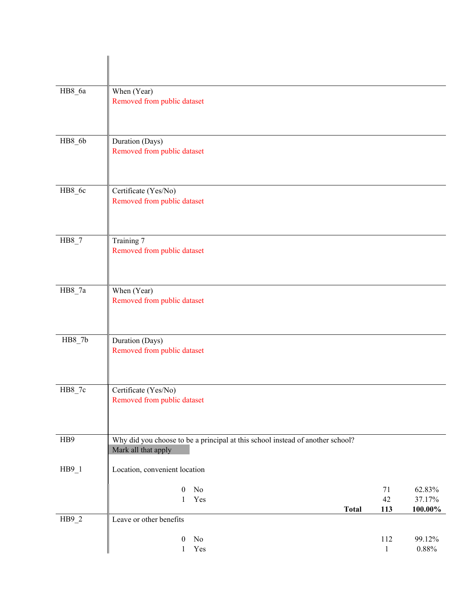| HB8_6a   | When (Year)<br>Removed from public dataset                                                            |                     |                                |
|----------|-------------------------------------------------------------------------------------------------------|---------------------|--------------------------------|
| $HB8_6b$ | Duration (Days)<br>Removed from public dataset                                                        |                     |                                |
| HB8_6c   | Certificate (Yes/No)<br>Removed from public dataset                                                   |                     |                                |
| $HB8_7$  | Training 7<br>Removed from public dataset                                                             |                     |                                |
| $HB8_7a$ | When (Year)<br>Removed from public dataset                                                            |                     |                                |
| $HB8_7b$ | Duration (Days)<br>Removed from public dataset                                                        |                     |                                |
| HB8_7c   | Certificate (Yes/No)<br>Removed from public dataset                                                   |                     |                                |
| HB9      | Why did you choose to be a principal at this school instead of another school?<br>Mark all that apply |                     |                                |
| $HB9_1$  | Location, convenient location                                                                         |                     |                                |
|          | $\rm No$<br>$\boldsymbol{0}$<br>Yes<br>$\mathbf{1}$<br><b>Total</b>                                   | 71<br>42<br>113     | 62.83%<br>37.17%<br>$100.00\%$ |
| $HB9_2$  | Leave or other benefits                                                                               |                     |                                |
|          | $\rm No$<br>$\boldsymbol{0}$<br>Yes<br>$\mathbf{1}$                                                   | 112<br>$\mathbf{1}$ | 99.12%<br>$0.88\%$             |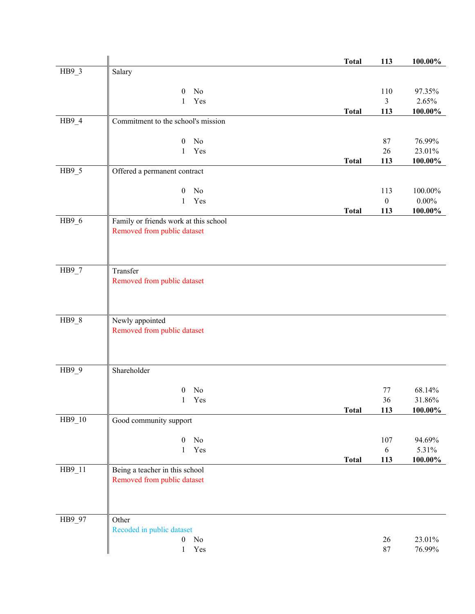|         |                                       | <b>Total</b> | 113                     | $100.00\%$          |
|---------|---------------------------------------|--------------|-------------------------|---------------------|
| HB9_3   | Salary                                |              |                         |                     |
|         |                                       |              |                         |                     |
|         | No<br>$\theta$                        |              | 110                     | 97.35%              |
|         | Yes<br>$\mathbf{1}$                   | <b>Total</b> | 3<br>113                | 2.65%<br>$100.00\%$ |
| $HB9_4$ | Commitment to the school's mission    |              |                         |                     |
|         |                                       |              |                         |                     |
|         | $\boldsymbol{0}$<br>No                |              | 87                      | 76.99%              |
|         | Yes<br>1                              |              | 26                      | 23.01%              |
|         |                                       | <b>Total</b> | 113                     | 100.00%             |
| $HB9_5$ | Offered a permanent contract          |              |                         |                     |
|         |                                       |              |                         |                     |
|         | No<br>$\mathbf{0}$<br>Yes<br>1        |              | 113<br>$\boldsymbol{0}$ | 100.00%<br>$0.00\%$ |
|         |                                       | <b>Total</b> | 113                     | 100.00%             |
| HB9_6   | Family or friends work at this school |              |                         |                     |
|         | Removed from public dataset           |              |                         |                     |
|         |                                       |              |                         |                     |
|         |                                       |              |                         |                     |
|         |                                       |              |                         |                     |
| $HB9_7$ | Transfer                              |              |                         |                     |
|         | Removed from public dataset           |              |                         |                     |
|         |                                       |              |                         |                     |
|         |                                       |              |                         |                     |
| $HB9_8$ | Newly appointed                       |              |                         |                     |
|         | Removed from public dataset           |              |                         |                     |
|         |                                       |              |                         |                     |
|         |                                       |              |                         |                     |
| HB9_9   | Shareholder                           |              |                         |                     |
|         |                                       |              |                         |                     |
|         | No<br>$\overline{0}$                  |              | 77                      | 68.14%              |
|         | Yes<br>1                              |              | 36                      | 31.86%              |
|         |                                       | <b>Total</b> | 113                     | 100.00%             |
| HB9_10  | Good community support                |              |                         |                     |
|         |                                       |              |                         |                     |
|         | $\boldsymbol{0}$<br>No                |              | 107                     | 94.69%              |
|         | Yes<br>$\mathbf{1}$                   |              | $\sqrt{6}$              | 5.31%               |
| HB9_11  | Being a teacher in this school        | <b>Total</b> | 113                     | $100.00\%$          |
|         | Removed from public dataset           |              |                         |                     |
|         |                                       |              |                         |                     |
|         |                                       |              |                         |                     |
|         |                                       |              |                         |                     |
| HB9_97  | Other                                 |              |                         |                     |
|         | Recoded in public dataset             |              |                         |                     |
|         | No<br>$\boldsymbol{0}$                |              | $26\,$                  | 23.01%              |
|         | Yes<br>$\mathbf{1}$                   |              | $87\,$                  | 76.99%              |
|         |                                       |              |                         |                     |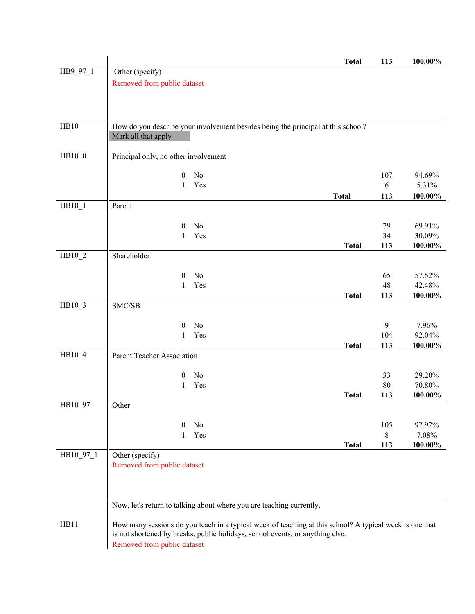|           |                                      |                |                                                                                                         | <b>Total</b> | 113        | 100.00%    |
|-----------|--------------------------------------|----------------|---------------------------------------------------------------------------------------------------------|--------------|------------|------------|
| HB9_97_1  | Other (specify)                      |                |                                                                                                         |              |            |            |
|           | Removed from public dataset          |                |                                                                                                         |              |            |            |
|           |                                      |                |                                                                                                         |              |            |            |
|           |                                      |                |                                                                                                         |              |            |            |
|           |                                      |                |                                                                                                         |              |            |            |
|           |                                      |                |                                                                                                         |              |            |            |
| HB10      |                                      |                | How do you describe your involvement besides being the principal at this school?                        |              |            |            |
|           | Mark all that apply                  |                |                                                                                                         |              |            |            |
|           |                                      |                |                                                                                                         |              |            |            |
| $HB10_0$  | Principal only, no other involvement |                |                                                                                                         |              |            |            |
|           |                                      |                |                                                                                                         |              |            |            |
|           | $\boldsymbol{0}$                     | N <sub>0</sub> |                                                                                                         |              | 107        | 94.69%     |
|           | 1                                    | Yes            |                                                                                                         |              | $\sqrt{6}$ | 5.31%      |
|           |                                      |                |                                                                                                         | <b>Total</b> | 113        | $100.00\%$ |
| HB10_1    | Parent                               |                |                                                                                                         |              |            |            |
|           |                                      |                |                                                                                                         |              |            |            |
|           |                                      |                |                                                                                                         |              |            |            |
|           | $\theta$                             | No             |                                                                                                         |              | 79         | 69.91%     |
|           | 1                                    | Yes            |                                                                                                         |              | 34         | 30.09%     |
|           |                                      |                |                                                                                                         | <b>Total</b> | 113        | 100.00%    |
| HB10_2    | Shareholder                          |                |                                                                                                         |              |            |            |
|           |                                      |                |                                                                                                         |              |            |            |
|           | $\boldsymbol{0}$                     | No             |                                                                                                         |              | 65         | 57.52%     |
|           | 1                                    | Yes            |                                                                                                         |              | 48         | 42.48%     |
|           |                                      |                |                                                                                                         | <b>Total</b> | 113        | 100.00%    |
| HB10_3    | SMC/SB                               |                |                                                                                                         |              |            |            |
|           |                                      |                |                                                                                                         |              |            |            |
|           | $\theta$                             | No             |                                                                                                         |              | 9          | 7.96%      |
|           | 1                                    | Yes            |                                                                                                         |              | 104        | 92.04%     |
|           |                                      |                |                                                                                                         | <b>Total</b> | 113        | 100.00%    |
| HB10_4    | Parent Teacher Association           |                |                                                                                                         |              |            |            |
|           |                                      |                |                                                                                                         |              |            |            |
|           | $\boldsymbol{0}$                     | No             |                                                                                                         |              | 33         | 29.20%     |
|           | 1                                    | Yes            |                                                                                                         |              | 80         | 70.80%     |
|           |                                      |                |                                                                                                         | <b>Total</b> | 113        | 100.00%    |
| HB10_97   | Other                                |                |                                                                                                         |              |            |            |
|           |                                      |                |                                                                                                         |              |            |            |
|           | $\theta$                             | No             |                                                                                                         |              | 105        | 92.92%     |
|           | 1                                    | Yes            |                                                                                                         |              | $8\,$      | 7.08%      |
|           |                                      |                |                                                                                                         | <b>Total</b> | 113        | 100.00%    |
| HB10_97_1 | Other (specify)                      |                |                                                                                                         |              |            |            |
|           | Removed from public dataset          |                |                                                                                                         |              |            |            |
|           |                                      |                |                                                                                                         |              |            |            |
|           |                                      |                |                                                                                                         |              |            |            |
|           |                                      |                |                                                                                                         |              |            |            |
|           |                                      |                |                                                                                                         |              |            |            |
|           |                                      |                | Now, let's return to talking about where you are teaching currently.                                    |              |            |            |
|           |                                      |                |                                                                                                         |              |            |            |
| HB11      |                                      |                | How many sessions do you teach in a typical week of teaching at this school? A typical week is one that |              |            |            |
|           |                                      |                | is not shortened by breaks, public holidays, school events, or anything else.                           |              |            |            |
|           | Removed from public dataset          |                |                                                                                                         |              |            |            |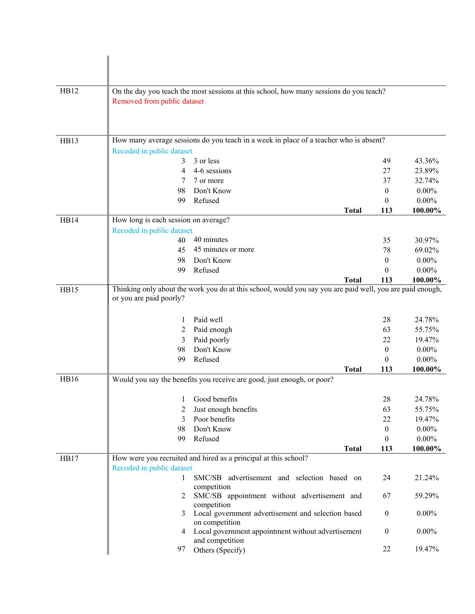| HB12 | Removed from public dataset          | On the day you teach the most sessions at this school, how many sessions do you teach?                    |                                |                      |
|------|--------------------------------------|-----------------------------------------------------------------------------------------------------------|--------------------------------|----------------------|
|      |                                      |                                                                                                           |                                |                      |
|      |                                      |                                                                                                           |                                |                      |
|      |                                      |                                                                                                           |                                |                      |
| HB13 |                                      | How many average sessions do you teach in a week in place of a teacher who is absent?                     |                                |                      |
|      | Recoded in public dataset            |                                                                                                           |                                |                      |
|      | 3<br>4                               | 3 or less<br>4-6 sessions                                                                                 | 49<br>27                       | 43.36%               |
|      | 7                                    | 7 or more                                                                                                 | 37                             | 23.89%<br>32.74%     |
|      | 98                                   | Don't Know                                                                                                | $\overline{0}$                 | $0.00\%$             |
|      | 99                                   | Refused                                                                                                   | $\theta$                       | $0.00\%$             |
|      |                                      | <b>Total</b>                                                                                              | 113                            | 100.00%              |
| HB14 | How long is each session on average? |                                                                                                           |                                |                      |
|      | Recoded in public dataset            |                                                                                                           |                                |                      |
|      | 40                                   | 40 minutes                                                                                                | 35                             | 30.97%               |
|      | 45                                   | 45 minutes or more                                                                                        | 78                             | 69.02%               |
|      | 98                                   | Don't Know                                                                                                | $\overline{0}$                 | $0.00\%$             |
|      | 99                                   | Refused                                                                                                   | $\Omega$                       | $0.00\%$             |
|      |                                      | <b>Total</b>                                                                                              | 113                            | 100.00%              |
| HB15 | or you are paid poorly?              | Thinking only about the work you do at this school, would you say you are paid well, you are paid enough, |                                |                      |
|      |                                      |                                                                                                           |                                |                      |
|      |                                      | Paid well                                                                                                 | 28                             | 24.78%               |
|      | 2                                    | Paid enough                                                                                               | 63                             | 55.75%               |
|      | 3                                    | Paid poorly                                                                                               | 22                             | 19.47%               |
|      | 98                                   | Don't Know                                                                                                | $\mathbf{0}$                   | $0.00\%$             |
|      | 99                                   | Refused                                                                                                   | $\theta$                       | $0.00\%$             |
|      |                                      | <b>Total</b>                                                                                              | 113                            | 100.00%              |
| HB16 |                                      | Would you say the benefits you receive are good, just enough, or poor?                                    |                                |                      |
|      |                                      |                                                                                                           |                                |                      |
|      |                                      | 1 Good benefits                                                                                           | 28                             | 24.78%               |
|      | 2                                    | Just enough benefits                                                                                      | 63                             | 55.75%               |
|      | 3                                    | Poor benefits<br>Don't Know                                                                               | 22                             | 19.47%               |
|      | 98<br>99                             | Refused                                                                                                   | $\mathbf{0}$<br>$\overline{0}$ | $0.00\%$<br>$0.00\%$ |
|      |                                      | <b>Total</b>                                                                                              | 113                            | 100.00%              |
| HB17 |                                      | How were you recruited and hired as a principal at this school?                                           |                                |                      |
|      | Recoded in public dataset            |                                                                                                           |                                |                      |
|      | 1                                    | SMC/SB advertisement and selection based on                                                               | 24                             | 21.24%               |
|      |                                      | competition                                                                                               |                                |                      |
|      | 2                                    | SMC/SB appointment without advertisement and                                                              | 67                             | 59.29%               |
|      |                                      | competition                                                                                               |                                |                      |
|      | 3                                    | Local government advertisement and selection based<br>on competition                                      | $\boldsymbol{0}$               | $0.00\%$             |
|      | 4                                    | Local government appointment without advertisement                                                        | $\mathbf{0}$                   | $0.00\%$             |
|      |                                      | and competition                                                                                           |                                |                      |
|      | 97                                   | Others (Specify)                                                                                          | 22                             | 19.47%               |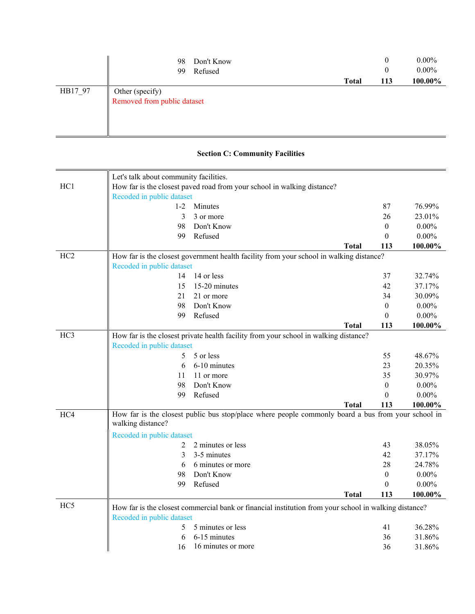|         | Don't Know<br>98            |              | 0        | $0.00\%$ |
|---------|-----------------------------|--------------|----------|----------|
|         | Refused<br>99               |              | $\bf{0}$ | $0.00\%$ |
|         |                             | <b>Total</b> | 113      | 100.00%  |
| HB17_97 | Other (specify)             |              |          |          |
|         | Removed from public dataset |              |          |          |
|         |                             |              |          |          |
|         |                             |              |          |          |
|         |                             |              |          |          |

# **Section C: Community Facilities**

|                 | Let's talk about community facilities. |                                                                                                       |              |                  |          |
|-----------------|----------------------------------------|-------------------------------------------------------------------------------------------------------|--------------|------------------|----------|
| HC <sub>1</sub> |                                        | How far is the closest paved road from your school in walking distance?                               |              |                  |          |
|                 | Recoded in public dataset<br>$1-2$     | Minutes                                                                                               |              | 87               | 76.99%   |
|                 | 3                                      | 3 or more                                                                                             |              | 26               | 23.01%   |
|                 | 98                                     | Don't Know                                                                                            |              | $\boldsymbol{0}$ | $0.00\%$ |
|                 | 99                                     | Refused                                                                                               |              | $\boldsymbol{0}$ | $0.00\%$ |
|                 |                                        |                                                                                                       | <b>Total</b> | 113              | 100.00%  |
| HC <sub>2</sub> |                                        | How far is the closest government health facility from your school in walking distance?               |              |                  |          |
|                 | Recoded in public dataset              |                                                                                                       |              |                  |          |
|                 | 14                                     | 14 or less                                                                                            |              | 37               | 32.74%   |
|                 | 15                                     | 15-20 minutes                                                                                         |              | 42               | 37.17%   |
|                 | 21                                     | 21 or more                                                                                            |              | 34               | 30.09%   |
|                 | 98                                     | Don't Know                                                                                            |              | $\boldsymbol{0}$ | $0.00\%$ |
|                 | 99                                     | Refused                                                                                               |              | $\theta$         | $0.00\%$ |
|                 |                                        |                                                                                                       | <b>Total</b> | 113              | 100.00%  |
| HC <sub>3</sub> |                                        | How far is the closest private health facility from your school in walking distance?                  |              |                  |          |
|                 | Recoded in public dataset              |                                                                                                       |              |                  |          |
|                 | 5                                      | 5 or less                                                                                             |              | 55               | 48.67%   |
|                 | 6                                      | 6-10 minutes                                                                                          |              | 23               | 20.35%   |
|                 | 11                                     | 11 or more                                                                                            |              | 35               | 30.97%   |
|                 | 98                                     | Don't Know                                                                                            |              | $\theta$         | $0.00\%$ |
|                 | 99                                     | Refused                                                                                               |              | $\mathbf{0}$     | $0.00\%$ |
|                 |                                        |                                                                                                       | <b>Total</b> | 113              | 100.00%  |
| HC4             | walking distance?                      | How far is the closest public bus stop/place where people commonly board a bus from your school in    |              |                  |          |
|                 | Recoded in public dataset              |                                                                                                       |              |                  |          |
|                 | 2                                      | 2 minutes or less                                                                                     |              | 43               | 38.05%   |
|                 | 3                                      | 3-5 minutes                                                                                           |              | 42               | 37.17%   |
|                 | 6                                      | 6 minutes or more                                                                                     |              | 28               | 24.78%   |
|                 | 98                                     | Don't Know                                                                                            |              | $\boldsymbol{0}$ | $0.00\%$ |
|                 | 99                                     | Refused                                                                                               |              | $\boldsymbol{0}$ | $0.00\%$ |
|                 |                                        |                                                                                                       | <b>Total</b> | 113              | 100.00%  |
| HC <sub>5</sub> | Recoded in public dataset              | How far is the closest commercial bank or financial institution from your school in walking distance? |              |                  |          |
|                 | 5                                      | 5 minutes or less                                                                                     |              | 41               | 36.28%   |
|                 | 6                                      | 6-15 minutes                                                                                          |              | 36               | 31.86%   |
|                 | 16                                     | 16 minutes or more                                                                                    |              | 36               | 31.86%   |
|                 |                                        |                                                                                                       |              |                  |          |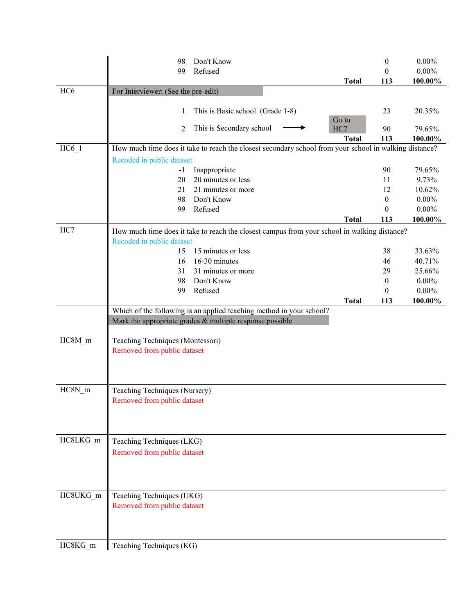|                     | 98                                  | Don't Know                                                                                             |              | $\boldsymbol{0}$ | $0.00\%$ |
|---------------------|-------------------------------------|--------------------------------------------------------------------------------------------------------|--------------|------------------|----------|
|                     | 99                                  | Refused                                                                                                |              | $\theta$         | $0.00\%$ |
|                     |                                     |                                                                                                        | <b>Total</b> | 113              | 100.00%  |
| HC <sub>6</sub>     | For Interviewer: (See the pre-edit) |                                                                                                        |              |                  |          |
|                     |                                     |                                                                                                        |              |                  |          |
|                     | 1                                   | This is Basic school. (Grade 1-8)                                                                      |              | 23               | 20.35%   |
|                     | 2                                   | This is Secondary school                                                                               | Go to<br>HC7 | 90               | 79.65%   |
|                     |                                     |                                                                                                        | <b>Total</b> | 113              | 100.00%  |
| $HC6_1$             |                                     | How much time does it take to reach the closest secondary school from your school in walking distance? |              |                  |          |
|                     | Recoded in public dataset           |                                                                                                        |              |                  |          |
|                     | $-1$                                | Inappropriate                                                                                          |              | 90               | 79.65%   |
|                     | 20                                  | 20 minutes or less                                                                                     |              | 11               | 9.73%    |
|                     | 21                                  | 21 minutes or more                                                                                     |              | 12               | 10.62%   |
|                     | 98                                  | Don't Know                                                                                             |              | $\mathbf{0}$     | $0.00\%$ |
|                     | 99                                  | Refused                                                                                                |              | $\theta$         | $0.00\%$ |
|                     |                                     |                                                                                                        | <b>Total</b> | 113              | 100.00%  |
| HC7                 |                                     | How much time does it take to reach the closest campus from your school in walking distance?           |              |                  |          |
|                     | Recoded in public dataset           |                                                                                                        |              |                  |          |
|                     | 15                                  | 15 minutes or less                                                                                     |              | 38               | 33.63%   |
|                     | 16                                  | 16-30 minutes                                                                                          |              | 46               | 40.71%   |
|                     | 31                                  | 31 minutes or more                                                                                     |              | 29               | 25.66%   |
|                     | 98                                  | Don't Know                                                                                             |              | $\boldsymbol{0}$ | $0.00\%$ |
|                     | 99                                  | Refused                                                                                                |              | $\theta$         | $0.00\%$ |
|                     |                                     |                                                                                                        | <b>Total</b> | 113              | 100.00%  |
|                     |                                     | Which of the following is an applied teaching method in your school?                                   |              |                  |          |
|                     |                                     | Mark the appropriate grades $&$ multiple response possible                                             |              |                  |          |
| HC8M_m              | Teaching Techniques (Montessori)    |                                                                                                        |              |                  |          |
|                     | Removed from public dataset         |                                                                                                        |              |                  |          |
|                     |                                     |                                                                                                        |              |                  |          |
|                     |                                     |                                                                                                        |              |                  |          |
|                     |                                     |                                                                                                        |              |                  |          |
| $HC8N$ <sub>m</sub> | Teaching Techniques (Nursery)       |                                                                                                        |              |                  |          |
|                     | Removed from public dataset         |                                                                                                        |              |                  |          |
|                     |                                     |                                                                                                        |              |                  |          |
|                     |                                     |                                                                                                        |              |                  |          |
|                     |                                     |                                                                                                        |              |                  |          |
| HC8LKG_m            | Teaching Techniques (LKG)           |                                                                                                        |              |                  |          |
|                     | Removed from public dataset         |                                                                                                        |              |                  |          |
|                     |                                     |                                                                                                        |              |                  |          |
|                     |                                     |                                                                                                        |              |                  |          |
|                     |                                     |                                                                                                        |              |                  |          |
| HC8UKG_m            | Teaching Techniques (UKG)           |                                                                                                        |              |                  |          |
|                     | Removed from public dataset         |                                                                                                        |              |                  |          |
|                     |                                     |                                                                                                        |              |                  |          |
|                     |                                     |                                                                                                        |              |                  |          |
|                     |                                     |                                                                                                        |              |                  |          |
| HC8KG_m             | Teaching Techniques (KG)            |                                                                                                        |              |                  |          |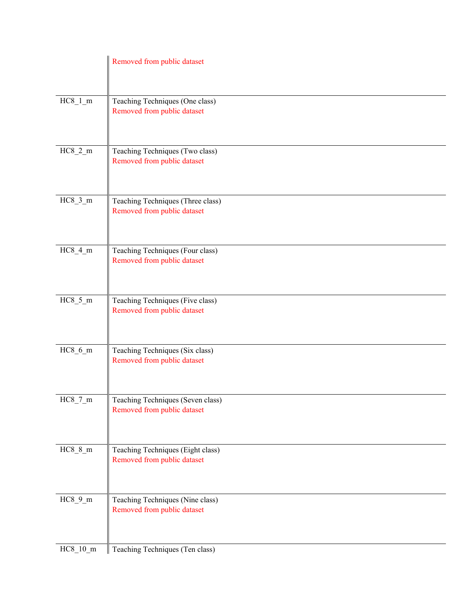|            | Removed from public dataset                                      |
|------------|------------------------------------------------------------------|
| $HC8_l_m$  | Teaching Techniques (One class)<br>Removed from public dataset   |
| $HC8_2_m$  | Teaching Techniques (Two class)<br>Removed from public dataset   |
| $HC8_3_m$  | Teaching Techniques (Three class)<br>Removed from public dataset |
| $HC8_4_m$  | Teaching Techniques (Four class)<br>Removed from public dataset  |
| $HC8_5_m$  | Teaching Techniques (Five class)<br>Removed from public dataset  |
| $HC8_6_m$  | Teaching Techniques (Six class)<br>Removed from public dataset   |
| $HC8_7_m$  | Teaching Techniques (Seven class)<br>Removed from public dataset |
| $HC8_8_m$  | Teaching Techniques (Eight class)<br>Removed from public dataset |
| $HC8_9_m$  | Teaching Techniques (Nine class)<br>Removed from public dataset  |
| $HC8_10_m$ | Teaching Techniques (Ten class)                                  |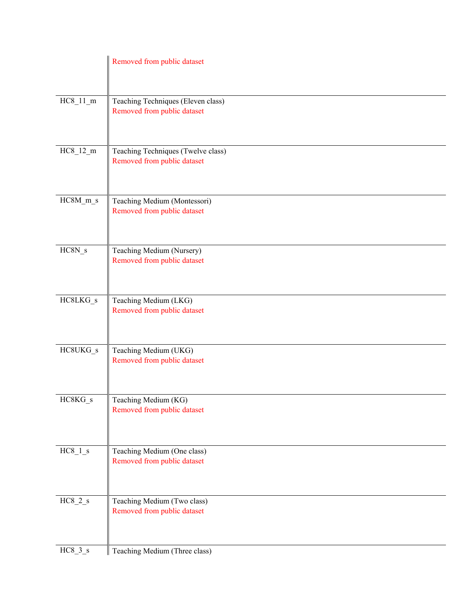|                | Removed from public dataset                                       |
|----------------|-------------------------------------------------------------------|
| $HC8_11_m$     | Teaching Techniques (Eleven class)<br>Removed from public dataset |
| $HC8_12_m$     | Teaching Techniques (Twelve class)<br>Removed from public dataset |
| $HC8M_m$ s     | Teaching Medium (Montessori)<br>Removed from public dataset       |
| $HC8N_s$       | Teaching Medium (Nursery)<br>Removed from public dataset          |
| HC8LKG_s       | Teaching Medium (LKG)<br>Removed from public dataset              |
| HC8UKG_s       | Teaching Medium (UKG)<br>Removed from public dataset              |
| $\rm HCSKG\_s$ | Teaching Medium (KG)<br>Removed from public dataset               |
| $HC8_1_s$      | Teaching Medium (One class)<br>Removed from public dataset        |
| $HC8_2_s$      | Teaching Medium (Two class)<br>Removed from public dataset        |
| $HC8_3_s$      | Teaching Medium (Three class)                                     |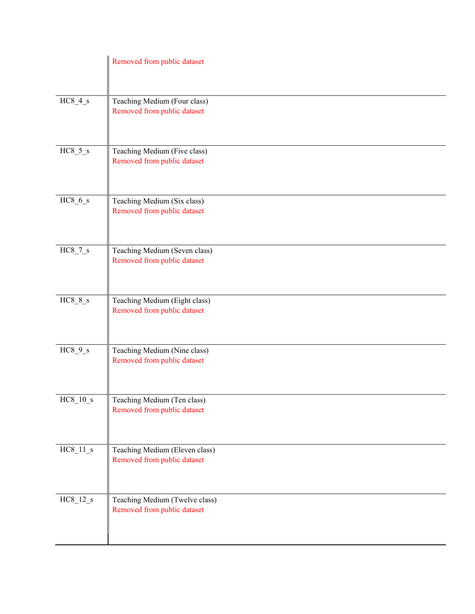|              | Removed from public dataset                                   |
|--------------|---------------------------------------------------------------|
| $HC8_4_s$    | Teaching Medium (Four class)<br>Removed from public dataset   |
| $HC8_5_s$    | Teaching Medium (Five class)<br>Removed from public dataset   |
| $HC8_6_s$    | Teaching Medium (Six class)<br>Removed from public dataset    |
| $HC8_7_s$    | Teaching Medium (Seven class)<br>Removed from public dataset  |
| $HC8_8_s$    | Teaching Medium (Eight class)<br>Removed from public dataset  |
| $HC8_9_s$    | Teaching Medium (Nine class)<br>Removed from public dataset   |
| $HC8\_10\_s$ | Teaching Medium (Ten class)<br>Removed from public dataset    |
| $HC8_11_s$   | Teaching Medium (Eleven class)<br>Removed from public dataset |
| $HC8_12_s$   | Teaching Medium (Twelve class)<br>Removed from public dataset |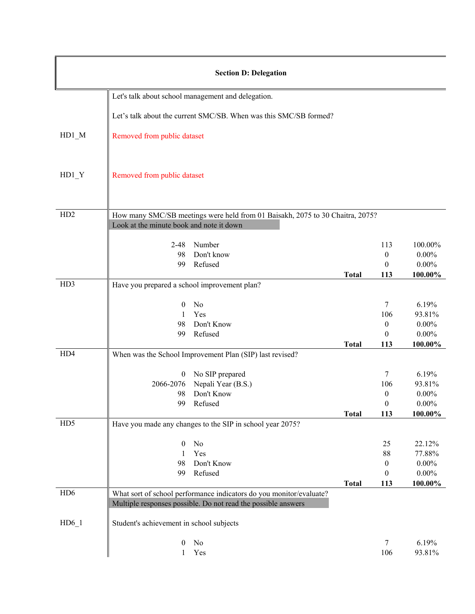| <b>Section D: Delegation</b> |                                              |                                                                                                                                      |              |                  |                 |
|------------------------------|----------------------------------------------|--------------------------------------------------------------------------------------------------------------------------------------|--------------|------------------|-----------------|
|                              |                                              | Let's talk about school management and delegation.                                                                                   |              |                  |                 |
|                              |                                              | Let's talk about the current SMC/SB. When was this SMC/SB formed?                                                                    |              |                  |                 |
| HD1 M                        | Removed from public dataset                  |                                                                                                                                      |              |                  |                 |
| $HD1_Y$                      | Removed from public dataset                  |                                                                                                                                      |              |                  |                 |
| H <sub>D</sub> 2             |                                              | How many SMC/SB meetings were held from 01 Baisakh, 2075 to 30 Chaitra, 2075?                                                        |              |                  |                 |
|                              | Look at the minute book and note it down     |                                                                                                                                      |              |                  |                 |
|                              | $2 - 48$                                     | Number                                                                                                                               |              | 113              | 100.00%         |
|                              | 98                                           | Don't know                                                                                                                           |              | $\boldsymbol{0}$ | $0.00\%$        |
|                              | 99                                           | Refused                                                                                                                              |              | $\overline{0}$   | $0.00\%$        |
|                              |                                              |                                                                                                                                      | <b>Total</b> | 113              | 100.00%         |
| H <sub>D</sub> 3             | Have you prepared a school improvement plan? |                                                                                                                                      |              |                  |                 |
|                              | 0                                            | No                                                                                                                                   |              | $7\phantom{.0}$  | 6.19%           |
|                              | 1                                            | Yes                                                                                                                                  |              | 106              | 93.81%          |
|                              | 98                                           | Don't Know                                                                                                                           |              | $\boldsymbol{0}$ | $0.00\%$        |
|                              | 99                                           | Refused                                                                                                                              |              | $\overline{0}$   | $0.00\%$        |
|                              |                                              |                                                                                                                                      | <b>Total</b> | 113              | 100.00%         |
| HD4                          |                                              | When was the School Improvement Plan (SIP) last revised?                                                                             |              |                  |                 |
|                              |                                              |                                                                                                                                      |              | $\tau$           |                 |
|                              | $\boldsymbol{0}$<br>2066-2076                | No SIP prepared<br>Nepali Year (B.S.)                                                                                                |              | 106              | 6.19%<br>93.81% |
|                              | 98                                           | Don't Know                                                                                                                           |              | $\boldsymbol{0}$ | $0.00\%$        |
|                              |                                              | 99 Refused                                                                                                                           |              | $\boldsymbol{0}$ | $0.00\%$        |
|                              |                                              |                                                                                                                                      | <b>Total</b> | 113              | 100.00%         |
| H <sub>D</sub> 5             |                                              | Have you made any changes to the SIP in school year 2075?                                                                            |              |                  |                 |
|                              |                                              |                                                                                                                                      |              |                  |                 |
|                              | $\boldsymbol{0}$                             | No                                                                                                                                   |              | 25               | 22.12%          |
|                              | 1                                            | Yes                                                                                                                                  |              | 88               | 77.88%          |
|                              | 98                                           | Don't Know                                                                                                                           |              | $\mathbf{0}$     | $0.00\%$        |
|                              | 99                                           | Refused                                                                                                                              |              | $\mathbf{0}$     | $0.00\%$        |
| HD <sub>6</sub>              |                                              |                                                                                                                                      | <b>Total</b> | 113              | 100.00%         |
|                              |                                              | What sort of school performance indicators do you monitor/evaluate?<br>Multiple responses possible. Do not read the possible answers |              |                  |                 |
|                              |                                              |                                                                                                                                      |              |                  |                 |
| HD61                         | Student's achievement in school subjects     |                                                                                                                                      |              |                  |                 |
|                              | $\boldsymbol{0}$                             | No                                                                                                                                   |              | $\tau$           | 6.19%           |
|                              |                                              | Yes                                                                                                                                  |              | 106              | 93.81%          |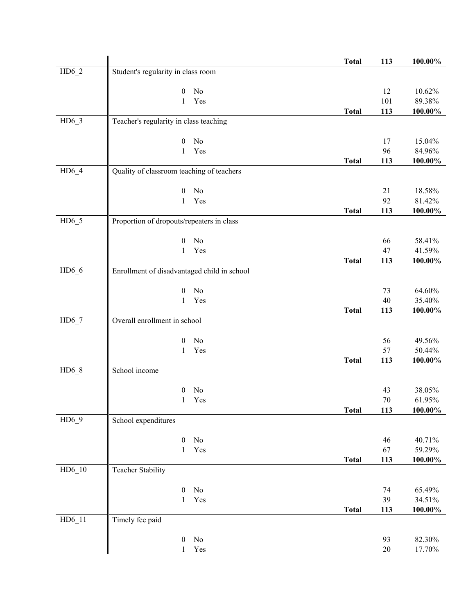|          |                                             | <b>Total</b> | 113       | 100.00%          |
|----------|---------------------------------------------|--------------|-----------|------------------|
| $HD6_2$  | Student's regularity in class room          |              |           |                  |
|          |                                             |              |           |                  |
|          | No<br>0                                     |              | 12        | 10.62%           |
|          | Yes<br>1                                    |              | 101       | 89.38%           |
|          |                                             | <b>Total</b> | 113       | $100.00\%$       |
| $HD6_3$  | Teacher's regularity in class teaching      |              |           |                  |
|          |                                             |              |           |                  |
|          | No<br>$\boldsymbol{0}$                      |              | 17        | 15.04%           |
|          | Yes<br>$\mathbf{1}$                         |              | 96        | 84.96%           |
|          |                                             | <b>Total</b> | 113       | 100.00%          |
| $HD6_4$  | Quality of classroom teaching of teachers   |              |           |                  |
|          | No<br>$\boldsymbol{0}$                      |              | 21        |                  |
|          | Yes<br>1                                    |              | 92        | 18.58%<br>81.42% |
|          |                                             | <b>Total</b> | 113       | 100.00%          |
| $HD6_5$  | Proportion of dropouts/repeaters in class   |              |           |                  |
|          |                                             |              |           |                  |
|          | No<br>$\boldsymbol{0}$                      |              | 66        | 58.41%           |
|          | Yes<br>1                                    |              | 47        | 41.59%           |
|          |                                             | <b>Total</b> | 113       | $100.00\%$       |
| $HD6_6$  | Enrollment of disadvantaged child in school |              |           |                  |
|          |                                             |              |           |                  |
|          | No<br>$\boldsymbol{0}$                      |              | 73        | 64.60%           |
|          | $\mathbf{1}$<br>Yes                         |              | 40        | 35.40%           |
|          |                                             | <b>Total</b> | 113       | 100.00%          |
| $HD6_7$  | Overall enrollment in school                |              |           |                  |
|          |                                             |              |           |                  |
|          | No<br>0                                     |              | 56        | 49.56%           |
|          | Yes<br>1                                    |              | 57        | 50.44%           |
|          |                                             | <b>Total</b> | 113       | 100.00%          |
| $HD6_8$  | School income                               |              |           |                  |
|          |                                             |              |           |                  |
|          | No<br>0                                     |              | 43        | 38.05%           |
|          | Yes<br>1                                    | <b>Total</b> | 70<br>113 | 61.95%           |
| $HD6_9$  | School expenditures                         |              |           | $100.00\%$       |
|          |                                             |              |           |                  |
|          | No<br>$\boldsymbol{0}$                      |              | 46        | 40.71%           |
|          | $\mathbf{1}$<br>Yes                         |              | 67        | 59.29%           |
|          |                                             | <b>Total</b> | 113       | $100.00\%$       |
| $HD6_10$ | <b>Teacher Stability</b>                    |              |           |                  |
|          |                                             |              |           |                  |
|          | No<br>$\boldsymbol{0}$                      |              | 74        | 65.49%           |
|          | Yes<br>$\mathbf{1}$                         |              | 39        | 34.51%           |
|          |                                             | <b>Total</b> | 113       | $100.00\%$       |
| $HD6_11$ | Timely fee paid                             |              |           |                  |
|          |                                             |              |           |                  |
|          | $\rm No$<br>$\boldsymbol{0}$                |              | 93        | 82.30%           |
|          | Yes<br>1                                    |              | $20\,$    | 17.70%           |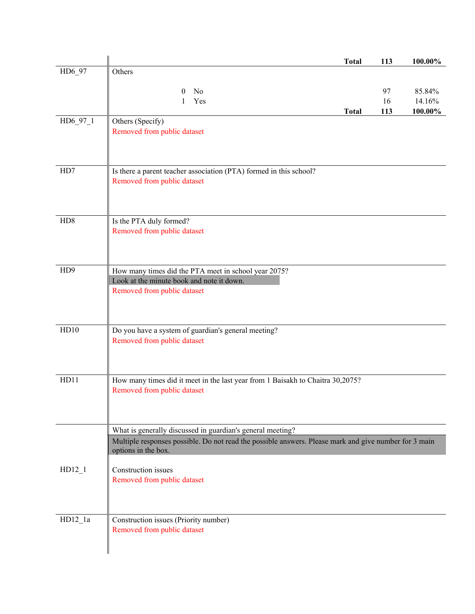|                  | <b>Total</b><br>113                                                                                                              | 100.00% |
|------------------|----------------------------------------------------------------------------------------------------------------------------------|---------|
| HD6_97           | Others                                                                                                                           |         |
|                  | 97<br>No<br>$\theta$                                                                                                             | 85.84%  |
|                  | Yes<br>16<br>1                                                                                                                   | 14.16%  |
|                  | 113<br><b>Total</b>                                                                                                              | 100.00% |
| HD6_97_1         | Others (Specify)<br>Removed from public dataset                                                                                  |         |
| HD7              | Is there a parent teacher association (PTA) formed in this school?<br>Removed from public dataset                                |         |
| HD8              | Is the PTA duly formed?<br>Removed from public dataset                                                                           |         |
| H <sub>D</sub> 9 | How many times did the PTA meet in school year 2075?<br>Look at the minute book and note it down.<br>Removed from public dataset |         |
| HD10             | Do you have a system of guardian's general meeting?<br>Removed from public dataset                                               |         |
| HD11             | How many times did it meet in the last year from 1 Baisakh to Chaitra 30,2075?<br>Removed from public dataset                    |         |
|                  | What is generally discussed in guardian's general meeting?                                                                       |         |
|                  | Multiple responses possible. Do not read the possible answers. Please mark and give number for 3 main<br>options in the box.     |         |
| $HD12_1$         | Construction issues<br>Removed from public dataset                                                                               |         |
| $HD12_1a$        | Construction issues (Priority number)<br>Removed from public dataset                                                             |         |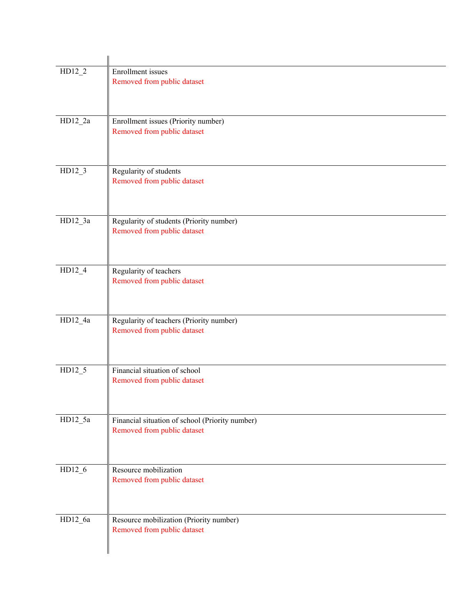| $HD12_2$  | Enrollment issues<br>Removed from public dataset                               |
|-----------|--------------------------------------------------------------------------------|
| $HD12_2a$ | Enrollment issues (Priority number)<br>Removed from public dataset             |
| $HD12_3$  | Regularity of students<br>Removed from public dataset                          |
| $HD12_3a$ | Regularity of students (Priority number)<br>Removed from public dataset        |
| $HD12_4$  | Regularity of teachers<br>Removed from public dataset                          |
| HD12_4a   | Regularity of teachers (Priority number)<br>Removed from public dataset        |
| $HD12_5$  | Financial situation of school<br>Removed from public dataset                   |
| $HD12_5a$ | Financial situation of school (Priority number)<br>Removed from public dataset |
| $HD12_6$  | Resource mobilization<br>Removed from public dataset                           |
| HD12_6a   | Resource mobilization (Priority number)<br>Removed from public dataset         |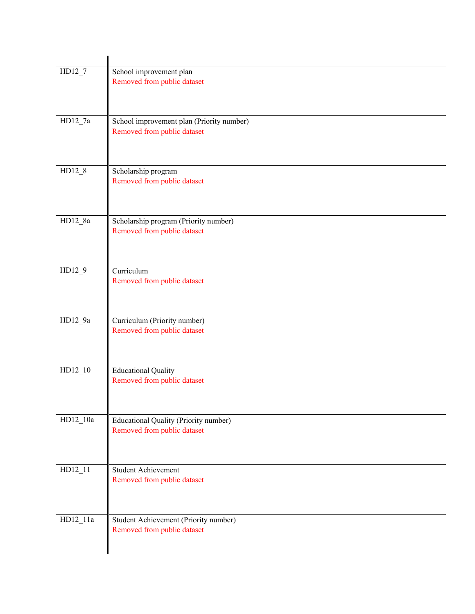| $HD12_7$   | School improvement plan<br>Removed from public dataset                   |
|------------|--------------------------------------------------------------------------|
| $HD12_7a$  | School improvement plan (Priority number)<br>Removed from public dataset |
| $HD12_8$   | Scholarship program<br>Removed from public dataset                       |
| $HD12_8a$  | Scholarship program (Priority number)<br>Removed from public dataset     |
| $HD12_9$   | Curriculum<br>Removed from public dataset                                |
| HD12_9a    | Curriculum (Priority number)<br>Removed from public dataset              |
| $HD12_10$  | <b>Educational Quality</b><br>Removed from public dataset                |
| HD12_10a   | Educational Quality (Priority number)<br>Removed from public dataset     |
| $HD12_11$  | Student Achievement<br>Removed from public dataset                       |
| $HD12_11a$ | Student Achievement (Priority number)<br>Removed from public dataset     |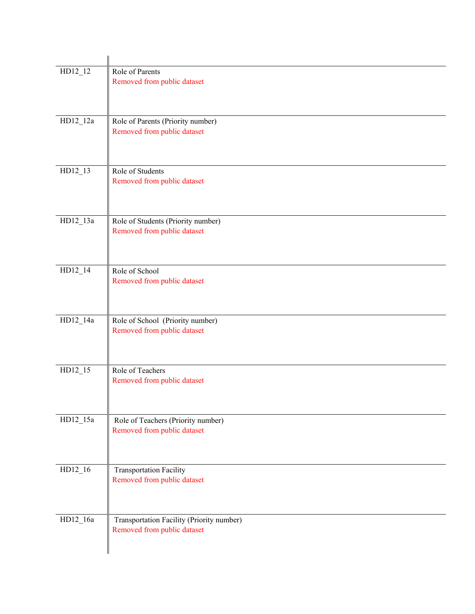| $HD12_12$  | Role of Parents<br>Removed from public dataset                           |
|------------|--------------------------------------------------------------------------|
| HD12_12a   | Role of Parents (Priority number)<br>Removed from public dataset         |
| HD12_13    | Role of Students<br>Removed from public dataset                          |
| HD12_13a   | Role of Students (Priority number)<br>Removed from public dataset        |
| HD12_14    | Role of School<br>Removed from public dataset                            |
| HD12_14a   | Role of School (Priority number)<br>Removed from public dataset          |
| HD12_15    | Role of Teachers<br>Removed from public dataset                          |
| $HD12_15a$ | Role of Teachers (Priority number)<br>Removed from public dataset        |
| $HD12_16$  | <b>Transportation Facility</b><br>Removed from public dataset            |
| HD12_16a   | Transportation Facility (Priority number)<br>Removed from public dataset |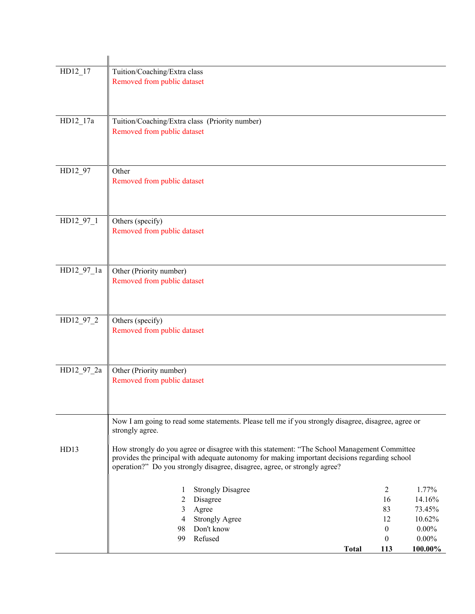| HD12_17    | Tuition/Coaching/Extra class                   |                                                                                                     |              |                  |                  |
|------------|------------------------------------------------|-----------------------------------------------------------------------------------------------------|--------------|------------------|------------------|
|            | Removed from public dataset                    |                                                                                                     |              |                  |                  |
|            |                                                |                                                                                                     |              |                  |                  |
|            |                                                |                                                                                                     |              |                  |                  |
|            |                                                |                                                                                                     |              |                  |                  |
| HD12_17a   | Tuition/Coaching/Extra class (Priority number) |                                                                                                     |              |                  |                  |
|            | Removed from public dataset                    |                                                                                                     |              |                  |                  |
|            |                                                |                                                                                                     |              |                  |                  |
|            |                                                |                                                                                                     |              |                  |                  |
|            |                                                |                                                                                                     |              |                  |                  |
| HD12_97    | Other                                          |                                                                                                     |              |                  |                  |
|            | Removed from public dataset                    |                                                                                                     |              |                  |                  |
|            |                                                |                                                                                                     |              |                  |                  |
|            |                                                |                                                                                                     |              |                  |                  |
| HD12_97_1  | Others (specify)                               |                                                                                                     |              |                  |                  |
|            | Removed from public dataset                    |                                                                                                     |              |                  |                  |
|            |                                                |                                                                                                     |              |                  |                  |
|            |                                                |                                                                                                     |              |                  |                  |
|            |                                                |                                                                                                     |              |                  |                  |
| HD12_97_1a | Other (Priority number)                        |                                                                                                     |              |                  |                  |
|            | Removed from public dataset                    |                                                                                                     |              |                  |                  |
|            |                                                |                                                                                                     |              |                  |                  |
|            |                                                |                                                                                                     |              |                  |                  |
| HD12_97_2  | Others (specify)                               |                                                                                                     |              |                  |                  |
|            | Removed from public dataset                    |                                                                                                     |              |                  |                  |
|            |                                                |                                                                                                     |              |                  |                  |
|            |                                                |                                                                                                     |              |                  |                  |
|            |                                                |                                                                                                     |              |                  |                  |
| HD12_97_2a | Other (Priority number)                        |                                                                                                     |              |                  |                  |
|            | Removed from public dataset                    |                                                                                                     |              |                  |                  |
|            |                                                |                                                                                                     |              |                  |                  |
|            |                                                |                                                                                                     |              |                  |                  |
|            |                                                |                                                                                                     |              |                  |                  |
|            | strongly agree.                                | Now I am going to read some statements. Please tell me if you strongly disagree, disagree, agree or |              |                  |                  |
|            |                                                |                                                                                                     |              |                  |                  |
| HD13       |                                                | How strongly do you agree or disagree with this statement: "The School Management Committee         |              |                  |                  |
|            |                                                | provides the principal with adequate autonomy for making important decisions regarding school       |              |                  |                  |
|            |                                                | operation?" Do you strongly disagree, disagree, agree, or strongly agree?                           |              |                  |                  |
|            |                                                |                                                                                                     |              |                  |                  |
|            | 1                                              | <b>Strongly Disagree</b>                                                                            |              | $\overline{2}$   | 1.77%            |
|            | 2                                              | Disagree                                                                                            |              | 16               | 14.16%           |
|            | 3<br>4                                         | Agree                                                                                               |              | 83<br>12         | 73.45%<br>10.62% |
|            | 98                                             | <b>Strongly Agree</b><br>Don't know                                                                 |              | $\boldsymbol{0}$ | $0.00\%$         |
|            | 99                                             | Refused                                                                                             |              | $\boldsymbol{0}$ | $0.00\%$         |
|            |                                                |                                                                                                     | <b>Total</b> | 113              | 100.00%          |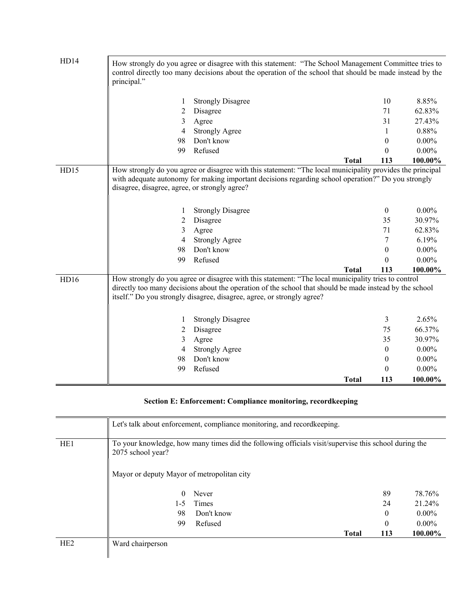| HD14 | principal."                                   | How strongly do you agree or disagree with this statement: "The School Management Committee tries to<br>control directly too many decisions about the operation of the school that should be made instead by the |              |                |          |
|------|-----------------------------------------------|------------------------------------------------------------------------------------------------------------------------------------------------------------------------------------------------------------------|--------------|----------------|----------|
|      | 1                                             | <b>Strongly Disagree</b>                                                                                                                                                                                         |              | 10             | 8.85%    |
|      | 2                                             | Disagree                                                                                                                                                                                                         |              | 71             | 62.83%   |
|      | 3                                             | Agree                                                                                                                                                                                                            |              | 31             | 27.43%   |
|      | 4                                             | <b>Strongly Agree</b>                                                                                                                                                                                            |              | 1              | 0.88%    |
|      | 98                                            | Don't know                                                                                                                                                                                                       |              | 0              | $0.00\%$ |
|      | 99                                            | Refused                                                                                                                                                                                                          |              | 0              | $0.00\%$ |
|      |                                               |                                                                                                                                                                                                                  | <b>Total</b> | 113            | 100.00%  |
| HD15 |                                               | How strongly do you agree or disagree with this statement: "The local municipality provides the principal                                                                                                        |              |                |          |
|      |                                               | with adequate autonomy for making important decisions regarding school operation?" Do you strongly                                                                                                               |              |                |          |
|      | disagree, disagree, agree, or strongly agree? |                                                                                                                                                                                                                  |              |                |          |
|      |                                               |                                                                                                                                                                                                                  |              |                |          |
|      | 1                                             | <b>Strongly Disagree</b>                                                                                                                                                                                         |              | $\mathbf{0}$   | $0.00\%$ |
|      | 2                                             | Disagree                                                                                                                                                                                                         |              | 35             | 30.97%   |
|      | 3                                             | Agree                                                                                                                                                                                                            |              | 71             | 62.83%   |
|      | 4                                             | <b>Strongly Agree</b>                                                                                                                                                                                            |              | 7              | 6.19%    |
|      | 98                                            | Don't know                                                                                                                                                                                                       |              | $\theta$       | $0.00\%$ |
|      | 99                                            | Refused                                                                                                                                                                                                          |              | 0              | $0.00\%$ |
|      |                                               |                                                                                                                                                                                                                  | <b>Total</b> | 113            | 100.00%  |
| HD16 |                                               | How strongly do you agree or disagree with this statement: "The local municipality tries to control                                                                                                              |              |                |          |
|      |                                               | directly too many decisions about the operation of the school that should be made instead by the school                                                                                                          |              |                |          |
|      |                                               | itself." Do you strongly disagree, disagree, agree, or strongly agree?                                                                                                                                           |              |                |          |
|      |                                               |                                                                                                                                                                                                                  |              |                |          |
|      | 1                                             | <b>Strongly Disagree</b>                                                                                                                                                                                         |              | 3              | 2.65%    |
|      | 2                                             | Disagree                                                                                                                                                                                                         |              | 75             | 66.37%   |
|      | 3                                             | Agree                                                                                                                                                                                                            |              | 35             | 30.97%   |
|      | 4                                             | <b>Strongly Agree</b>                                                                                                                                                                                            |              | $\overline{0}$ | $0.00\%$ |
|      | 98                                            | Don't know                                                                                                                                                                                                       |              | $\overline{0}$ | $0.00\%$ |
|      | 99                                            | Refused                                                                                                                                                                                                          |              | 0              | $0.00\%$ |
|      |                                               |                                                                                                                                                                                                                  | <b>Total</b> | 113            | 100.00%  |

# **Section E: Enforcement: Compliance monitoring, recordkeeping**

|                 |                                                                                                                           | Let's talk about enforcement, compliance monitoring, and recordkeeping. |              |          |          |
|-----------------|---------------------------------------------------------------------------------------------------------------------------|-------------------------------------------------------------------------|--------------|----------|----------|
| HE <sub>1</sub> | To your knowledge, how many times did the following officials visit/supervise this school during the<br>2075 school year? |                                                                         |              |          |          |
|                 | Mayor or deputy Mayor of metropolitan city                                                                                |                                                                         |              |          |          |
|                 | 0                                                                                                                         | Never                                                                   |              | 89       | 78.76%   |
|                 | $1-5$                                                                                                                     | Times                                                                   |              | 24       | 21.24%   |
|                 | 98                                                                                                                        | Don't know                                                              |              | $\Omega$ | $0.00\%$ |
|                 | 99                                                                                                                        | Refused                                                                 |              | $\theta$ | $0.00\%$ |
|                 |                                                                                                                           |                                                                         | <b>Total</b> | 113      | 100.00%  |
| H <sub>E2</sub> | Ward chairperson                                                                                                          |                                                                         |              |          |          |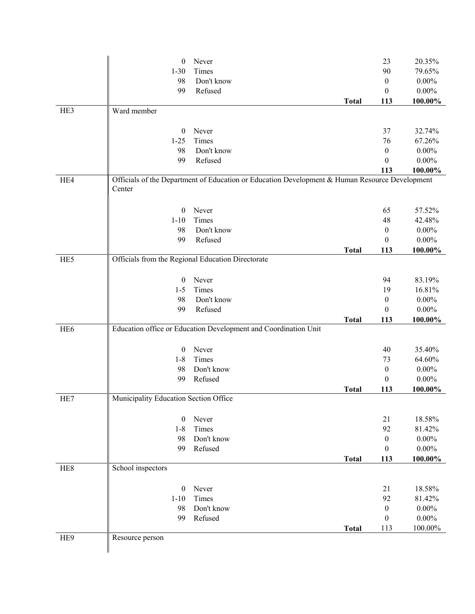|                 | $\boldsymbol{0}$                                  | Never                                                                                          |              | 23               | 20.35%               |
|-----------------|---------------------------------------------------|------------------------------------------------------------------------------------------------|--------------|------------------|----------------------|
|                 | $1 - 30$                                          | Times                                                                                          |              | 90               | 79.65%               |
|                 | 98                                                | Don't know                                                                                     |              | $\boldsymbol{0}$ | $0.00\%$             |
|                 | 99                                                | Refused                                                                                        |              | $\mathbf{0}$     | $0.00\%$             |
|                 |                                                   |                                                                                                | <b>Total</b> | 113              | 100.00%              |
| HE3             | Ward member                                       |                                                                                                |              |                  |                      |
|                 |                                                   |                                                                                                |              |                  |                      |
|                 | $\boldsymbol{0}$                                  | Never                                                                                          |              | 37               | 32.74%               |
|                 | $1-25$                                            | Times                                                                                          |              | 76               | 67.26%               |
|                 | 98                                                | Don't know                                                                                     |              | 0                | $0.00\%$             |
|                 | 99                                                | Refused                                                                                        |              | $\theta$         | $0.00\%$             |
|                 |                                                   |                                                                                                |              | 113              | 100.00%              |
| HE4             |                                                   | Officials of the Department of Education or Education Development & Human Resource Development |              |                  |                      |
|                 | Center                                            |                                                                                                |              |                  |                      |
|                 |                                                   |                                                                                                |              |                  |                      |
|                 | $\boldsymbol{0}$                                  | Never                                                                                          |              | 65               | 57.52%               |
|                 | $1 - 10$                                          | Times                                                                                          |              | 48               | 42.48%               |
|                 | 98                                                | Don't know                                                                                     |              | $\boldsymbol{0}$ | $0.00\%$             |
|                 | 99                                                | Refused                                                                                        |              | $\boldsymbol{0}$ | $0.00\%$             |
|                 |                                                   |                                                                                                | <b>Total</b> | 113              | 100.00%              |
| HE5             | Officials from the Regional Education Directorate |                                                                                                |              |                  |                      |
|                 |                                                   |                                                                                                |              |                  |                      |
|                 | $\boldsymbol{0}$                                  | Never<br>Times                                                                                 |              | 94               | 83.19%               |
|                 | $1 - 5$<br>98                                     | Don't know                                                                                     |              | 19               | 16.81%               |
|                 | 99                                                | Refused                                                                                        |              | 0<br>$\theta$    | $0.00\%$<br>$0.00\%$ |
|                 |                                                   |                                                                                                | <b>Total</b> | 113              | 100.00%              |
| HE <sub>6</sub> |                                                   | Education office or Education Development and Coordination Unit                                |              |                  |                      |
|                 |                                                   |                                                                                                |              |                  |                      |
|                 | $\boldsymbol{0}$                                  | Never                                                                                          |              | 40               | 35.40%               |
|                 | $1 - 8$                                           | Times                                                                                          |              | 73               | 64.60%               |
|                 | 98                                                | Don't know                                                                                     |              | $\boldsymbol{0}$ | $0.00\%$             |
|                 | 99                                                | Refused                                                                                        |              | $\boldsymbol{0}$ | $0.00\%$             |
|                 |                                                   |                                                                                                | <b>Total</b> | 113              | 100.00%              |
| HE7             | Municipality Education Section Office             |                                                                                                |              |                  |                      |
|                 |                                                   |                                                                                                |              |                  |                      |
|                 | $\theta$                                          | Never                                                                                          |              | 21               | 18.58%               |
|                 | $1 - 8$                                           | Times                                                                                          |              | 92               | 81.42%               |
|                 | 98                                                | Don't know                                                                                     |              | $\boldsymbol{0}$ | $0.00\%$             |
|                 | 99                                                | Refused                                                                                        |              | $\boldsymbol{0}$ | $0.00\%$             |
|                 |                                                   |                                                                                                | <b>Total</b> | 113              | 100.00%              |
| HE <sub>8</sub> | School inspectors                                 |                                                                                                |              |                  |                      |
|                 |                                                   |                                                                                                |              |                  |                      |
|                 | $\boldsymbol{0}$                                  | Never                                                                                          |              | 21               | 18.58%               |
|                 | $1 - 10$                                          | Times                                                                                          |              | 92               | 81.42%               |
|                 | 98                                                | Don't know                                                                                     |              | $\boldsymbol{0}$ | $0.00\%$             |
|                 | 99                                                | Refused                                                                                        |              | $\boldsymbol{0}$ | $0.00\%$             |
|                 |                                                   |                                                                                                | <b>Total</b> | 113              | 100.00%              |
| HE9             | Resource person                                   |                                                                                                |              |                  |                      |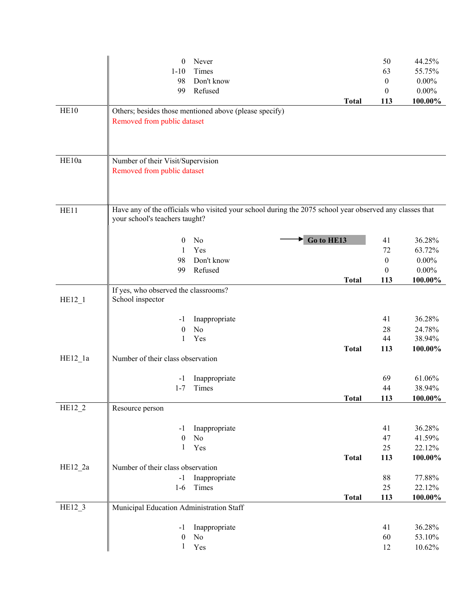|           | $\boldsymbol{0}$                         | Never                                                                                                   |              | 50               | 44.25%           |
|-----------|------------------------------------------|---------------------------------------------------------------------------------------------------------|--------------|------------------|------------------|
|           | $1 - 10$                                 | Times                                                                                                   |              | 63               | 55.75%           |
|           | 98                                       | Don't know                                                                                              |              | $\boldsymbol{0}$ | $0.00\%$         |
|           | 99                                       | Refused                                                                                                 |              | $\boldsymbol{0}$ | $0.00\%$         |
|           |                                          |                                                                                                         | <b>Total</b> | 113              | 100.00%          |
| HE10      |                                          | Others; besides those mentioned above (please specify)                                                  |              |                  |                  |
|           | Removed from public dataset              |                                                                                                         |              |                  |                  |
|           |                                          |                                                                                                         |              |                  |                  |
|           |                                          |                                                                                                         |              |                  |                  |
|           |                                          |                                                                                                         |              |                  |                  |
| HE10a     | Number of their Visit/Supervision        |                                                                                                         |              |                  |                  |
|           | Removed from public dataset              |                                                                                                         |              |                  |                  |
|           |                                          |                                                                                                         |              |                  |                  |
|           |                                          |                                                                                                         |              |                  |                  |
| HE11      |                                          | Have any of the officials who visited your school during the 2075 school year observed any classes that |              |                  |                  |
|           | your school's teachers taught?           |                                                                                                         |              |                  |                  |
|           |                                          |                                                                                                         |              |                  |                  |
|           | $\boldsymbol{0}$                         | Go to HE13<br>No                                                                                        |              | 41               | 36.28%           |
|           | 1                                        | Yes                                                                                                     |              | 72               | 63.72%           |
|           | 98                                       | Don't know                                                                                              |              | $\boldsymbol{0}$ | $0.00\%$         |
|           | 99                                       | Refused                                                                                                 |              | $\mathbf{0}$     | $0.00\%$         |
|           |                                          |                                                                                                         | <b>Total</b> | 113              | 100.00%          |
|           | If yes, who observed the classrooms?     |                                                                                                         |              |                  |                  |
| $HE12_1$  | School inspector                         |                                                                                                         |              |                  |                  |
|           |                                          |                                                                                                         |              |                  |                  |
|           | $-1$                                     | Inappropriate                                                                                           |              | 41               | 36.28%           |
|           | $\boldsymbol{0}$                         | No                                                                                                      |              | 28               | 24.78%           |
|           | 1                                        | Yes                                                                                                     |              | 44               | 38.94%           |
|           |                                          |                                                                                                         | <b>Total</b> | 113              | 100.00%          |
| $HE12_1a$ | Number of their class observation        |                                                                                                         |              |                  |                  |
|           |                                          |                                                                                                         |              |                  |                  |
|           | $-1$                                     | Inappropriate                                                                                           |              | 69               | 61.06%           |
|           | $1 - 7$                                  | Times                                                                                                   |              | 44               | 38.94%           |
|           |                                          |                                                                                                         | <b>Total</b> | 113              | 100.00%          |
| $HE12_2$  | Resource person                          |                                                                                                         |              |                  |                  |
|           |                                          |                                                                                                         |              |                  |                  |
|           | $-1$<br>$\boldsymbol{0}$                 | Inappropriate                                                                                           |              | 41               | 36.28%           |
|           | $\mathbf{1}$                             | No<br>Yes                                                                                               |              | 47<br>25         | 41.59%<br>22.12% |
|           |                                          |                                                                                                         | <b>Total</b> | 113              | 100.00%          |
| HE12_2a   | Number of their class observation        |                                                                                                         |              |                  |                  |
|           | $-1$                                     | Inappropriate                                                                                           |              | 88               | 77.88%           |
|           | $1-6$                                    | Times                                                                                                   |              | 25               | 22.12%           |
|           |                                          |                                                                                                         | <b>Total</b> | 113              | 100.00%          |
| $HE12_3$  | Municipal Education Administration Staff |                                                                                                         |              |                  |                  |
|           |                                          |                                                                                                         |              |                  |                  |
|           | $-1$                                     | Inappropriate                                                                                           |              | 41               | 36.28%           |
|           | $\boldsymbol{0}$                         | $\rm No$                                                                                                |              | 60               | 53.10%           |
|           | $\mathbf{1}$                             | Yes                                                                                                     |              | 12               | 10.62%           |
|           |                                          |                                                                                                         |              |                  |                  |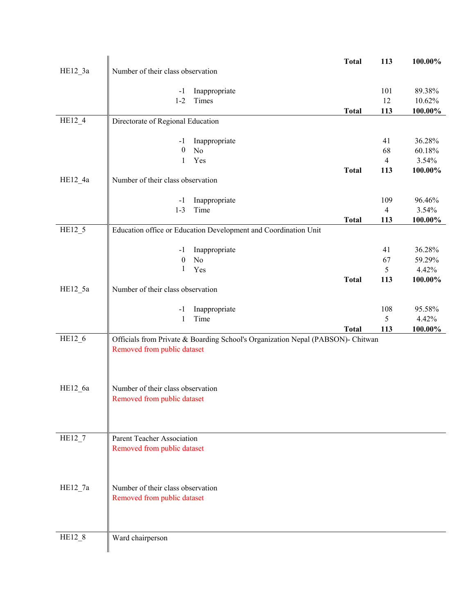|           |                                                                                 | <b>Total</b> | 113            | 100.00%         |
|-----------|---------------------------------------------------------------------------------|--------------|----------------|-----------------|
| $HE12_3a$ | Number of their class observation                                               |              |                |                 |
|           |                                                                                 |              |                |                 |
|           | Inappropriate<br>$-1$                                                           |              | 101            | 89.38%          |
|           | $1-2$<br>Times                                                                  |              | 12             | 10.62%          |
|           |                                                                                 | <b>Total</b> | 113            | 100.00%         |
| HE12_4    | Directorate of Regional Education                                               |              |                |                 |
|           | $-1$                                                                            |              | 41             | 36.28%          |
|           | Inappropriate<br>$\boldsymbol{0}$<br>$\rm No$                                   |              | 68             | 60.18%          |
|           | Yes<br>$\mathbf{1}$                                                             |              | $\overline{4}$ | 3.54%           |
|           |                                                                                 | <b>Total</b> | 113            | 100.00%         |
| HE12_4a   | Number of their class observation                                               |              |                |                 |
|           |                                                                                 |              |                |                 |
|           | Inappropriate<br>$-1$                                                           |              | 109            | 96.46%          |
|           | $1 - 3$<br>Time                                                                 |              | 4              | 3.54%           |
|           |                                                                                 | <b>Total</b> | 113            | 100.00%         |
| HE12_5    | Education office or Education Development and Coordination Unit                 |              |                |                 |
|           |                                                                                 |              |                |                 |
|           | Inappropriate<br>-1                                                             |              | 41             | 36.28%          |
|           | $\boldsymbol{0}$<br>No<br>$\mathbf{1}$<br>Yes                                   |              | 67<br>5        | 59.29%<br>4.42% |
|           |                                                                                 | <b>Total</b> | 113            | 100.00%         |
| $HE12_5a$ | Number of their class observation                                               |              |                |                 |
|           |                                                                                 |              |                |                 |
|           | Inappropriate<br>$-1$                                                           |              | 108            | 95.58%          |
|           | Time<br>1                                                                       |              | 5              | 4.42%           |
|           |                                                                                 | <b>Total</b> | 113            | 100.00%         |
| HE12_6    | Officials from Private & Boarding School's Organization Nepal (PABSON)- Chitwan |              |                |                 |
|           | Removed from public dataset                                                     |              |                |                 |
|           |                                                                                 |              |                |                 |
|           |                                                                                 |              |                |                 |
| HE12_6a   | Number of their class observation                                               |              |                |                 |
|           | Removed from public dataset                                                     |              |                |                 |
|           |                                                                                 |              |                |                 |
|           |                                                                                 |              |                |                 |
|           |                                                                                 |              |                |                 |
| $HE12_7$  | Parent Teacher Association                                                      |              |                |                 |
|           | Removed from public dataset                                                     |              |                |                 |
|           |                                                                                 |              |                |                 |
|           |                                                                                 |              |                |                 |
|           |                                                                                 |              |                |                 |
| HE12 7a   | Number of their class observation                                               |              |                |                 |
|           | Removed from public dataset                                                     |              |                |                 |
|           |                                                                                 |              |                |                 |
|           |                                                                                 |              |                |                 |
| HE12 8    | Ward chairperson                                                                |              |                |                 |
|           |                                                                                 |              |                |                 |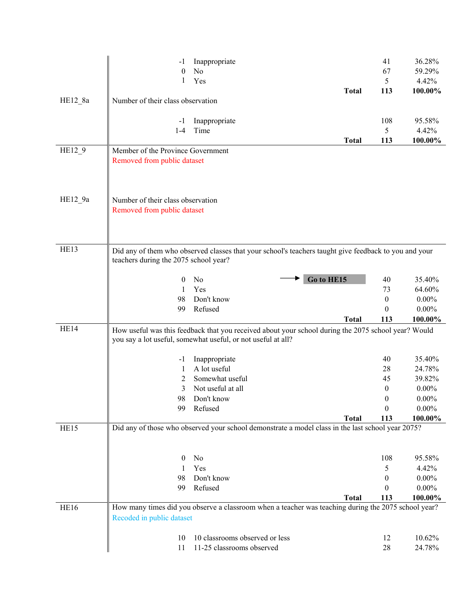| No<br>$\theta$<br>67<br>59.29%<br>1<br>Yes<br>5<br>4.42%<br>113<br><b>Total</b><br>$HE12_8a$<br>Number of their class observation<br>108<br>95.58%<br>Inappropriate<br>-1<br>Time<br>5<br>$1-4$<br>4.42%<br>113<br><b>Total</b><br>HE12_9<br>Member of the Province Government<br>Removed from public dataset | -1 | Inappropriate | 41               | 36.28%   |
|---------------------------------------------------------------------------------------------------------------------------------------------------------------------------------------------------------------------------------------------------------------------------------------------------------------|----|---------------|------------------|----------|
|                                                                                                                                                                                                                                                                                                               |    |               |                  |          |
|                                                                                                                                                                                                                                                                                                               |    |               |                  |          |
|                                                                                                                                                                                                                                                                                                               |    |               |                  | 100.00%  |
|                                                                                                                                                                                                                                                                                                               |    |               |                  |          |
|                                                                                                                                                                                                                                                                                                               |    |               |                  |          |
|                                                                                                                                                                                                                                                                                                               |    |               |                  |          |
|                                                                                                                                                                                                                                                                                                               |    |               |                  |          |
|                                                                                                                                                                                                                                                                                                               |    |               |                  | 100.00%  |
|                                                                                                                                                                                                                                                                                                               |    |               |                  |          |
|                                                                                                                                                                                                                                                                                                               |    |               |                  |          |
|                                                                                                                                                                                                                                                                                                               |    |               |                  |          |
|                                                                                                                                                                                                                                                                                                               |    |               |                  |          |
|                                                                                                                                                                                                                                                                                                               |    |               |                  |          |
|                                                                                                                                                                                                                                                                                                               |    |               |                  |          |
| HE12_9a<br>Number of their class observation                                                                                                                                                                                                                                                                  |    |               |                  |          |
| Removed from public dataset                                                                                                                                                                                                                                                                                   |    |               |                  |          |
|                                                                                                                                                                                                                                                                                                               |    |               |                  |          |
|                                                                                                                                                                                                                                                                                                               |    |               |                  |          |
|                                                                                                                                                                                                                                                                                                               |    |               |                  |          |
| HE13<br>Did any of them who observed classes that your school's teachers taught give feedback to you and your                                                                                                                                                                                                 |    |               |                  |          |
| teachers during the 2075 school year?                                                                                                                                                                                                                                                                         |    |               |                  |          |
|                                                                                                                                                                                                                                                                                                               |    |               |                  |          |
| Go to HE15<br>No<br>35.40%<br>$\theta$<br>40                                                                                                                                                                                                                                                                  | 98 |               |                  |          |
| Yes<br>73<br>64.60%<br>1                                                                                                                                                                                                                                                                                      | 99 | Refused       | $\boldsymbol{0}$ | $0.00\%$ |
| Don't know<br>$\boldsymbol{0}$<br>$0.00\%$                                                                                                                                                                                                                                                                    |    |               |                  |          |
| <b>Total</b><br>113                                                                                                                                                                                                                                                                                           |    |               |                  | 100.00%  |
| HE14                                                                                                                                                                                                                                                                                                          |    |               |                  |          |
| How useful was this feedback that you received about your school during the 2075 school year? Would<br>you say a lot useful, somewhat useful, or not useful at all?                                                                                                                                           |    |               |                  |          |
|                                                                                                                                                                                                                                                                                                               |    |               |                  |          |
| 35.40%<br>40<br>Inappropriate<br>-1                                                                                                                                                                                                                                                                           |    |               |                  |          |
| A lot useful<br>28<br>24.78%<br>1                                                                                                                                                                                                                                                                             |    |               |                  |          |
| Somewhat useful<br>39.82%<br>2<br>45                                                                                                                                                                                                                                                                          |    |               |                  |          |
| Not useful at all<br>0<br>$0.00\%$<br>3                                                                                                                                                                                                                                                                       |    |               |                  |          |
| Don't know<br>$0.00\%$<br>98<br>0                                                                                                                                                                                                                                                                             |    |               |                  |          |
| Refused<br>$\boldsymbol{0}$<br>$0.00\%$<br>99                                                                                                                                                                                                                                                                 |    |               |                  |          |
| 113<br><b>Total</b>                                                                                                                                                                                                                                                                                           |    |               |                  | 100.00%  |
| Did any of those who observed your school demonstrate a model class in the last school year 2075?<br>HE15                                                                                                                                                                                                     |    |               |                  |          |
|                                                                                                                                                                                                                                                                                                               |    |               |                  |          |
|                                                                                                                                                                                                                                                                                                               |    |               |                  |          |
| No<br>108<br>95.58%<br>$\bf{0}$                                                                                                                                                                                                                                                                               |    |               |                  |          |
| 5<br>Yes<br>4.42%<br>1                                                                                                                                                                                                                                                                                        |    |               |                  |          |
| Don't know<br>98<br>$0.00\%$<br>0                                                                                                                                                                                                                                                                             |    |               |                  |          |
| Refused<br>$\theta$<br>$0.00\%$<br>99                                                                                                                                                                                                                                                                         |    |               |                  |          |
| <b>Total</b><br>113                                                                                                                                                                                                                                                                                           |    |               |                  | 100.00%  |
| How many times did you observe a classroom when a teacher was teaching during the 2075 school year?<br>HE16                                                                                                                                                                                                   |    |               |                  |          |
| Recoded in public dataset                                                                                                                                                                                                                                                                                     |    |               |                  |          |
| 10 classrooms observed or less<br>10.62%<br>12<br>10                                                                                                                                                                                                                                                          |    |               |                  |          |
|                                                                                                                                                                                                                                                                                                               |    |               |                  |          |
|                                                                                                                                                                                                                                                                                                               |    |               |                  |          |
|                                                                                                                                                                                                                                                                                                               |    |               |                  |          |
|                                                                                                                                                                                                                                                                                                               |    |               |                  |          |
|                                                                                                                                                                                                                                                                                                               |    |               |                  |          |
|                                                                                                                                                                                                                                                                                                               |    |               |                  |          |
|                                                                                                                                                                                                                                                                                                               |    |               |                  |          |
|                                                                                                                                                                                                                                                                                                               |    |               |                  |          |
|                                                                                                                                                                                                                                                                                                               |    |               |                  |          |
|                                                                                                                                                                                                                                                                                                               |    |               |                  |          |
|                                                                                                                                                                                                                                                                                                               |    |               |                  |          |
|                                                                                                                                                                                                                                                                                                               |    |               |                  |          |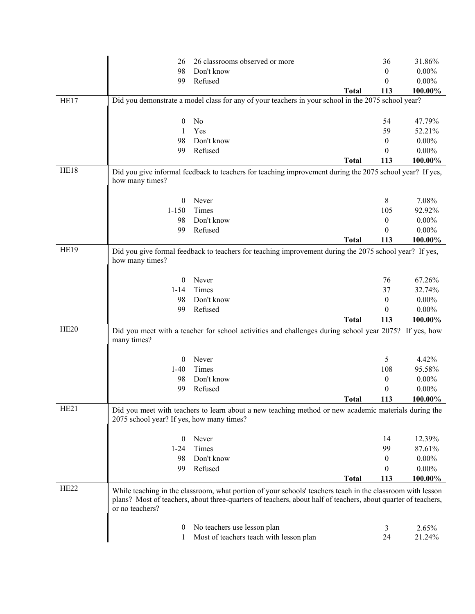|                  | 26                                        | 26 classrooms observed or more                                                                                                                                                                                              |              | 36               | 31.86%   |
|------------------|-------------------------------------------|-----------------------------------------------------------------------------------------------------------------------------------------------------------------------------------------------------------------------------|--------------|------------------|----------|
|                  | 98                                        | Don't know                                                                                                                                                                                                                  |              | $\boldsymbol{0}$ | $0.00\%$ |
|                  | 99                                        | Refused                                                                                                                                                                                                                     |              | 0                | $0.00\%$ |
|                  |                                           |                                                                                                                                                                                                                             | <b>Total</b> | 113              | 100.00%  |
| HE17             |                                           | Did you demonstrate a model class for any of your teachers in your school in the 2075 school year?                                                                                                                          |              |                  |          |
|                  |                                           |                                                                                                                                                                                                                             |              |                  |          |
|                  | $\boldsymbol{0}$                          | No                                                                                                                                                                                                                          |              | 54               | 47.79%   |
|                  | 1                                         | Yes                                                                                                                                                                                                                         |              | 59               | 52.21%   |
|                  | 98                                        | Don't know                                                                                                                                                                                                                  |              | $\boldsymbol{0}$ | $0.00\%$ |
|                  | 99                                        | Refused                                                                                                                                                                                                                     |              | 0                | $0.00\%$ |
|                  |                                           |                                                                                                                                                                                                                             | <b>Total</b> | 113              | 100.00%  |
| HE18             |                                           | Did you give informal feedback to teachers for teaching improvement during the 2075 school year? If yes,                                                                                                                    |              |                  |          |
|                  | how many times?                           |                                                                                                                                                                                                                             |              |                  |          |
|                  |                                           |                                                                                                                                                                                                                             |              |                  |          |
|                  | $\bf{0}$                                  | Never                                                                                                                                                                                                                       |              | 8                | 7.08%    |
|                  | $1 - 150$                                 | Times                                                                                                                                                                                                                       |              | 105              | 92.92%   |
|                  | 98                                        | Don't know                                                                                                                                                                                                                  |              | 0                | $0.00\%$ |
|                  | 99                                        | Refused                                                                                                                                                                                                                     |              | 0                | $0.00\%$ |
|                  |                                           |                                                                                                                                                                                                                             | <b>Total</b> | 113              | 100.00%  |
| <b>HE19</b>      |                                           | Did you give formal feedback to teachers for teaching improvement during the 2075 school year? If yes,                                                                                                                      |              |                  |          |
|                  | how many times?                           |                                                                                                                                                                                                                             |              |                  |          |
|                  |                                           |                                                                                                                                                                                                                             |              |                  |          |
|                  | $\bf{0}$                                  | Never                                                                                                                                                                                                                       |              | 76               | 67.26%   |
|                  | $1 - 14$                                  | Times                                                                                                                                                                                                                       |              | 37               | 32.74%   |
|                  | 98                                        | Don't know                                                                                                                                                                                                                  |              | 0                | $0.00\%$ |
|                  | 99                                        | Refused                                                                                                                                                                                                                     |              | $\theta$         | $0.00\%$ |
|                  |                                           |                                                                                                                                                                                                                             | <b>Total</b> | 113              | 100.00%  |
| HE <sub>20</sub> |                                           |                                                                                                                                                                                                                             |              |                  |          |
|                  | many times?                               | Did you meet with a teacher for school activities and challenges during school year 2075? If yes, how                                                                                                                       |              |                  |          |
|                  | $\bf{0}$                                  | Never                                                                                                                                                                                                                       |              | 5                | 4.42%    |
|                  | $1-40$                                    | Times                                                                                                                                                                                                                       |              | 108              | 95.58%   |
|                  | 98                                        | Don't know                                                                                                                                                                                                                  |              | 0                | $0.00\%$ |
|                  | 99                                        | Refused                                                                                                                                                                                                                     |              | $\boldsymbol{0}$ | $0.00\%$ |
|                  |                                           |                                                                                                                                                                                                                             |              |                  |          |
|                  |                                           |                                                                                                                                                                                                                             | <b>Total</b> | 113              | 100.00%  |
| HE <sub>21</sub> | 2075 school year? If yes, how many times? | Did you meet with teachers to learn about a new teaching method or new academic materials during the                                                                                                                        |              |                  |          |
|                  | $\bf{0}$                                  | Never                                                                                                                                                                                                                       |              | 14               | 12.39%   |
|                  | $1 - 24$                                  | Times                                                                                                                                                                                                                       |              | 99               | 87.61%   |
|                  | 98                                        | Don't know                                                                                                                                                                                                                  |              | 0                | $0.00\%$ |
|                  | 99                                        | Refused                                                                                                                                                                                                                     |              | 0                | $0.00\%$ |
|                  |                                           |                                                                                                                                                                                                                             | <b>Total</b> | 113              | 100.00%  |
| HE <sub>22</sub> |                                           |                                                                                                                                                                                                                             |              |                  |          |
|                  | or no teachers?                           | While teaching in the classroom, what portion of your schools' teachers teach in the classroom with lesson<br>plans? Most of teachers, about three-quarters of teachers, about half of teachers, about quarter of teachers, |              |                  |          |
|                  |                                           |                                                                                                                                                                                                                             |              |                  |          |
|                  | $\theta$                                  | No teachers use lesson plan                                                                                                                                                                                                 |              | 3                | 2.65%    |
|                  | 1                                         | Most of teachers teach with lesson plan                                                                                                                                                                                     |              | 24               | 21.24%   |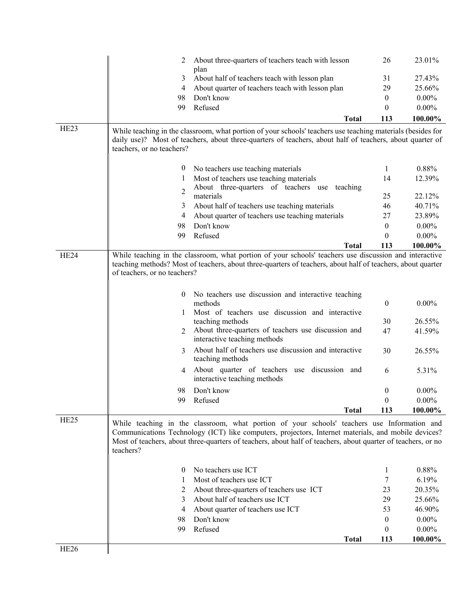|                  | 2                            | About three-quarters of teachers teach with lesson                                                                                                                                                                      | 26                  | 23.01%   |
|------------------|------------------------------|-------------------------------------------------------------------------------------------------------------------------------------------------------------------------------------------------------------------------|---------------------|----------|
|                  | 3                            | plan<br>About half of teachers teach with lesson plan                                                                                                                                                                   | 31                  | 27.43%   |
|                  | 4                            | About quarter of teachers teach with lesson plan                                                                                                                                                                        | 29                  | 25.66%   |
|                  | 98                           | Don't know                                                                                                                                                                                                              | $\mathbf{0}$        | $0.00\%$ |
|                  | 99                           | Refused                                                                                                                                                                                                                 | $\theta$            | $0.00\%$ |
|                  |                              |                                                                                                                                                                                                                         | <b>Total</b><br>113 | 100.00%  |
| HE <sub>23</sub> |                              |                                                                                                                                                                                                                         |                     |          |
|                  |                              | While teaching in the classroom, what portion of your schools' teachers use teaching materials (besides for<br>daily use)? Most of teachers, about three-quarters of teachers, about half of teachers, about quarter of |                     |          |
|                  | teachers, or no teachers?    |                                                                                                                                                                                                                         |                     |          |
|                  |                              |                                                                                                                                                                                                                         |                     |          |
|                  | $\theta$                     | No teachers use teaching materials                                                                                                                                                                                      | 1                   | 0.88%    |
|                  | 1                            | Most of teachers use teaching materials                                                                                                                                                                                 | 14                  | 12.39%   |
|                  | $\overline{c}$               | About three-quarters of teachers use teaching                                                                                                                                                                           |                     |          |
|                  |                              | materials                                                                                                                                                                                                               | 25                  | 22.12%   |
|                  | 3                            | About half of teachers use teaching materials                                                                                                                                                                           | 46                  | 40.71%   |
|                  | 4                            | About quarter of teachers use teaching materials                                                                                                                                                                        | 27                  | 23.89%   |
|                  | 98                           | Don't know                                                                                                                                                                                                              | $\theta$            | $0.00\%$ |
|                  | 99                           | Refused                                                                                                                                                                                                                 | $\theta$            | $0.00\%$ |
|                  |                              |                                                                                                                                                                                                                         | 113<br><b>Total</b> | 100.00%  |
| HE24             |                              | While teaching in the classroom, what portion of your schools' teachers use discussion and interactive                                                                                                                  |                     |          |
|                  |                              | teaching methods? Most of teachers, about three-quarters of teachers, about half of teachers, about quarter                                                                                                             |                     |          |
|                  | of teachers, or no teachers? |                                                                                                                                                                                                                         |                     |          |
|                  |                              |                                                                                                                                                                                                                         |                     |          |
|                  | $\bf{0}$                     | No teachers use discussion and interactive teaching                                                                                                                                                                     |                     |          |
|                  |                              | methods<br>Most of teachers use discussion and interactive                                                                                                                                                              | $\boldsymbol{0}$    | $0.00\%$ |
|                  | 1                            | teaching methods                                                                                                                                                                                                        | 30                  | 26.55%   |
|                  | 2                            | About three-quarters of teachers use discussion and                                                                                                                                                                     | 47                  | 41.59%   |
|                  |                              | interactive teaching methods                                                                                                                                                                                            |                     |          |
|                  | 3                            | About half of teachers use discussion and interactive                                                                                                                                                                   | 30                  | 26.55%   |
|                  |                              | teaching methods                                                                                                                                                                                                        |                     |          |
|                  | 4                            | About quarter of teachers use discussion and                                                                                                                                                                            | 6                   | 5.31%    |
|                  |                              | interactive teaching methods                                                                                                                                                                                            |                     |          |
|                  | 98                           | Don't know                                                                                                                                                                                                              | $\boldsymbol{0}$    | $0.00\%$ |
|                  |                              | 99 Refused                                                                                                                                                                                                              | $\boldsymbol{0}$    | $0.00\%$ |
|                  |                              |                                                                                                                                                                                                                         | 113<br><b>Total</b> | 100.00%  |
| HE <sub>25</sub> |                              | While teaching in the classroom, what portion of your schools' teachers use Information and                                                                                                                             |                     |          |
|                  |                              | Communications Technology (ICT) like computers, projectors, Internet materials, and mobile devices?                                                                                                                     |                     |          |
|                  |                              | Most of teachers, about three-quarters of teachers, about half of teachers, about quarter of teachers, or no                                                                                                            |                     |          |
|                  | teachers?                    |                                                                                                                                                                                                                         |                     |          |
|                  |                              |                                                                                                                                                                                                                         |                     |          |
|                  | $\theta$                     | No teachers use ICT                                                                                                                                                                                                     | 1                   | 0.88%    |
|                  | 1                            | Most of teachers use ICT                                                                                                                                                                                                | 7                   | 6.19%    |
|                  | 2                            | About three-quarters of teachers use ICT                                                                                                                                                                                | 23                  | 20.35%   |
|                  | 3                            | About half of teachers use ICT                                                                                                                                                                                          | 29                  | 25.66%   |
|                  | 4                            | About quarter of teachers use ICT                                                                                                                                                                                       | 53                  | 46.90%   |
|                  | 98                           | Don't know                                                                                                                                                                                                              | $\mathbf{0}$        | $0.00\%$ |
|                  | 99                           | Refused                                                                                                                                                                                                                 | $\theta$            | $0.00\%$ |
|                  |                              |                                                                                                                                                                                                                         | <b>Total</b><br>113 | 100.00%  |
| HE <sub>26</sub> |                              |                                                                                                                                                                                                                         |                     |          |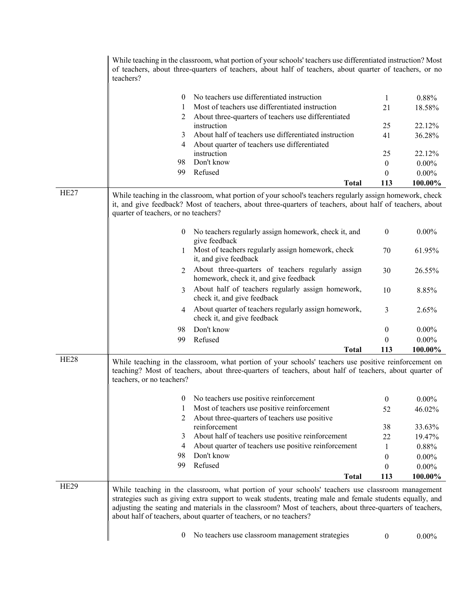|                  | teachers?                            | While teaching in the classroom, what portion of your schools' teachers use differentiated instruction? Most<br>of teachers, about three-quarters of teachers, about half of teachers, about quarter of teachers, or no                                                                                                                                                                         |                  |          |
|------------------|--------------------------------------|-------------------------------------------------------------------------------------------------------------------------------------------------------------------------------------------------------------------------------------------------------------------------------------------------------------------------------------------------------------------------------------------------|------------------|----------|
|                  | 0                                    | No teachers use differentiated instruction                                                                                                                                                                                                                                                                                                                                                      | 1                | 0.88%    |
|                  | 1                                    | Most of teachers use differentiated instruction                                                                                                                                                                                                                                                                                                                                                 | 21               | 18.58%   |
|                  | 2                                    | About three-quarters of teachers use differentiated                                                                                                                                                                                                                                                                                                                                             |                  |          |
|                  |                                      | instruction                                                                                                                                                                                                                                                                                                                                                                                     | 25               | 22.12%   |
|                  | 3                                    | About half of teachers use differentiated instruction                                                                                                                                                                                                                                                                                                                                           | 41               | 36.28%   |
|                  | 4                                    | About quarter of teachers use differentiated                                                                                                                                                                                                                                                                                                                                                    |                  |          |
|                  | 98                                   | instruction<br>Don't know                                                                                                                                                                                                                                                                                                                                                                       | 25               | 22.12%   |
|                  | 99                                   | Refused                                                                                                                                                                                                                                                                                                                                                                                         | $\boldsymbol{0}$ | $0.00\%$ |
|                  |                                      |                                                                                                                                                                                                                                                                                                                                                                                                 | 0                | $0.00\%$ |
| HE <sub>27</sub> |                                      | <b>Total</b>                                                                                                                                                                                                                                                                                                                                                                                    | 113              | 100.00%  |
|                  | quarter of teachers, or no teachers? | While teaching in the classroom, what portion of your school's teachers regularly assign homework, check<br>it, and give feedback? Most of teachers, about three-quarters of teachers, about half of teachers, about                                                                                                                                                                            |                  |          |
|                  | $\bf{0}$                             | No teachers regularly assign homework, check it, and<br>give feedback                                                                                                                                                                                                                                                                                                                           | $\boldsymbol{0}$ | $0.00\%$ |
|                  | 1                                    | Most of teachers regularly assign homework, check<br>it, and give feedback                                                                                                                                                                                                                                                                                                                      | 70               | 61.95%   |
|                  | 2                                    | About three-quarters of teachers regularly assign<br>homework, check it, and give feedback                                                                                                                                                                                                                                                                                                      | 30               | 26.55%   |
|                  | 3                                    | About half of teachers regularly assign homework,<br>check it, and give feedback                                                                                                                                                                                                                                                                                                                | 10               | 8.85%    |
|                  | 4                                    | About quarter of teachers regularly assign homework,<br>check it, and give feedback                                                                                                                                                                                                                                                                                                             | 3                | 2.65%    |
|                  | 98                                   | Don't know                                                                                                                                                                                                                                                                                                                                                                                      | 0                | $0.00\%$ |
|                  | 99                                   | Refused                                                                                                                                                                                                                                                                                                                                                                                         | $\theta$         | $0.00\%$ |
|                  |                                      | <b>Total</b>                                                                                                                                                                                                                                                                                                                                                                                    | 113              | 100.00%  |
| HE <sub>28</sub> | teachers, or no teachers?            | While teaching in the classroom, what portion of your schools' teachers use positive reinforcement on<br>teaching? Most of teachers, about three-quarters of teachers, about half of teachers, about quarter of                                                                                                                                                                                 |                  |          |
|                  |                                      | 0 No teachers use positive reinforcement                                                                                                                                                                                                                                                                                                                                                        | $\Omega$         | $0.00\%$ |
|                  |                                      | Most of teachers use positive reinforcement                                                                                                                                                                                                                                                                                                                                                     | 52               | 46.02%   |
|                  | 2                                    | About three-quarters of teachers use positive                                                                                                                                                                                                                                                                                                                                                   |                  |          |
|                  |                                      | reinforcement                                                                                                                                                                                                                                                                                                                                                                                   | 38               | 33.63%   |
|                  | 3                                    | About half of teachers use positive reinforcement                                                                                                                                                                                                                                                                                                                                               | 22               | 19.47%   |
|                  | 4                                    | About quarter of teachers use positive reinforcement                                                                                                                                                                                                                                                                                                                                            | 1                | 0.88%    |
|                  | 98                                   | Don't know                                                                                                                                                                                                                                                                                                                                                                                      | 0                | $0.00\%$ |
|                  | 99                                   | Refused                                                                                                                                                                                                                                                                                                                                                                                         | 0                | $0.00\%$ |
|                  |                                      | <b>Total</b>                                                                                                                                                                                                                                                                                                                                                                                    | 113              | 100.00%  |
| <b>HE29</b>      |                                      | While teaching in the classroom, what portion of your schools' teachers use classroom management<br>strategies such as giving extra support to weak students, treating male and female students equally, and<br>adjusting the seating and materials in the classroom? Most of teachers, about three-quarters of teachers,<br>about half of teachers, about quarter of teachers, or no teachers? |                  |          |
|                  | 0                                    | No teachers use classroom management strategies                                                                                                                                                                                                                                                                                                                                                 | $\boldsymbol{0}$ | $0.00\%$ |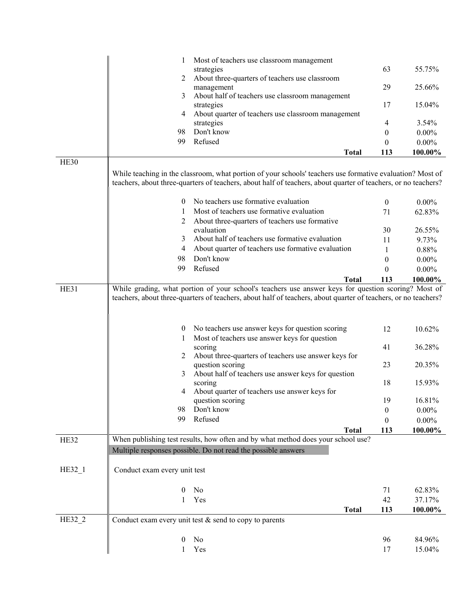|          |                                                                                                                                                                                                                             | Most of teachers use classroom management<br>strategies                                                                                                                                                                                                    | 63                   | 55.75%                               |  |  |
|----------|-----------------------------------------------------------------------------------------------------------------------------------------------------------------------------------------------------------------------------|------------------------------------------------------------------------------------------------------------------------------------------------------------------------------------------------------------------------------------------------------------|----------------------|--------------------------------------|--|--|
|          | 2                                                                                                                                                                                                                           | About three-quarters of teachers use classroom                                                                                                                                                                                                             |                      |                                      |  |  |
|          |                                                                                                                                                                                                                             | management                                                                                                                                                                                                                                                 | 29                   | 25.66%                               |  |  |
|          | 3                                                                                                                                                                                                                           | About half of teachers use classroom management                                                                                                                                                                                                            |                      |                                      |  |  |
|          |                                                                                                                                                                                                                             | strategies                                                                                                                                                                                                                                                 | 17                   | 15.04%                               |  |  |
|          | 4                                                                                                                                                                                                                           | About quarter of teachers use classroom management                                                                                                                                                                                                         |                      |                                      |  |  |
|          |                                                                                                                                                                                                                             | strategies                                                                                                                                                                                                                                                 | 4                    | 3.54%                                |  |  |
|          | 98                                                                                                                                                                                                                          | Don't know<br>Refused                                                                                                                                                                                                                                      | $\mathbf{0}$         | $0.00\%$                             |  |  |
|          | 99                                                                                                                                                                                                                          |                                                                                                                                                                                                                                                            | $\theta$             | $0.00\%$                             |  |  |
|          |                                                                                                                                                                                                                             | <b>Total</b>                                                                                                                                                                                                                                               | 113                  | 100.00%                              |  |  |
| HE30     |                                                                                                                                                                                                                             |                                                                                                                                                                                                                                                            |                      |                                      |  |  |
|          | While teaching in the classroom, what portion of your schools' teachers use formative evaluation? Most of<br>teachers, about three-quarters of teachers, about half of teachers, about quarter of teachers, or no teachers? |                                                                                                                                                                                                                                                            |                      |                                      |  |  |
|          | $\theta$                                                                                                                                                                                                                    | No teachers use formative evaluation                                                                                                                                                                                                                       | $\mathbf{0}$         | $0.00\%$                             |  |  |
|          | 1                                                                                                                                                                                                                           | Most of teachers use formative evaluation                                                                                                                                                                                                                  | 71                   | 62.83%                               |  |  |
|          | 2                                                                                                                                                                                                                           | About three-quarters of teachers use formative                                                                                                                                                                                                             |                      |                                      |  |  |
|          |                                                                                                                                                                                                                             | evaluation                                                                                                                                                                                                                                                 | 30                   | 26.55%                               |  |  |
|          | 3                                                                                                                                                                                                                           | About half of teachers use formative evaluation                                                                                                                                                                                                            | 11                   | 9.73%                                |  |  |
|          | 4                                                                                                                                                                                                                           | About quarter of teachers use formative evaluation                                                                                                                                                                                                         | 1                    | 0.88%                                |  |  |
|          | 98                                                                                                                                                                                                                          | Don't know                                                                                                                                                                                                                                                 | $\boldsymbol{0}$     | $0.00\%$                             |  |  |
|          | 99                                                                                                                                                                                                                          | Refused                                                                                                                                                                                                                                                    | $\theta$             | $0.00\%$                             |  |  |
|          |                                                                                                                                                                                                                             | <b>Total</b>                                                                                                                                                                                                                                               | 113                  | 100.00%                              |  |  |
|          | $\bf{0}$<br>1<br>2<br>3                                                                                                                                                                                                     | No teachers use answer keys for question scoring<br>Most of teachers use answer keys for question<br>scoring<br>About three-quarters of teachers use answer keys for<br>question scoring<br>About half of teachers use answer keys for question<br>scoring | 12<br>41<br>23<br>18 | 10.62%<br>36.28%<br>20.35%<br>15.93% |  |  |
|          | 4                                                                                                                                                                                                                           | About quarter of teachers use answer keys for                                                                                                                                                                                                              |                      |                                      |  |  |
|          |                                                                                                                                                                                                                             | question scoring                                                                                                                                                                                                                                           | 19                   | 16.81%                               |  |  |
|          | 98                                                                                                                                                                                                                          | Don't know                                                                                                                                                                                                                                                 | $\boldsymbol{0}$     | $0.00\%$                             |  |  |
|          | 99                                                                                                                                                                                                                          | Refused                                                                                                                                                                                                                                                    | $\theta$             | $0.00\%$                             |  |  |
|          |                                                                                                                                                                                                                             | <b>Total</b>                                                                                                                                                                                                                                               | 113                  | 100.00%                              |  |  |
| HE32     |                                                                                                                                                                                                                             | When publishing test results, how often and by what method does your school use?                                                                                                                                                                           |                      |                                      |  |  |
|          |                                                                                                                                                                                                                             | Multiple responses possible. Do not read the possible answers                                                                                                                                                                                              |                      |                                      |  |  |
| $HE32_1$ | Conduct exam every unit test                                                                                                                                                                                                |                                                                                                                                                                                                                                                            |                      |                                      |  |  |
|          | $\boldsymbol{0}$                                                                                                                                                                                                            | No                                                                                                                                                                                                                                                         | 71                   | 62.83%                               |  |  |
|          | 1                                                                                                                                                                                                                           | Yes                                                                                                                                                                                                                                                        | 42                   | 37.17%                               |  |  |
|          |                                                                                                                                                                                                                             | <b>Total</b>                                                                                                                                                                                                                                               | 113                  | 100.00%                              |  |  |
| HE32_2   |                                                                                                                                                                                                                             | Conduct exam every unit test $&$ send to copy to parents                                                                                                                                                                                                   |                      |                                      |  |  |
|          | 0                                                                                                                                                                                                                           | No                                                                                                                                                                                                                                                         | 96                   | 84.96%                               |  |  |
|          | 1                                                                                                                                                                                                                           | Yes                                                                                                                                                                                                                                                        | 17                   | 15.04%                               |  |  |
|          |                                                                                                                                                                                                                             |                                                                                                                                                                                                                                                            |                      |                                      |  |  |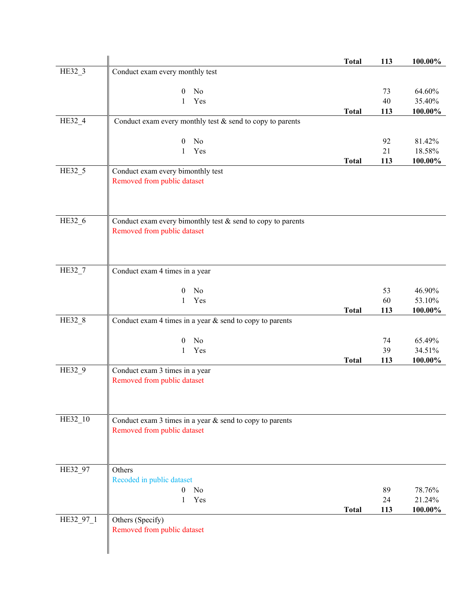|           |                                                                | <b>Total</b> | 113 | 100.00% |
|-----------|----------------------------------------------------------------|--------------|-----|---------|
| HE32_3    | Conduct exam every monthly test                                |              |     |         |
|           |                                                                |              |     |         |
|           | No<br>0                                                        |              | 73  | 64.60%  |
|           | Yes<br>1                                                       |              | 40  | 35.40%  |
| HE32_4    | Conduct exam every monthly test $&$ send to copy to parents    | <b>Total</b> | 113 | 100.00% |
|           |                                                                |              |     |         |
|           | No<br>$\boldsymbol{0}$                                         |              | 92  | 81.42%  |
|           | Yes<br>1                                                       |              | 21  | 18.58%  |
|           |                                                                | <b>Total</b> | 113 | 100.00% |
| HE32_5    | Conduct exam every bimonthly test                              |              |     |         |
|           | Removed from public dataset                                    |              |     |         |
|           |                                                                |              |     |         |
|           |                                                                |              |     |         |
| HE32_6    | Conduct exam every bimonthly test $\&$ send to copy to parents |              |     |         |
|           | Removed from public dataset                                    |              |     |         |
|           |                                                                |              |     |         |
|           |                                                                |              |     |         |
|           |                                                                |              |     |         |
| HE32 7    | Conduct exam 4 times in a year                                 |              |     |         |
|           | N <sub>0</sub><br>$\boldsymbol{0}$                             |              | 53  | 46.90%  |
|           | Yes<br>$\mathbf{1}$                                            |              | 60  | 53.10%  |
|           |                                                                | <b>Total</b> | 113 | 100.00% |
| HE32_8    | Conduct exam 4 times in a year $&$ send to copy to parents     |              |     |         |
|           |                                                                |              |     |         |
|           | No<br>$\theta$                                                 |              | 74  | 65.49%  |
|           | Yes<br>1                                                       |              | 39  | 34.51%  |
|           |                                                                | <b>Total</b> | 113 | 100.00% |
| HE32_9    | Conduct exam 3 times in a year<br>Removed from public dataset  |              |     |         |
|           |                                                                |              |     |         |
|           |                                                                |              |     |         |
|           |                                                                |              |     |         |
| HE32_10   | Conduct exam $3$ times in a year $\&$ send to copy to parents  |              |     |         |
|           | Removed from public dataset                                    |              |     |         |
|           |                                                                |              |     |         |
|           |                                                                |              |     |         |
| HE32_97   | Others                                                         |              |     |         |
|           | Recoded in public dataset                                      |              |     |         |
|           | No<br>$\overline{0}$                                           |              | 89  | 78.76%  |
|           | Yes<br>1                                                       |              | 24  | 21.24%  |
|           |                                                                | <b>Total</b> | 113 | 100.00% |
| HE32_97_1 | Others (Specify)                                               |              |     |         |
|           | Removed from public dataset                                    |              |     |         |
|           |                                                                |              |     |         |
|           |                                                                |              |     |         |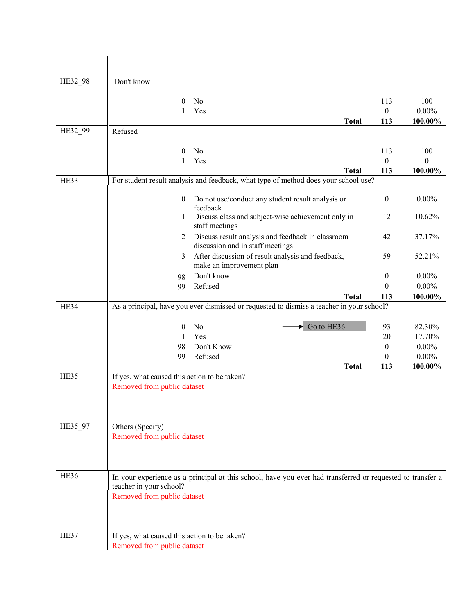| HE32_98 | Don't know                                                                  |                                                                                                            |                  |                  |
|---------|-----------------------------------------------------------------------------|------------------------------------------------------------------------------------------------------------|------------------|------------------|
|         | $\Omega$                                                                    | No                                                                                                         | 113              | 100              |
|         | 1                                                                           | Yes                                                                                                        | $\mathbf{0}$     | $0.00\%$         |
|         |                                                                             | <b>Total</b>                                                                                               | 113              | 100.00%          |
| HE32 99 | Refused                                                                     |                                                                                                            |                  |                  |
|         | $\theta$                                                                    | No                                                                                                         | 113              | 100              |
|         | 1                                                                           | Yes                                                                                                        | $\theta$         | $\boldsymbol{0}$ |
|         |                                                                             | <b>Total</b>                                                                                               | 113              | 100.00%          |
| HE33    |                                                                             | For student result analysis and feedback, what type of method does your school use?                        |                  |                  |
|         | $\overline{0}$                                                              | Do not use/conduct any student result analysis or<br>feedback                                              | $\mathbf{0}$     | $0.00\%$         |
|         | 1                                                                           | Discuss class and subject-wise achievement only in<br>staff meetings                                       | 12               | 10.62%           |
|         | 2                                                                           | Discuss result analysis and feedback in classroom<br>discussion and in staff meetings                      | 42               | 37.17%           |
|         | 3                                                                           | After discussion of result analysis and feedback,<br>make an improvement plan                              | 59               | 52.21%           |
|         | 98                                                                          | Don't know                                                                                                 | $\boldsymbol{0}$ | $0.00\%$         |
|         | 99                                                                          | Refused                                                                                                    | $\theta$         | $0.00\%$         |
| HE34    |                                                                             | <b>Total</b><br>As a principal, have you ever dismissed or requested to dismiss a teacher in your school?  | 113              | 100.00%          |
|         |                                                                             |                                                                                                            |                  |                  |
|         | $\theta$                                                                    | $\blacktriangleright$ Go to HE36<br>No                                                                     | 93               | 82.30%           |
|         | 1                                                                           | Yes                                                                                                        | 20               | 17.70%           |
|         | 98                                                                          | Don't Know                                                                                                 | $\mathbf{0}$     | $0.00\%$         |
|         | 99                                                                          | Refused                                                                                                    | $\theta$         | $0.00\%$         |
| HE35    |                                                                             | <b>Total</b>                                                                                               | 113              | 100.00%          |
|         | If yes, what caused this action to be taken?<br>Removed from public dataset |                                                                                                            |                  |                  |
|         |                                                                             |                                                                                                            |                  |                  |
| HE35_97 | Others (Specify)                                                            |                                                                                                            |                  |                  |
|         | Removed from public dataset                                                 |                                                                                                            |                  |                  |
| HE36    | teacher in your school?                                                     | In your experience as a principal at this school, have you ever had transferred or requested to transfer a |                  |                  |
|         | Removed from public dataset                                                 |                                                                                                            |                  |                  |
| HE37    | If yes, what caused this action to be taken?<br>Removed from public dataset |                                                                                                            |                  |                  |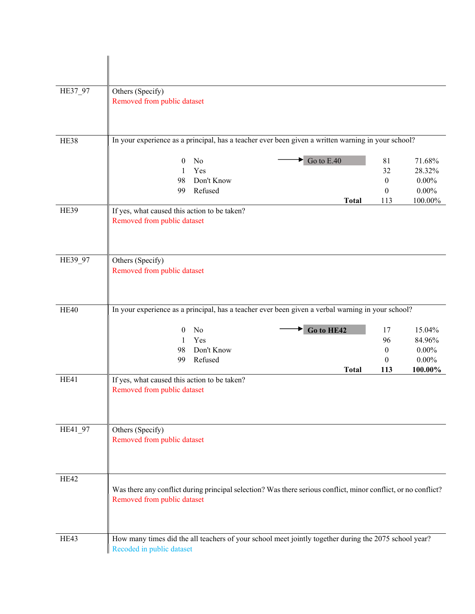| HE37_97     | Others (Specify)<br>Removed from public dataset                                                                                               |                                             |                                                     |
|-------------|-----------------------------------------------------------------------------------------------------------------------------------------------|---------------------------------------------|-----------------------------------------------------|
| <b>HE38</b> | In your experience as a principal, has a teacher ever been given a written warning in your school?                                            |                                             |                                                     |
|             | $\bullet$ Go to E.40<br>No<br>$\theta$<br>Yes<br>1<br>Don't Know<br>98<br>Refused<br>99                                                       | 81<br>32<br>$\boldsymbol{0}$<br>$\theta$    | 71.68%<br>28.32%<br>$0.00\%$<br>$0.00\%$            |
| HE39        | <b>Total</b><br>If yes, what caused this action to be taken?<br>Removed from public dataset                                                   | 113                                         | 100.00%                                             |
| HE39_97     | Others (Specify)<br>Removed from public dataset                                                                                               |                                             |                                                     |
| <b>HE40</b> | In your experience as a principal, has a teacher ever been given a verbal warning in your school?                                             |                                             |                                                     |
|             | Go to HE42<br>N <sub>o</sub><br>$\theta$<br>Yes<br>$\mathbf{1}$<br>98<br>Don't Know<br>Refused<br>99<br><b>Total</b>                          | 17<br>96<br>$\mathbf{0}$<br>$\theta$<br>113 | 15.04%<br>84.96%<br>$0.00\%$<br>$0.00\%$<br>100.00% |
| HE41        | If yes, what caused this action to be taken?<br>Removed from public dataset                                                                   |                                             |                                                     |
| HE41 97     | Others (Specify)<br>Removed from public dataset                                                                                               |                                             |                                                     |
| HE42        | Was there any conflict during principal selection? Was there serious conflict, minor conflict, or no conflict?<br>Removed from public dataset |                                             |                                                     |
| HE43        | How many times did the all teachers of your school meet jointly together during the 2075 school year?<br>Recoded in public dataset            |                                             |                                                     |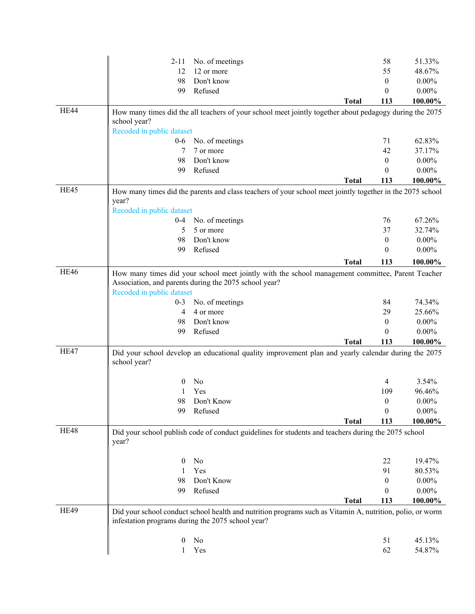|             | $2 - 11$                  | No. of meetings                                                                                           |              | 58                   | 51.33%   |
|-------------|---------------------------|-----------------------------------------------------------------------------------------------------------|--------------|----------------------|----------|
|             | 12                        | 12 or more                                                                                                |              | 55                   | 48.67%   |
|             | 98                        | Don't know                                                                                                |              | $\theta$             | $0.00\%$ |
|             | 99                        | Refused                                                                                                   |              | $\theta$             | $0.00\%$ |
|             |                           |                                                                                                           | <b>Total</b> | 113                  | 100.00%  |
| HE44        |                           | How many times did the all teachers of your school meet jointly together about pedagogy during the 2075   |              |                      |          |
|             | school year?              |                                                                                                           |              |                      |          |
|             | Recoded in public dataset |                                                                                                           |              |                      |          |
|             | $0-6$                     | No. of meetings                                                                                           |              | 71                   | 62.83%   |
|             | 7                         | 7 or more                                                                                                 |              | 42                   | 37.17%   |
|             | 98                        | Don't know                                                                                                |              | $\theta$             | $0.00\%$ |
|             | 99                        | Refused                                                                                                   |              | $\theta$             | $0.00\%$ |
|             |                           |                                                                                                           | <b>Total</b> | 113                  | 100.00%  |
| HE45        |                           | How many times did the parents and class teachers of your school meet jointly together in the 2075 school |              |                      |          |
|             | year?                     |                                                                                                           |              |                      |          |
|             | Recoded in public dataset |                                                                                                           |              |                      |          |
|             | $0 - 4$                   | No. of meetings                                                                                           |              | 76                   | 67.26%   |
|             | 5                         | 5 or more                                                                                                 |              | 37                   | 32.74%   |
|             | 98                        | Don't know                                                                                                |              | $\boldsymbol{0}$     | $0.00\%$ |
|             | 99                        | Refused                                                                                                   |              | $\boldsymbol{0}$     | $0.00\%$ |
|             |                           |                                                                                                           | <b>Total</b> | 113                  | 100.00%  |
| HE46        |                           | How many times did your school meet jointly with the school management committee, Parent Teacher          |              |                      |          |
|             |                           | Association, and parents during the 2075 school year?                                                     |              |                      |          |
|             | Recoded in public dataset |                                                                                                           |              |                      |          |
|             | $0 - 3$                   | No. of meetings                                                                                           |              | 84                   | 74.34%   |
|             | 4                         | 4 or more                                                                                                 |              | 29                   | 25.66%   |
|             | 98                        | Don't know                                                                                                |              | $\boldsymbol{0}$     | $0.00\%$ |
|             | 99                        | Refused                                                                                                   |              | $\theta$             | $0.00\%$ |
|             |                           |                                                                                                           | <b>Total</b> | 113                  | 100.00%  |
| HE47        |                           | Did your school develop an educational quality improvement plan and yearly calendar during the 2075       |              |                      |          |
|             | school year?              |                                                                                                           |              |                      |          |
|             |                           | No                                                                                                        |              |                      | 3.54%    |
|             | 0                         | Yes                                                                                                       |              | 4                    |          |
|             |                           |                                                                                                           |              | 109                  | 96.46%   |
|             | 98<br>99                  | Don't Know                                                                                                |              | $\theta$<br>$\theta$ | $0.00\%$ |
|             |                           | Refused                                                                                                   |              |                      | $0.00\%$ |
| HE48        |                           |                                                                                                           | <b>Total</b> | 113                  | 100.00%  |
|             |                           | Did your school publish code of conduct guidelines for students and teachers during the 2075 school       |              |                      |          |
|             | year?                     |                                                                                                           |              |                      |          |
|             |                           |                                                                                                           |              |                      |          |
|             | 0                         | No                                                                                                        |              | 22                   | 19.47%   |
|             | 1                         | Yes                                                                                                       |              | 91                   | 80.53%   |
|             | 98<br>99                  | Don't Know<br>Refused                                                                                     |              | $\theta$<br>$\theta$ | $0.00\%$ |
|             |                           |                                                                                                           |              |                      | $0.00\%$ |
| <b>HE49</b> |                           |                                                                                                           | <b>Total</b> | 113                  | 100.00%  |
|             |                           | Did your school conduct school health and nutrition programs such as Vitamin A, nutrition, polio, or worm |              |                      |          |
|             |                           | infestation programs during the 2075 school year?                                                         |              |                      |          |
|             |                           |                                                                                                           |              |                      |          |
|             | 0                         | No                                                                                                        |              | 51                   | 45.13%   |
|             | 1                         | Yes                                                                                                       |              | 62                   | 54.87%   |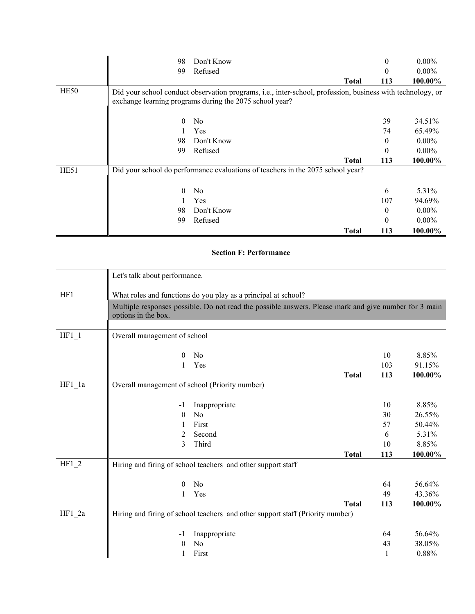|      | 98           | Don't Know                                                                                                                                                            |              | 0        | $0.00\%$ |
|------|--------------|-----------------------------------------------------------------------------------------------------------------------------------------------------------------------|--------------|----------|----------|
|      | 99           | Refused                                                                                                                                                               |              | $\theta$ | $0.00\%$ |
|      |              |                                                                                                                                                                       | <b>Total</b> | 113      | 100.00%  |
| HE50 |              | Did your school conduct observation programs, i.e., inter-school, profession, business with technology, or<br>exchange learning programs during the 2075 school year? |              |          |          |
|      | $\mathbf{0}$ | N <sub>o</sub>                                                                                                                                                        |              | 39       | 34.51%   |
|      |              | Yes                                                                                                                                                                   |              | 74       | 65.49%   |
|      | 98           | Don't Know                                                                                                                                                            |              | 0        | $0.00\%$ |
|      | 99           | Refused                                                                                                                                                               |              | $\theta$ | $0.00\%$ |
|      |              |                                                                                                                                                                       | <b>Total</b> | 113      | 100.00%  |
| HE51 |              | Did your school do performance evaluations of teachers in the 2075 school year?                                                                                       |              |          |          |
|      | $\mathbf{0}$ | No                                                                                                                                                                    |              | 6        | 5.31%    |
|      |              | Yes                                                                                                                                                                   |              | 107      | 94.69%   |
|      | 98           | Don't Know                                                                                                                                                            |              | $\theta$ | $0.00\%$ |
|      | 99           | Refused                                                                                                                                                               |              | $\Omega$ | $0.00\%$ |
|      |              |                                                                                                                                                                       | <b>Total</b> | 113      | 100.00%  |

## **Section F: Performance**

|          | Let's talk about performance.                  |                                                                                                       |              |     |         |
|----------|------------------------------------------------|-------------------------------------------------------------------------------------------------------|--------------|-----|---------|
| HF1      |                                                | What roles and functions do you play as a principal at school?                                        |              |     |         |
|          | options in the box.                            | Multiple responses possible. Do not read the possible answers. Please mark and give number for 3 main |              |     |         |
|          |                                                |                                                                                                       |              |     |         |
| $HF1_1$  | Overall management of school                   |                                                                                                       |              |     |         |
|          |                                                |                                                                                                       |              |     |         |
|          | $\mathbf{0}$                                   | N <sub>o</sub>                                                                                        |              | 10  | 8.85%   |
|          | 1                                              | Yes                                                                                                   |              | 103 | 91.15%  |
|          |                                                |                                                                                                       | <b>Total</b> | 113 | 100.00% |
| $HF1_1a$ | Overall management of school (Priority number) |                                                                                                       |              |     |         |
|          |                                                |                                                                                                       |              | 10  | 8.85%   |
|          | $-1$                                           | Inappropriate                                                                                         |              |     |         |
|          | $\theta$                                       | No                                                                                                    |              | 30  | 26.55%  |
|          | 1                                              | First                                                                                                 |              | 57  | 50.44%  |
|          | 2                                              | Second                                                                                                |              | 6   | 5.31%   |
|          | 3                                              | Third                                                                                                 |              | 10  | 8.85%   |
|          |                                                |                                                                                                       | <b>Total</b> | 113 | 100.00% |
| $HF1_2$  |                                                | Hiring and firing of school teachers and other support staff                                          |              |     |         |
|          | $\theta$                                       | No                                                                                                    |              | 64  | 56.64%  |
|          | $\mathbf{1}$                                   | Yes                                                                                                   |              | 49  | 43.36%  |
|          |                                                |                                                                                                       | <b>Total</b> | 113 | 100.00% |
| HF1 2a   |                                                | Hiring and firing of school teachers and other support staff (Priority number)                        |              |     |         |
|          |                                                |                                                                                                       |              |     |         |
|          | $-1$                                           | Inappropriate                                                                                         |              | 64  | 56.64%  |
|          | $\theta$                                       | No                                                                                                    |              | 43  | 38.05%  |
|          | 1                                              | First                                                                                                 |              | 1   | 0.88%   |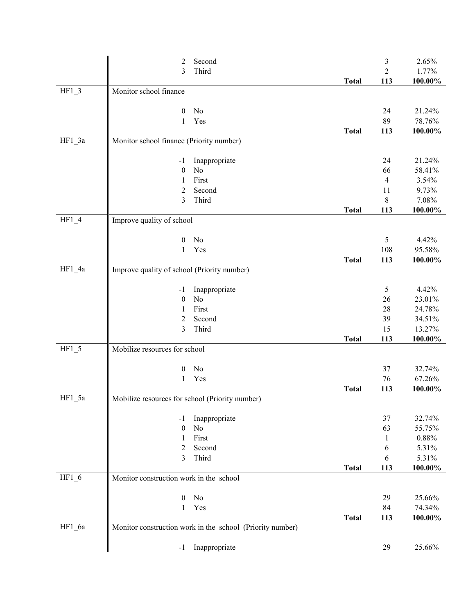|          | 2                                               | Second                                                    |              | 3              | 2.65%           |
|----------|-------------------------------------------------|-----------------------------------------------------------|--------------|----------------|-----------------|
|          | 3                                               | Third                                                     |              | $\overline{2}$ | 1.77%           |
|          |                                                 |                                                           | <b>Total</b> | 113            | $100.00\%$      |
| $HF1_3$  | Monitor school finance                          |                                                           |              |                |                 |
|          |                                                 |                                                           |              |                |                 |
|          | $\boldsymbol{0}$                                | No                                                        |              | 24             | 21.24%          |
|          | 1                                               | Yes                                                       |              | 89             | 78.76%          |
|          |                                                 |                                                           | <b>Total</b> | 113            | 100.00%         |
| $HF1_3a$ | Monitor school finance (Priority number)        |                                                           |              |                |                 |
|          |                                                 |                                                           |              |                |                 |
|          | $-1$                                            | Inappropriate<br>$\rm No$                                 |              | 24             | 21.24%          |
|          | $\boldsymbol{0}$                                | First                                                     |              | 66<br>4        | 58.41%<br>3.54% |
|          | 1<br>2                                          | Second                                                    |              | 11             | 9.73%           |
|          | 3                                               | Third                                                     |              | 8              | 7.08%           |
|          |                                                 |                                                           | <b>Total</b> | 113            | 100.00%         |
| $HF1_4$  | Improve quality of school                       |                                                           |              |                |                 |
|          |                                                 |                                                           |              |                |                 |
|          | $\boldsymbol{0}$                                | No                                                        |              | 5              | 4.42%           |
|          | 1                                               | Yes                                                       |              | 108            | 95.58%          |
|          |                                                 |                                                           | <b>Total</b> | 113            | 100.00%         |
| $HF1_4a$ | Improve quality of school (Priority number)     |                                                           |              |                |                 |
|          |                                                 |                                                           |              |                |                 |
|          | $-1$                                            | Inappropriate                                             |              | 5              | 4.42%           |
|          | $\boldsymbol{0}$                                | No                                                        |              | 26             | 23.01%          |
|          | 1                                               | First                                                     |              | 28             | 24.78%          |
|          | 2                                               | Second                                                    |              | 39             | 34.51%          |
|          | 3                                               | Third                                                     |              | 15             | 13.27%          |
|          |                                                 |                                                           | <b>Total</b> | 113            | 100.00%         |
| $HF1_5$  | Mobilize resources for school                   |                                                           |              |                |                 |
|          |                                                 |                                                           |              |                |                 |
|          | $\boldsymbol{0}$                                | No                                                        |              | 37             | 32.74%          |
|          | $\mathbf{1}$                                    | Yes                                                       |              | 76             | 67.26%          |
| HF1 5a   |                                                 |                                                           | <b>Total</b> | 113            | 100.00%         |
|          | Mobilize resources for school (Priority number) |                                                           |              |                |                 |
|          | -1                                              | Inappropriate                                             |              | 37             | 32.74%          |
|          | $\boldsymbol{0}$                                | No                                                        |              | 63             | 55.75%          |
|          | 1                                               | First                                                     |              | $\mathbf{1}$   | $0.88\%$        |
|          | 2                                               | Second                                                    |              | 6              | 5.31%           |
|          | 3                                               | Third                                                     |              | 6              | 5.31%           |
|          |                                                 |                                                           | <b>Total</b> | 113            | 100.00%         |
| $HF1_6$  | Monitor construction work in the school         |                                                           |              |                |                 |
|          |                                                 |                                                           |              |                |                 |
|          | $\boldsymbol{0}$                                | No                                                        |              | 29             | 25.66%          |
|          | $\mathbf{1}$                                    | Yes                                                       |              | 84             | 74.34%          |
|          |                                                 |                                                           | <b>Total</b> | 113            | 100.00%         |
| $HF1_6a$ |                                                 | Monitor construction work in the school (Priority number) |              |                |                 |
|          | $-1$                                            | Inappropriate                                             |              | 29             | 25.66%          |
|          |                                                 |                                                           |              |                |                 |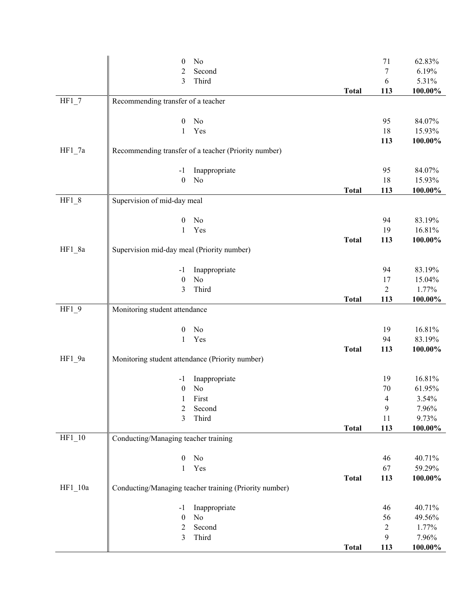|          | $\boldsymbol{0}$                                | No                                                     |              | 71               | 62.83%     |
|----------|-------------------------------------------------|--------------------------------------------------------|--------------|------------------|------------|
|          | $\overline{c}$                                  | Second                                                 |              | $\boldsymbol{7}$ | 6.19%      |
|          | 3                                               | Third                                                  |              | 6                | 5.31%      |
|          |                                                 |                                                        | <b>Total</b> | 113              | 100.00%    |
| $HF1_7$  | Recommending transfer of a teacher              |                                                        |              |                  |            |
|          | $\boldsymbol{0}$                                | No                                                     |              | 95               | 84.07%     |
|          | 1                                               | Yes                                                    |              | 18               | 15.93%     |
|          |                                                 |                                                        |              | 113              | 100.00%    |
| $HF1_7a$ |                                                 | Recommending transfer of a teacher (Priority number)   |              |                  |            |
|          |                                                 |                                                        |              |                  |            |
|          | $-1$                                            | Inappropriate                                          |              | 95               | 84.07%     |
|          | $\boldsymbol{0}$                                | No                                                     |              | 18               | 15.93%     |
|          |                                                 |                                                        | <b>Total</b> | 113              | 100.00%    |
| $HF1_8$  | Supervision of mid-day meal                     |                                                        |              |                  |            |
|          | $\boldsymbol{0}$                                | No                                                     |              | 94               | 83.19%     |
|          | $\mathbf{1}$                                    | Yes                                                    |              | 19               | 16.81%     |
|          |                                                 |                                                        | <b>Total</b> | 113              | 100.00%    |
| $HF1_8a$ | Supervision mid-day meal (Priority number)      |                                                        |              |                  |            |
|          |                                                 |                                                        |              |                  |            |
|          | $-1$                                            | Inappropriate                                          |              | 94               | 83.19%     |
|          | $\boldsymbol{0}$                                | No                                                     |              | 17               | 15.04%     |
|          | 3                                               | Third                                                  |              | $\overline{2}$   | 1.77%      |
|          |                                                 |                                                        | <b>Total</b> | 113              | 100.00%    |
| $HF1_9$  | Monitoring student attendance                   |                                                        |              |                  |            |
|          | $\boldsymbol{0}$                                | No                                                     |              | 19               | 16.81%     |
|          | 1                                               | Yes                                                    |              | 94               | 83.19%     |
|          |                                                 |                                                        | <b>Total</b> | 113              | 100.00%    |
| HF1_9a   | Monitoring student attendance (Priority number) |                                                        |              |                  |            |
|          | $-1$                                            | Inappropriate                                          |              | 19               | 16.81%     |
|          | $\boldsymbol{0}$                                | No                                                     |              | 70               | 61.95%     |
|          | 1                                               | First                                                  |              | $\overline{4}$   | 3.54%      |
|          | 2                                               | Second                                                 |              | $\mathbf{9}$     | 7.96%      |
|          | 3                                               | Third                                                  |              | 11               | 9.73%      |
|          |                                                 |                                                        | <b>Total</b> | 113              | 100.00%    |
| $HF1_10$ | Conducting/Managing teacher training            |                                                        |              |                  |            |
|          | $\boldsymbol{0}$                                | No                                                     |              | 46               | 40.71%     |
|          | $\mathbf{1}$                                    | Yes                                                    |              | 67               | 59.29%     |
|          |                                                 |                                                        | <b>Total</b> | 113              | 100.00%    |
| HF1 10a  |                                                 | Conducting/Managing teacher training (Priority number) |              |                  |            |
|          |                                                 |                                                        |              |                  |            |
|          | $-1$                                            | Inappropriate                                          |              | 46               | 40.71%     |
|          | $\boldsymbol{0}$                                | No                                                     |              | 56               | 49.56%     |
|          | $\overline{c}$                                  | Second                                                 |              | $\boldsymbol{2}$ | 1.77%      |
|          | 3                                               | Third                                                  |              | 9                | 7.96%      |
|          |                                                 |                                                        | <b>Total</b> | 113              | $100.00\%$ |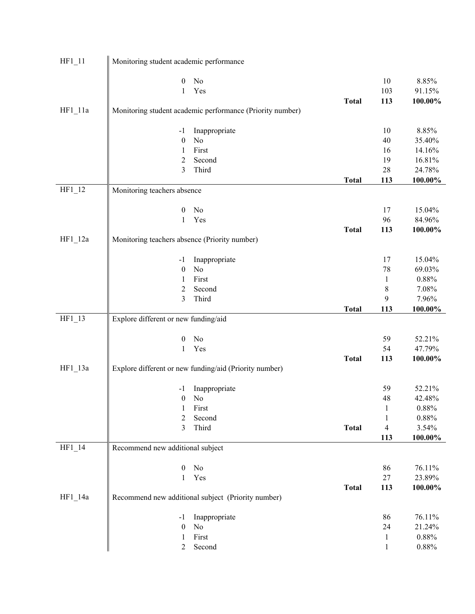| $HF1_11$  | Monitoring student academic performance       |                                                           |              |                |            |
|-----------|-----------------------------------------------|-----------------------------------------------------------|--------------|----------------|------------|
|           | $\boldsymbol{0}$                              | No                                                        |              | 10             | 8.85%      |
|           | 1                                             | Yes                                                       |              | 103            | 91.15%     |
|           |                                               |                                                           | <b>Total</b> | 113            | 100.00%    |
| $HF1_11a$ |                                               | Monitoring student academic performance (Priority number) |              |                |            |
|           | $-1$                                          | Inappropriate                                             |              | 10             | 8.85%      |
|           | $\boldsymbol{0}$                              | No                                                        |              | 40             | 35.40%     |
|           | $\mathbf{1}$                                  | First                                                     |              | 16             | 14.16%     |
|           | 2                                             | Second                                                    |              | 19             | 16.81%     |
|           | 3                                             | Third                                                     |              | 28             | 24.78%     |
|           |                                               |                                                           | <b>Total</b> | 113            | 100.00%    |
| $HF1_12$  | Monitoring teachers absence                   |                                                           |              |                |            |
|           | $\boldsymbol{0}$                              | No                                                        |              | 17             | 15.04%     |
|           | $\mathbf{1}$                                  | Yes                                                       |              | 96             | 84.96%     |
|           |                                               |                                                           | <b>Total</b> | 113            | $100.00\%$ |
| $HF1_12a$ | Monitoring teachers absence (Priority number) |                                                           |              |                |            |
|           | $-1$                                          | Inappropriate                                             |              | 17             | 15.04%     |
|           | $\boldsymbol{0}$                              | No                                                        |              | 78             | 69.03%     |
|           | 1                                             | First                                                     |              | $\mathbf{1}$   | $0.88\%$   |
|           | $\overline{2}$                                | Second                                                    |              | 8              | 7.08%      |
|           | 3                                             | Third                                                     |              | 9              | 7.96%      |
|           |                                               |                                                           | <b>Total</b> | 113            | 100.00%    |
| $HF1_13$  | Explore different or new funding/aid          |                                                           |              |                |            |
|           | $\boldsymbol{0}$                              | No                                                        |              | 59             | 52.21%     |
|           | $\mathbf{1}$                                  | Yes                                                       |              | 54             | 47.79%     |
|           |                                               |                                                           | <b>Total</b> | 113            | $100.00\%$ |
| $HF1_13a$ |                                               | Explore different or new funding/aid (Priority number)    |              |                |            |
|           | $-1$                                          | Inappropriate                                             |              | 59             | 52.21%     |
|           | $\boldsymbol{0}$                              | No                                                        |              | $\sqrt{48}$    | 42.48%     |
|           | 1                                             | First                                                     |              | 1              | $0.88\%$   |
|           | $\overline{2}$                                | Second                                                    |              | 1              | $0.88\%$   |
|           | 3                                             | Third                                                     | <b>Total</b> | $\overline{4}$ | 3.54%      |
|           |                                               |                                                           |              | 113            | 100.00%    |
| $HF1_14$  | Recommend new additional subject              |                                                           |              |                |            |
|           | $\boldsymbol{0}$                              | No                                                        |              | 86             | 76.11%     |
|           | $\mathbf{1}$                                  | Yes                                                       |              | $27\,$         | 23.89%     |
|           |                                               |                                                           | <b>Total</b> | 113            | 100.00%    |
| $HF1_14a$ |                                               | Recommend new additional subject (Priority number)        |              |                |            |
|           | $-1$                                          | Inappropriate                                             |              | 86             | 76.11%     |
|           | $\boldsymbol{0}$                              | No                                                        |              | 24             | 21.24%     |
|           | $\mathbf{1}$                                  | First                                                     |              | $\mathbf{1}$   | 0.88%      |
|           | 2                                             | Second                                                    |              | $\mathbf{1}$   | $0.88\%$   |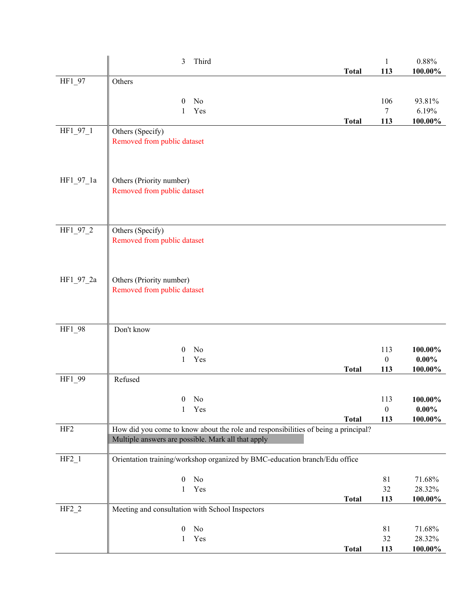|                 | Third<br>3                                                                         | <b>Total</b> | $\mathbf{1}$<br>113 | $0.88\%$<br>100.00% |
|-----------------|------------------------------------------------------------------------------------|--------------|---------------------|---------------------|
| HF1_97          | Others                                                                             |              |                     |                     |
|                 |                                                                                    |              |                     |                     |
|                 | No<br>$\theta$<br>Yes                                                              |              | 106<br>$\tau$       | 93.81%<br>6.19%     |
|                 | 1                                                                                  | <b>Total</b> | 113                 | 100.00%             |
| HF1_97_1        | Others (Specify)                                                                   |              |                     |                     |
|                 | Removed from public dataset                                                        |              |                     |                     |
|                 |                                                                                    |              |                     |                     |
|                 |                                                                                    |              |                     |                     |
| HF1_97_1a       | Others (Priority number)                                                           |              |                     |                     |
|                 | Removed from public dataset                                                        |              |                     |                     |
|                 |                                                                                    |              |                     |                     |
|                 |                                                                                    |              |                     |                     |
| HF1 97 2        | Others (Specify)<br>Removed from public dataset                                    |              |                     |                     |
|                 |                                                                                    |              |                     |                     |
|                 |                                                                                    |              |                     |                     |
| HF1_97_2a       | Others (Priority number)                                                           |              |                     |                     |
|                 | Removed from public dataset                                                        |              |                     |                     |
|                 |                                                                                    |              |                     |                     |
|                 |                                                                                    |              |                     |                     |
| HF1_98          | Don't know                                                                         |              |                     |                     |
|                 | $\theta$<br>No                                                                     |              | 113                 | 100.00%             |
|                 | Yes<br>1                                                                           |              | $\boldsymbol{0}$    | $0.00\%$            |
|                 |                                                                                    | <b>Total</b> | 113                 | 100.00%             |
| HF1_99          | Refused                                                                            |              |                     |                     |
|                 | $0$ No                                                                             |              | 113                 | 100.00%             |
|                 | Yes<br>1                                                                           |              | $\boldsymbol{0}$    | $0.00\%$            |
| HF <sub>2</sub> | How did you come to know about the role and responsibilities of being a principal? | <b>Total</b> | 113                 | 100.00%             |
|                 | Multiple answers are possible. Mark all that apply                                 |              |                     |                     |
|                 |                                                                                    |              |                     |                     |
| $HF2_1$         | Orientation training/workshop organized by BMC-education branch/Edu office         |              |                     |                     |
|                 | No<br>$\boldsymbol{0}$                                                             |              | 81                  | 71.68%              |
|                 | Yes<br>1                                                                           |              | 32                  | 28.32%              |
| $HF2_2$         | Meeting and consultation with School Inspectors                                    | <b>Total</b> | 113                 | 100.00%             |
|                 |                                                                                    |              |                     |                     |
|                 | N <sub>0</sub><br>$\boldsymbol{0}$                                                 |              | 81                  | 71.68%              |
|                 | Yes<br>1                                                                           | <b>Total</b> | 32<br>113           | 28.32%<br>100.00%   |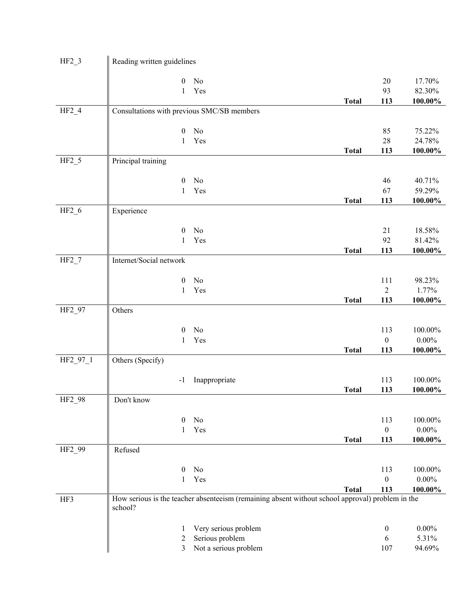| $HF2_3$            | Reading written guidelines                 |                                                                                                  |              |                  |                   |
|--------------------|--------------------------------------------|--------------------------------------------------------------------------------------------------|--------------|------------------|-------------------|
|                    | $\mathbf{0}$                               | No                                                                                               |              | 20               | 17.70%            |
|                    | 1                                          | Yes                                                                                              |              | 93               | 82.30%            |
|                    |                                            |                                                                                                  | <b>Total</b> | 113              | $100.00\%$        |
| $HF2_4$            | Consultations with previous SMC/SB members |                                                                                                  |              |                  |                   |
|                    | $\boldsymbol{0}$                           | No                                                                                               |              | 85               | 75.22%            |
|                    | $\mathbf{1}$                               | Yes                                                                                              | <b>Total</b> | 28<br>113        | 24.78%<br>100.00% |
| $HF2_5$            | Principal training                         |                                                                                                  |              |                  |                   |
|                    |                                            |                                                                                                  |              |                  |                   |
|                    | $\boldsymbol{0}$                           | No                                                                                               |              | 46               | 40.71%            |
|                    | $\mathbf{1}$                               | Yes                                                                                              |              | 67               | 59.29%            |
| $HF2_6$            | Experience                                 |                                                                                                  | <b>Total</b> | 113              | 100.00%           |
|                    |                                            |                                                                                                  |              |                  |                   |
|                    | $\boldsymbol{0}$                           | No                                                                                               |              | 21               | 18.58%            |
|                    | $\mathbf{1}$                               | Yes                                                                                              | <b>Total</b> | 92               | 81.42%            |
| $HF2_7$            | Internet/Social network                    |                                                                                                  |              | 113              | $100.00\%$        |
|                    |                                            |                                                                                                  |              |                  |                   |
|                    | $\mathbf{0}$                               | No                                                                                               |              | 111              | 98.23%            |
|                    | 1                                          | Yes                                                                                              |              | $\sqrt{2}$       | 1.77%             |
|                    |                                            |                                                                                                  | <b>Total</b> | 113              | $100.00\%$        |
| HF <sub>2_97</sub> | Others                                     |                                                                                                  |              |                  |                   |
|                    | $\boldsymbol{0}$                           | No                                                                                               |              | 113              | 100.00%           |
|                    | 1                                          | Yes                                                                                              |              | $\boldsymbol{0}$ | $0.00\%$          |
|                    |                                            |                                                                                                  | <b>Total</b> | 113              | 100.00%           |
| HF2_97_1           | Others (Specify)                           |                                                                                                  |              |                  |                   |
|                    | $-1$                                       | Inappropriate                                                                                    |              | 113              | 100.00%           |
|                    | Don't know                                 |                                                                                                  | <b>Total</b> | 113              | 100.00%           |
| HF <sub>2_98</sub> |                                            |                                                                                                  |              |                  |                   |
|                    | $\mathbf{0}$                               | No                                                                                               |              | 113              | 100.00%           |
|                    | $\mathbf{1}$                               | Yes                                                                                              |              | $\boldsymbol{0}$ | $0.00\%$          |
|                    |                                            |                                                                                                  | <b>Total</b> | 113              | 100.00%           |
| HF <sub>2_99</sub> | Refused                                    |                                                                                                  |              |                  |                   |
|                    | $\boldsymbol{0}$                           | No                                                                                               |              | 113              | 100.00%           |
|                    | 1                                          | Yes                                                                                              |              | $\boldsymbol{0}$ | $0.00\%$          |
|                    |                                            |                                                                                                  | <b>Total</b> | 113              | 100.00%           |
| HF3                | school?                                    | How serious is the teacher absenteeism (remaining absent without school approval) problem in the |              |                  |                   |
|                    | 1                                          | Very serious problem                                                                             |              | $\boldsymbol{0}$ | $0.00\%$          |
|                    | 2                                          | Serious problem                                                                                  |              | 6                | 5.31%             |
|                    | 3                                          | Not a serious problem                                                                            |              | 107              | 94.69%            |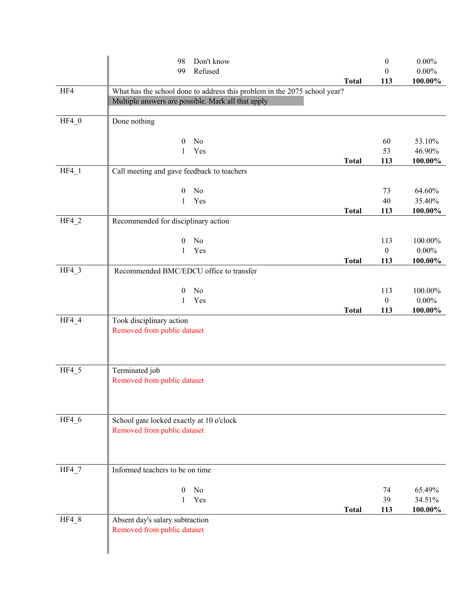|         | Don't know<br>98                                                          |              | $\boldsymbol{0}$ | $0.00\%$ |
|---------|---------------------------------------------------------------------------|--------------|------------------|----------|
|         | Refused<br>99                                                             |              | $\boldsymbol{0}$ | $0.00\%$ |
|         |                                                                           | <b>Total</b> | 113              | 100.00%  |
| HF4     | What has the school done to address this problem in the 2075 school year? |              |                  |          |
|         | Multiple answers are possible. Mark all that apply                        |              |                  |          |
| $HF4_0$ |                                                                           |              |                  |          |
|         | Done nothing                                                              |              |                  |          |
|         | No<br>$\bf{0}$                                                            |              | 60               | 53.10%   |
|         | Yes<br>$\mathbf{1}$                                                       |              | 53               | 46.90%   |
|         |                                                                           | <b>Total</b> | 113              | 100.00%  |
| $HF4_1$ | Call meeting and gave feedback to teachers                                |              |                  |          |
|         |                                                                           |              |                  |          |
|         | No<br>$\theta$                                                            |              | 73               | 64.60%   |
|         | Yes<br>1                                                                  |              | 40               | 35.40%   |
|         |                                                                           | <b>Total</b> | 113              | 100.00%  |
| $HF4_2$ | Recommended for disciplinary action                                       |              |                  |          |
|         | No<br>$\theta$                                                            |              | 113              | 100.00%  |
|         | Yes<br>1                                                                  |              | $\boldsymbol{0}$ | $0.00\%$ |
|         |                                                                           | <b>Total</b> | 113              | 100.00%  |
| $HF4_3$ | Recommended BMC/EDCU office to transfer                                   |              |                  |          |
|         |                                                                           |              |                  |          |
|         | No<br>$\boldsymbol{0}$                                                    |              | 113              | 100.00%  |
|         | Yes<br>$\mathbf{1}$                                                       |              | $\boldsymbol{0}$ | $0.00\%$ |
|         |                                                                           | <b>Total</b> | 113              | 100.00%  |
| $HF4_4$ | Took disciplinary action                                                  |              |                  |          |
|         | Removed from public dataset                                               |              |                  |          |
|         |                                                                           |              |                  |          |
|         |                                                                           |              |                  |          |
| HF4 5   | Terminated job                                                            |              |                  |          |
|         | Removed from public dataset                                               |              |                  |          |
|         |                                                                           |              |                  |          |
|         |                                                                           |              |                  |          |
|         |                                                                           |              |                  |          |
| HF4_6   | School gate locked exactly at 10 o'clock                                  |              |                  |          |
|         | Removed from public dataset                                               |              |                  |          |
|         |                                                                           |              |                  |          |
|         |                                                                           |              |                  |          |
| HF4_7   | Informed teachers to be on time                                           |              |                  |          |
|         |                                                                           |              |                  |          |
|         | No<br>$\mathbf{0}$                                                        |              | 74               | 65.49%   |
|         | Yes<br>$\mathbf{1}$                                                       |              | 39               | 34.51%   |
|         |                                                                           | <b>Total</b> | 113              | 100.00%  |
| HF4_8   | Absent day's salary subtraction                                           |              |                  |          |
|         | Removed from public dataset                                               |              |                  |          |
|         |                                                                           |              |                  |          |
|         |                                                                           |              |                  |          |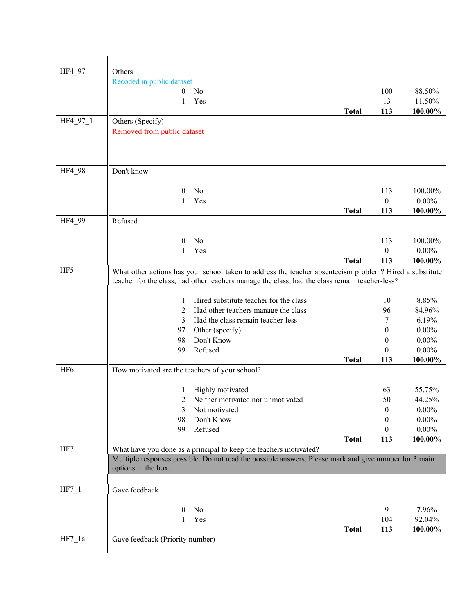| HF4_97          | Others                                         |                                                                                                                                                                                                           |              |                  |          |
|-----------------|------------------------------------------------|-----------------------------------------------------------------------------------------------------------------------------------------------------------------------------------------------------------|--------------|------------------|----------|
|                 | Recoded in public dataset                      |                                                                                                                                                                                                           |              |                  |          |
|                 | 0                                              | N <sub>0</sub>                                                                                                                                                                                            |              | 100              | 88.50%   |
|                 | 1                                              | Yes                                                                                                                                                                                                       |              | 13               | 11.50%   |
|                 |                                                |                                                                                                                                                                                                           | <b>Total</b> | 113              | 100.00%  |
| HF4_97_1        | Others (Specify)                               |                                                                                                                                                                                                           |              |                  |          |
|                 | Removed from public dataset                    |                                                                                                                                                                                                           |              |                  |          |
|                 |                                                |                                                                                                                                                                                                           |              |                  |          |
|                 |                                                |                                                                                                                                                                                                           |              |                  |          |
| HF4 98          | Don't know                                     |                                                                                                                                                                                                           |              |                  |          |
|                 | $\overline{0}$                                 | No                                                                                                                                                                                                        |              | 113              | 100.00%  |
|                 | 1                                              | Yes                                                                                                                                                                                                       |              | $\boldsymbol{0}$ | $0.00\%$ |
|                 |                                                |                                                                                                                                                                                                           | <b>Total</b> | 113              | 100.00%  |
| HF4_99          | Refused                                        |                                                                                                                                                                                                           |              |                  |          |
|                 |                                                |                                                                                                                                                                                                           |              |                  |          |
|                 | $\bf{0}$                                       | No                                                                                                                                                                                                        |              | 113              | 100.00%  |
|                 | 1                                              | Yes                                                                                                                                                                                                       |              | $\boldsymbol{0}$ | $0.00\%$ |
|                 |                                                |                                                                                                                                                                                                           | <b>Total</b> | 113              | 100.00%  |
| HF5             |                                                | What other actions has your school taken to address the teacher absenteeism problem? Hired a substitute<br>teacher for the class, had other teachers manage the class, had the class remain teacher-less? |              |                  |          |
|                 | 1                                              | Hired substitute teacher for the class                                                                                                                                                                    |              | 10               | 8.85%    |
|                 | 2                                              | Had other teachers manage the class                                                                                                                                                                       |              | 96               | 84.96%   |
|                 | 3                                              | Had the class remain teacher-less                                                                                                                                                                         |              | 7                | 6.19%    |
|                 | 97                                             | Other (specify)                                                                                                                                                                                           |              | $\theta$         | $0.00\%$ |
|                 | 98                                             | Don't Know                                                                                                                                                                                                |              | $\theta$         | $0.00\%$ |
|                 | 99                                             | Refused                                                                                                                                                                                                   |              | $\theta$         | $0.00\%$ |
|                 |                                                |                                                                                                                                                                                                           | <b>Total</b> | 113              | 100.00%  |
| HF <sub>6</sub> | How motivated are the teachers of your school? |                                                                                                                                                                                                           |              |                  |          |
|                 | $\mathbf{I}$                                   | Highly motivated                                                                                                                                                                                          |              | 63               | 55.75%   |
|                 | 2                                              | Neither motivated nor unmotivated                                                                                                                                                                         |              | 50               | 44.25%   |
|                 | 3                                              | Not motivated                                                                                                                                                                                             |              | $\theta$         | $0.00\%$ |
|                 | 98                                             | Don't Know                                                                                                                                                                                                |              | $\bf{0}$         | $0.00\%$ |
|                 | 99                                             | Refused                                                                                                                                                                                                   |              | $\theta$         | $0.00\%$ |
|                 |                                                |                                                                                                                                                                                                           | <b>Total</b> | 113              | 100.00%  |
| HF7             |                                                | What have you done as a principal to keep the teachers motivated?                                                                                                                                         |              |                  |          |
|                 | options in the box.                            | Multiple responses possible. Do not read the possible answers. Please mark and give number for 3 main                                                                                                     |              |                  |          |
| $HF7_1$         | Gave feedback                                  |                                                                                                                                                                                                           |              |                  |          |
|                 | $\bf{0}$                                       | No                                                                                                                                                                                                        |              | 9                | 7.96%    |
|                 | 1                                              | Yes                                                                                                                                                                                                       |              | 104              | 92.04%   |
|                 |                                                |                                                                                                                                                                                                           | <b>Total</b> | 113              | 100.00%  |
| $HF7_1a$        | Gave feedback (Priority number)                |                                                                                                                                                                                                           |              |                  |          |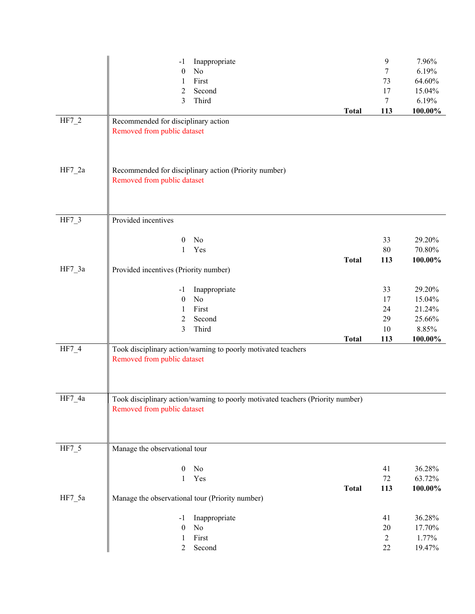| $HF7_2$  | Inappropriate<br>$-1$<br>No<br>$\boldsymbol{0}$<br>First<br>$\mathbf{1}$<br>Second<br>2<br>Third<br>3<br>Recommended for disciplinary action<br>Removed from public dataset | <b>Total</b> | $\boldsymbol{9}$<br>7<br>73<br>17<br>$\tau$<br>113 | 7.96%<br>6.19%<br>64.60%<br>15.04%<br>6.19%<br>100.00% |
|----------|-----------------------------------------------------------------------------------------------------------------------------------------------------------------------------|--------------|----------------------------------------------------|--------------------------------------------------------|
| $HF7_2a$ | Recommended for disciplinary action (Priority number)<br>Removed from public dataset                                                                                        |              |                                                    |                                                        |
| HF7_3    | Provided incentives                                                                                                                                                         |              |                                                    |                                                        |
|          | No<br>$\boldsymbol{0}$<br>Yes<br>1                                                                                                                                          | <b>Total</b> | 33<br>$80\,$<br>113                                | 29.20%<br>70.80%<br>100.00%                            |
| $HF7_3a$ | Provided incentives (Priority number)                                                                                                                                       |              |                                                    |                                                        |
|          | Inappropriate<br>$-1$<br>No<br>$\boldsymbol{0}$<br>First<br>1<br>Second<br>2<br>Third<br>3                                                                                  |              | 33<br>17<br>24<br>29<br>10                         | 29.20%<br>15.04%<br>21.24%<br>25.66%<br>8.85%          |
| HF7_4    | Took disciplinary action/warning to poorly motivated teachers<br>Removed from public dataset                                                                                | <b>Total</b> | 113                                                | 100.00%                                                |
| $HF7_4a$ | Took disciplinary action/warning to poorly motivated teachers (Priority number)<br>Removed from public dataset                                                              |              |                                                    |                                                        |
| $HF7_5$  | Manage the observational tour                                                                                                                                               |              |                                                    |                                                        |
| $HF7_5a$ | $\boldsymbol{0}$<br>No<br>Yes<br>1<br>Manage the observational tour (Priority number)                                                                                       | <b>Total</b> | 41<br>72<br>113                                    | 36.28%<br>63.72%<br>100.00%                            |
|          | Inappropriate<br>-1<br>No<br>$\boldsymbol{0}$<br>First<br>1<br>Second<br>2                                                                                                  |              | 41<br>20<br>$\sqrt{2}$<br>22                       | 36.28%<br>17.70%<br>1.77%<br>19.47%                    |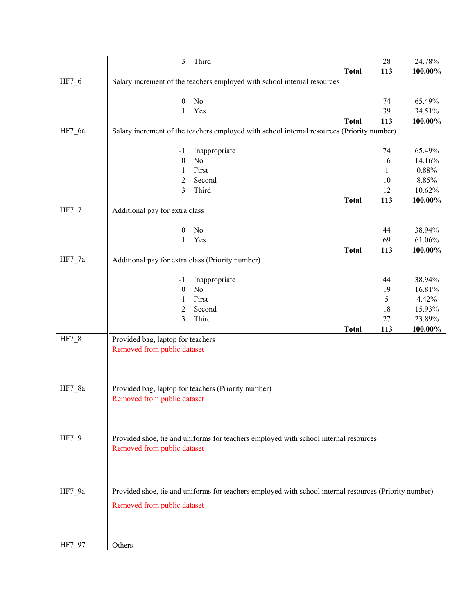|          | 3                                                | Third                                                                                                  |              | 28           | 24.78%  |
|----------|--------------------------------------------------|--------------------------------------------------------------------------------------------------------|--------------|--------------|---------|
|          |                                                  |                                                                                                        | <b>Total</b> | 113          | 100.00% |
| HF7_6    |                                                  | Salary increment of the teachers employed with school internal resources                               |              |              |         |
|          |                                                  |                                                                                                        |              |              |         |
|          | $\boldsymbol{0}$                                 | $\rm No$                                                                                               |              | 74           | 65.49%  |
|          | 1                                                | Yes                                                                                                    |              | 39           | 34.51%  |
|          |                                                  |                                                                                                        | <b>Total</b> | 113          | 100.00% |
| HF7_6a   |                                                  | Salary increment of the teachers employed with school internal resources (Priority number)             |              |              |         |
|          | -1                                               | Inappropriate                                                                                          |              | 74           | 65.49%  |
|          | $\boldsymbol{0}$                                 | No                                                                                                     |              | 16           | 14.16%  |
|          | 1                                                | First                                                                                                  |              | $\mathbf{1}$ | 0.88%   |
|          | 2                                                | Second                                                                                                 |              | 10           | 8.85%   |
|          | 3                                                | Third                                                                                                  |              | 12           | 10.62%  |
|          |                                                  |                                                                                                        | <b>Total</b> | 113          | 100.00% |
| $HF7_7$  | Additional pay for extra class                   |                                                                                                        |              |              |         |
|          |                                                  |                                                                                                        |              |              |         |
|          | $\mathbf{0}$                                     | No                                                                                                     |              | 44           | 38.94%  |
|          | $\mathbf{1}$                                     | Yes                                                                                                    |              | 69           | 61.06%  |
|          |                                                  |                                                                                                        | <b>Total</b> | 113          | 100.00% |
| HF7_7a   | Additional pay for extra class (Priority number) |                                                                                                        |              |              |         |
|          |                                                  |                                                                                                        |              | 44           | 38.94%  |
|          | $-1$<br>$\boldsymbol{0}$                         | Inappropriate<br>No                                                                                    |              | 19           | 16.81%  |
|          | 1                                                | First                                                                                                  |              | 5            | 4.42%   |
|          | 2                                                | Second                                                                                                 |              | 18           | 15.93%  |
|          | 3                                                | Third                                                                                                  |              | 27           | 23.89%  |
|          |                                                  |                                                                                                        | <b>Total</b> | 113          | 100.00% |
| $HF7_8$  | Provided bag, laptop for teachers                |                                                                                                        |              |              |         |
|          | Removed from public dataset                      |                                                                                                        |              |              |         |
|          |                                                  |                                                                                                        |              |              |         |
|          |                                                  |                                                                                                        |              |              |         |
|          |                                                  |                                                                                                        |              |              |         |
| HF7_8a   |                                                  | Provided bag, laptop for teachers (Priority number)                                                    |              |              |         |
|          | Removed from public dataset                      |                                                                                                        |              |              |         |
|          |                                                  |                                                                                                        |              |              |         |
|          |                                                  |                                                                                                        |              |              |         |
| HF7_9    |                                                  | Provided shoe, tie and uniforms for teachers employed with school internal resources                   |              |              |         |
|          | Removed from public dataset                      |                                                                                                        |              |              |         |
|          |                                                  |                                                                                                        |              |              |         |
|          |                                                  |                                                                                                        |              |              |         |
|          |                                                  |                                                                                                        |              |              |         |
| $HF7_9a$ |                                                  | Provided shoe, tie and uniforms for teachers employed with school internal resources (Priority number) |              |              |         |
|          |                                                  |                                                                                                        |              |              |         |
|          | Removed from public dataset                      |                                                                                                        |              |              |         |
|          |                                                  |                                                                                                        |              |              |         |
|          |                                                  |                                                                                                        |              |              |         |
| HF7_97   | Others                                           |                                                                                                        |              |              |         |
|          |                                                  |                                                                                                        |              |              |         |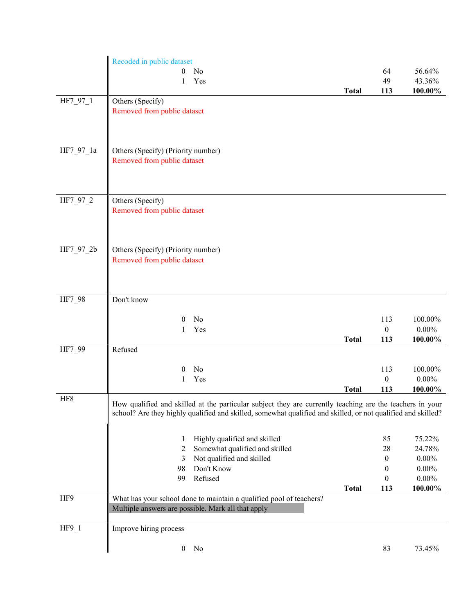|           | Recoded in public dataset                                                                                    |              |                         |                     |
|-----------|--------------------------------------------------------------------------------------------------------------|--------------|-------------------------|---------------------|
|           | No<br>0                                                                                                      |              | 64                      | 56.64%              |
|           | Yes<br>1                                                                                                     |              | 49                      | 43.36%              |
|           |                                                                                                              | <b>Total</b> | 113                     | 100.00%             |
| HF7_97_1  | Others (Specify)                                                                                             |              |                         |                     |
|           | Removed from public dataset                                                                                  |              |                         |                     |
|           |                                                                                                              |              |                         |                     |
|           |                                                                                                              |              |                         |                     |
| HF7_97_1a | Others (Specify) (Priority number)                                                                           |              |                         |                     |
|           | Removed from public dataset                                                                                  |              |                         |                     |
|           |                                                                                                              |              |                         |                     |
|           |                                                                                                              |              |                         |                     |
| HF7_97_2  | Others (Specify)                                                                                             |              |                         |                     |
|           | Removed from public dataset                                                                                  |              |                         |                     |
|           |                                                                                                              |              |                         |                     |
|           |                                                                                                              |              |                         |                     |
| HF7_97_2b | Others (Specify) (Priority number)                                                                           |              |                         |                     |
|           | Removed from public dataset                                                                                  |              |                         |                     |
|           |                                                                                                              |              |                         |                     |
|           |                                                                                                              |              |                         |                     |
|           |                                                                                                              |              |                         |                     |
| HF7_98    | Don't know                                                                                                   |              |                         |                     |
|           | No<br>$\bf{0}$                                                                                               |              | 113                     | 100.00%             |
|           | Yes<br>1                                                                                                     |              | $\boldsymbol{0}$        | $0.00\%$            |
|           |                                                                                                              | <b>Total</b> | 113                     | 100.00%             |
| HF7_99    | Refused                                                                                                      |              |                         |                     |
|           | No<br>$\theta$                                                                                               |              | 113                     | 100.00%             |
|           | Yes<br>1                                                                                                     |              | $\boldsymbol{0}$        | $0.00\%$            |
|           |                                                                                                              | <b>Total</b> | 113                     | 100.00%             |
| HF8       | How qualified and skilled at the particular subject they are currently teaching are the teachers in your     |              |                         |                     |
|           | school? Are they highly qualified and skilled, somewhat qualified and skilled, or not qualified and skilled? |              |                         |                     |
|           |                                                                                                              |              |                         |                     |
|           | Highly qualified and skilled<br>1                                                                            |              | 85                      | 75.22%              |
|           | Somewhat qualified and skilled<br>2                                                                          |              | 28                      | 24.78%              |
|           | Not qualified and skilled<br>3                                                                               |              | $\boldsymbol{0}$        | $0.00\%$            |
|           | Don't Know<br>98                                                                                             |              | $\mathbf{0}$            | $0.00\%$            |
|           | Refused<br>99                                                                                                | <b>Total</b> | $\boldsymbol{0}$<br>113 | $0.00\%$<br>100.00% |
| HF9       | What has your school done to maintain a qualified pool of teachers?                                          |              |                         |                     |
|           | Multiple answers are possible. Mark all that apply                                                           |              |                         |                     |
|           |                                                                                                              |              |                         |                     |
| $HF9_1$   | Improve hiring process                                                                                       |              |                         |                     |
|           | $\boldsymbol{0}$<br>No                                                                                       |              | 83                      | 73.45%              |
|           |                                                                                                              |              |                         |                     |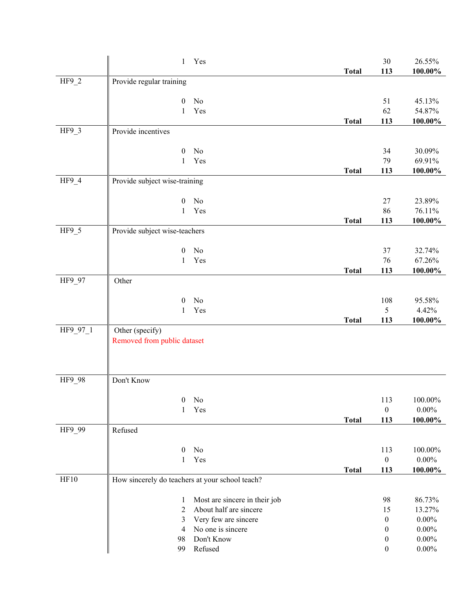|          | $\mathbf{1}$                                    | Yes                           |              | 30               | 26.55%     |
|----------|-------------------------------------------------|-------------------------------|--------------|------------------|------------|
|          |                                                 |                               | <b>Total</b> | 113              | $100.00\%$ |
| $HF9_2$  | Provide regular training                        |                               |              |                  |            |
|          |                                                 |                               |              |                  |            |
|          | $\boldsymbol{0}$                                | No                            |              | 51               | 45.13%     |
|          | 1                                               | Yes                           |              | 62               | 54.87%     |
|          |                                                 |                               | <b>Total</b> | 113              | $100.00\%$ |
| $HF9_3$  | Provide incentives                              |                               |              |                  |            |
|          |                                                 |                               |              |                  |            |
|          | $\boldsymbol{0}$                                | No                            |              | 34               | 30.09%     |
|          | $\mathbf{1}$                                    | Yes                           |              | 79               | 69.91%     |
| $HF9_4$  | Provide subject wise-training                   |                               | <b>Total</b> | 113              | $100.00\%$ |
|          |                                                 |                               |              |                  |            |
|          | $\theta$                                        | No                            |              | 27               | 23.89%     |
|          | $\mathbf{1}$                                    | Yes                           |              | 86               | 76.11%     |
|          |                                                 |                               | <b>Total</b> | 113              | $100.00\%$ |
| $HF9_5$  | Provide subject wise-teachers                   |                               |              |                  |            |
|          |                                                 |                               |              |                  |            |
|          | $\boldsymbol{0}$                                | No                            |              | 37               | 32.74%     |
|          | 1                                               | Yes                           |              | 76               | 67.26%     |
|          |                                                 |                               | <b>Total</b> | 113              | 100.00%    |
| HF9_97   | Other                                           |                               |              |                  |            |
|          |                                                 |                               |              |                  |            |
|          | $\boldsymbol{0}$                                | No                            |              | 108              | 95.58%     |
|          | 1                                               | Yes                           |              | 5                | 4.42%      |
| HF9_97_1 | Other (specify)                                 |                               | <b>Total</b> | 113              | 100.00%    |
|          | Removed from public dataset                     |                               |              |                  |            |
|          |                                                 |                               |              |                  |            |
|          |                                                 |                               |              |                  |            |
|          |                                                 |                               |              |                  |            |
| HF9_98   | Don't Know                                      |                               |              |                  |            |
|          |                                                 |                               |              |                  |            |
|          | $\mathbf{0}$                                    | No                            |              | 113              | 100.00%    |
|          | $\mathbf{1}$                                    | Yes                           |              | $\boldsymbol{0}$ | $0.00\%$   |
| HF9_99   | Refused                                         |                               | <b>Total</b> | 113              | 100.00%    |
|          |                                                 |                               |              |                  |            |
|          | $\boldsymbol{0}$                                | $\rm No$                      |              | 113              | $100.00\%$ |
|          | 1                                               | Yes                           |              | $\boldsymbol{0}$ | $0.00\%$   |
|          |                                                 |                               | <b>Total</b> | 113              | 100.00%    |
| HF10     | How sincerely do teachers at your school teach? |                               |              |                  |            |
|          |                                                 |                               |              |                  |            |
|          | $\mathbf{1}$                                    | Most are sincere in their job |              | 98               | 86.73%     |
|          | 2                                               | About half are sincere        |              | 15               | 13.27%     |
|          | 3                                               | Very few are sincere          |              | $\boldsymbol{0}$ | $0.00\%$   |
|          | 4                                               | No one is sincere             |              | $\mathbf{0}$     | $0.00\%$   |
|          | 98                                              | Don't Know                    |              | $\boldsymbol{0}$ | $0.00\%$   |
|          | 99                                              | Refused                       |              | $\boldsymbol{0}$ | $0.00\%$   |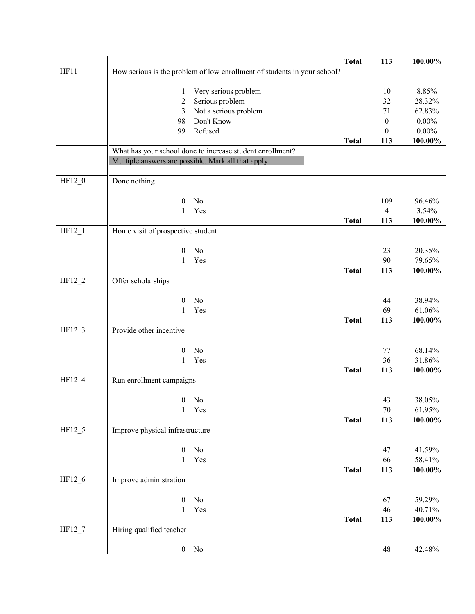|          |                                                    |                                                                          | <b>Total</b> | 113              | 100.00%  |
|----------|----------------------------------------------------|--------------------------------------------------------------------------|--------------|------------------|----------|
| HF11     |                                                    | How serious is the problem of low enrollment of students in your school? |              |                  |          |
|          | 1                                                  | Very serious problem                                                     |              | 10               | 8.85%    |
|          | 2                                                  | Serious problem                                                          |              | 32               | 28.32%   |
|          | 3                                                  | Not a serious problem                                                    |              | 71               | 62.83%   |
|          | 98                                                 | Don't Know                                                               |              | $\boldsymbol{0}$ | $0.00\%$ |
|          | 99                                                 | Refused                                                                  |              | $\boldsymbol{0}$ | $0.00\%$ |
|          |                                                    |                                                                          | <b>Total</b> | 113              | 100.00%  |
|          |                                                    | What has your school done to increase student enrollment?                |              |                  |          |
|          | Multiple answers are possible. Mark all that apply |                                                                          |              |                  |          |
| $HF12_0$ | Done nothing                                       |                                                                          |              |                  |          |
|          |                                                    |                                                                          |              |                  |          |
|          | $\boldsymbol{0}$                                   | No                                                                       |              | 109              | 96.46%   |
|          | 1                                                  | Yes                                                                      |              | $\overline{4}$   | 3.54%    |
|          |                                                    |                                                                          | <b>Total</b> | 113              | 100.00%  |
| $HF12_1$ | Home visit of prospective student                  |                                                                          |              |                  |          |
|          | $\overline{0}$                                     | No                                                                       |              | 23               | 20.35%   |
|          | 1                                                  | Yes                                                                      |              | 90               | 79.65%   |
|          |                                                    |                                                                          | <b>Total</b> | 113              | 100.00%  |
| $HF12_2$ | Offer scholarships                                 |                                                                          |              |                  |          |
|          | $\boldsymbol{0}$                                   | No                                                                       |              | 44               | 38.94%   |
|          | 1                                                  | Yes                                                                      |              | 69               | 61.06%   |
|          |                                                    |                                                                          | <b>Total</b> | 113              | 100.00%  |
| HF12_3   | Provide other incentive                            |                                                                          |              |                  |          |
|          |                                                    |                                                                          |              |                  |          |
|          | $\theta$                                           | No                                                                       |              | 77               | 68.14%   |
|          | 1                                                  | Yes                                                                      |              | 36               | 31.86%   |
| $HF12_4$ | Run enrollment campaigns                           |                                                                          | <b>Total</b> | 113              | 100.00%  |
|          |                                                    |                                                                          |              |                  |          |
|          | $\boldsymbol{0}$                                   | No                                                                       |              | 43               | 38.05%   |
|          | $\mathbf{1}$                                       | Yes                                                                      |              | $70\,$           | 61.95%   |
|          |                                                    |                                                                          | <b>Total</b> | 113              | 100.00%  |
| $HF12_5$ | Improve physical infrastructure                    |                                                                          |              |                  |          |
|          | $\boldsymbol{0}$                                   | No                                                                       |              | 47               | 41.59%   |
|          | $\mathbf{1}$                                       | Yes                                                                      |              | 66               | 58.41%   |
|          |                                                    |                                                                          | <b>Total</b> | 113              | 100.00%  |
| HF12_6   | Improve administration                             |                                                                          |              |                  |          |
|          |                                                    |                                                                          |              |                  |          |
|          | $\boldsymbol{0}$                                   | No                                                                       |              | 67               | 59.29%   |
|          | 1                                                  | Yes                                                                      |              | 46               | 40.71%   |
| HF127    | Hiring qualified teacher                           |                                                                          | <b>Total</b> | 113              | 100.00%  |
|          |                                                    |                                                                          |              |                  |          |
|          |                                                    | $0$ No                                                                   |              | 48               | 42.48%   |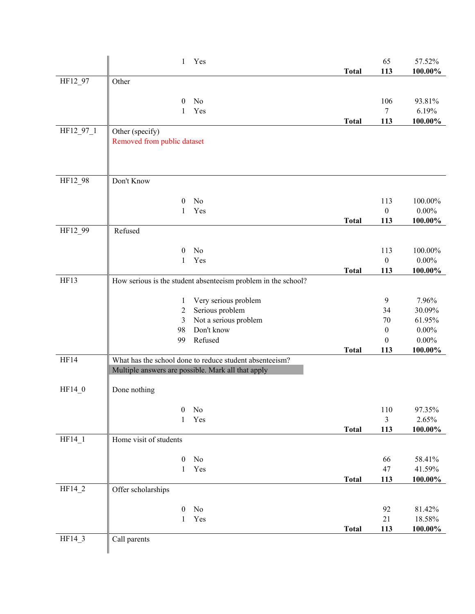|           | Yes<br>1                                                      | <b>Total</b> | 65<br>113               | 57.52%<br>100.00%    |
|-----------|---------------------------------------------------------------|--------------|-------------------------|----------------------|
| HF12_97   | Other                                                         |              |                         |                      |
|           |                                                               |              |                         |                      |
|           | No<br>0<br>Yes<br>1                                           |              | 106<br>$\tau$           | 93.81%<br>6.19%      |
|           |                                                               | <b>Total</b> | 113                     | 100.00%              |
| HF12_97_1 | Other (specify)                                               |              |                         |                      |
|           | Removed from public dataset                                   |              |                         |                      |
|           |                                                               |              |                         |                      |
| HF12_98   | Don't Know                                                    |              |                         |                      |
|           |                                                               |              |                         |                      |
|           | No<br>0<br>Yes<br>1                                           |              | 113<br>$\boldsymbol{0}$ | 100.00%<br>$0.00\%$  |
|           |                                                               | <b>Total</b> | 113                     | 100.00%              |
| HF12_99   | Refused                                                       |              |                         |                      |
|           | No                                                            |              |                         |                      |
|           | $\theta$<br>Yes<br>1                                          |              | 113<br>$\boldsymbol{0}$ | 100.00%<br>$0.00\%$  |
|           |                                                               | <b>Total</b> | 113                     | 100.00%              |
| HF13      | How serious is the student absenteeism problem in the school? |              |                         |                      |
|           | Very serious problem<br>1                                     |              | $\boldsymbol{9}$        | 7.96%                |
|           | Serious problem<br>2                                          |              | 34                      | 30.09%               |
|           | Not a serious problem<br>3                                    |              | 70                      | 61.95%               |
|           | Don't know<br>98<br>Refused<br>99                             |              | $\boldsymbol{0}$<br>0   | $0.00\%$<br>$0.00\%$ |
|           |                                                               | <b>Total</b> | 113                     | 100.00%              |
| HF14      | What has the school done to reduce student absenteeism?       |              |                         |                      |
|           | Multiple answers are possible. Mark all that apply            |              |                         |                      |
| $HF14_0$  | Done nothing                                                  |              |                         |                      |
|           | $\rm No$<br>0                                                 |              | 110                     | 97.35%               |
|           | Yes<br>1                                                      |              | $\overline{3}$          | 2.65%                |
|           |                                                               | <b>Total</b> | 113                     | 100.00%              |
| $HF14_1$  | Home visit of students                                        |              |                         |                      |
|           | $\boldsymbol{0}$<br>No                                        |              | 66                      | 58.41%               |
|           | Yes<br>1                                                      |              | 47                      | 41.59%               |
|           |                                                               | <b>Total</b> | 113                     | $100.00\%$           |
| $HF14_2$  | Offer scholarships                                            |              |                         |                      |
|           | $\boldsymbol{0}$<br>No                                        |              | 92                      | 81.42%               |
|           | Yes<br>$\mathbf{1}$                                           |              | $21\,$                  | 18.58%               |
| HF14_3    |                                                               | <b>Total</b> | 113                     | $100.00\%$           |
|           | Call parents                                                  |              |                         |                      |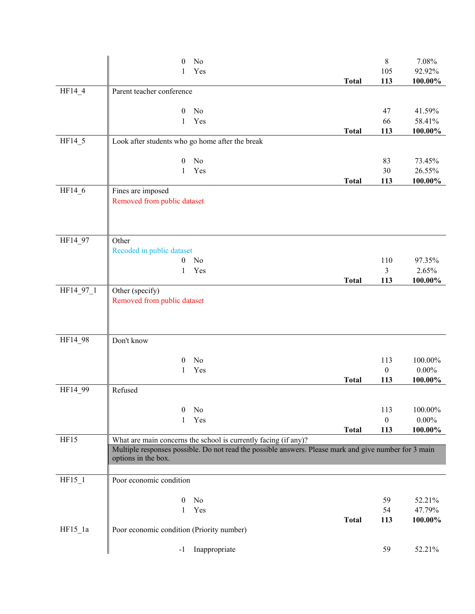|           | No<br>$\overline{0}$                                            |                                                                                                       | $8\,$            | 7.08%             |
|-----------|-----------------------------------------------------------------|-------------------------------------------------------------------------------------------------------|------------------|-------------------|
|           | Yes<br>1                                                        |                                                                                                       | 105              | 92.92%            |
|           |                                                                 | <b>Total</b>                                                                                          | 113              | $100.00\%$        |
| HF14_4    | Parent teacher conference                                       |                                                                                                       |                  |                   |
|           | $\mathbf{0}$<br>No                                              |                                                                                                       | 47               | 41.59%            |
|           | Yes<br>1                                                        |                                                                                                       | 66               | 58.41%            |
|           |                                                                 | <b>Total</b>                                                                                          | 113              | 100.00%           |
| HF14_5    | Look after students who go home after the break                 |                                                                                                       |                  |                   |
|           |                                                                 |                                                                                                       |                  |                   |
|           | No<br>$\boldsymbol{0}$<br>Yes<br>$\mathbf{1}$                   |                                                                                                       | 83<br>30         | 73.45%            |
|           |                                                                 | <b>Total</b>                                                                                          | 113              | 26.55%<br>100.00% |
| HF14_6    | Fines are imposed                                               |                                                                                                       |                  |                   |
|           | Removed from public dataset                                     |                                                                                                       |                  |                   |
|           |                                                                 |                                                                                                       |                  |                   |
|           |                                                                 |                                                                                                       |                  |                   |
|           |                                                                 |                                                                                                       |                  |                   |
| HF14_97   | Other                                                           |                                                                                                       |                  |                   |
|           | Recoded in public dataset<br>No<br>$\boldsymbol{0}$             |                                                                                                       | 110              | 97.35%            |
|           | Yes<br>1                                                        |                                                                                                       | 3                | 2.65%             |
|           |                                                                 | <b>Total</b>                                                                                          | 113              | 100.00%           |
| HF14_97_1 | Other (specify)                                                 |                                                                                                       |                  |                   |
|           | Removed from public dataset                                     |                                                                                                       |                  |                   |
|           |                                                                 |                                                                                                       |                  |                   |
|           |                                                                 |                                                                                                       |                  |                   |
| HF14_98   | Don't know                                                      |                                                                                                       |                  |                   |
|           |                                                                 |                                                                                                       |                  |                   |
|           | No<br>$\theta$                                                  |                                                                                                       | 113              | 100.00%           |
|           | Yes<br>1                                                        |                                                                                                       | $\boldsymbol{0}$ | $0.00\%$          |
|           |                                                                 | <b>Total</b>                                                                                          | 113              | 100.00%           |
| HF14_99   | Refused                                                         |                                                                                                       |                  |                   |
|           | No<br>$\theta$                                                  |                                                                                                       | 113              | 100.00%           |
|           | Yes<br>1                                                        |                                                                                                       | $\boldsymbol{0}$ | $0.00\%$          |
|           |                                                                 | <b>Total</b>                                                                                          | 113              | 100.00%           |
| HF15      | What are main concerns the school is currently facing (if any)? |                                                                                                       |                  |                   |
|           |                                                                 | Multiple responses possible. Do not read the possible answers. Please mark and give number for 3 main |                  |                   |
|           | options in the box.                                             |                                                                                                       |                  |                   |
| $HF15_1$  | Poor economic condition                                         |                                                                                                       |                  |                   |
|           |                                                                 |                                                                                                       |                  |                   |
|           | $\mathbf{0}$<br>No                                              |                                                                                                       | 59               | 52.21%            |
|           | Yes<br>1                                                        |                                                                                                       | 54               | 47.79%            |
|           |                                                                 | <b>Total</b>                                                                                          | 113              | 100.00%           |
| $HF15_1a$ | Poor economic condition (Priority number)                       |                                                                                                       |                  |                   |
|           |                                                                 |                                                                                                       |                  |                   |
|           | Inappropriate<br>$-1$                                           |                                                                                                       | 59               | 52.21%            |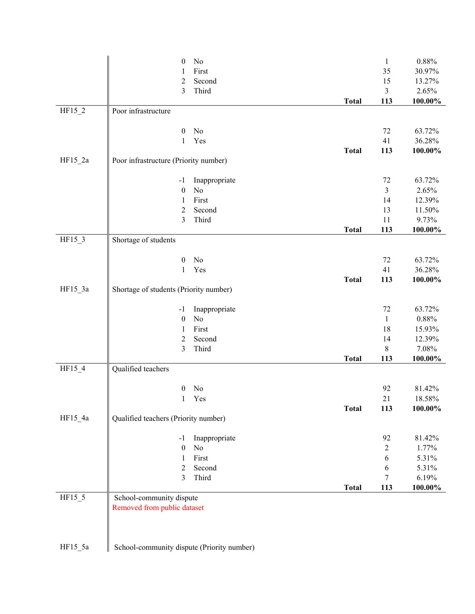|           | No<br>$\boldsymbol{0}$                     |              | $\mathbf{1}$   | $0.88\%$   |
|-----------|--------------------------------------------|--------------|----------------|------------|
|           | First<br>1                                 |              | 35             | 30.97%     |
|           | $\overline{2}$<br>Second                   |              | 15             | 13.27%     |
|           | Third<br>3                                 |              | 3              | 2.65%      |
|           |                                            | <b>Total</b> | 113            | $100.00\%$ |
| $HF15_2$  | Poor infrastructure                        |              |                |            |
|           |                                            |              |                |            |
|           | No<br>$\boldsymbol{0}$                     |              | 72             | 63.72%     |
|           | Yes<br>1                                   |              | 41             | 36.28%     |
| $HF15_2a$ | Poor infrastructure (Priority number)      | <b>Total</b> | 113            | 100.00%    |
|           |                                            |              |                |            |
|           | Inappropriate<br>$-1$                      |              | 72             | 63.72%     |
|           | No<br>$\boldsymbol{0}$                     |              | $\mathfrak{Z}$ | 2.65%      |
|           | First<br>1                                 |              | 14             | 12.39%     |
|           | $\overline{2}$<br>Second                   |              | 13             | 11.50%     |
|           | Third<br>3                                 |              | 11             | 9.73%      |
|           |                                            | <b>Total</b> | 113            | 100.00%    |
| $HF15_3$  | Shortage of students                       |              |                |            |
|           |                                            |              |                |            |
|           | No<br>$\boldsymbol{0}$                     |              | 72             | 63.72%     |
|           | $\mathbf{1}$<br>Yes                        |              | 41             | 36.28%     |
|           |                                            | <b>Total</b> | 113            | 100.00%    |
| $HF15_3a$ | Shortage of students (Priority number)     |              |                |            |
|           | Inappropriate<br>$-1$                      |              | 72             | 63.72%     |
|           | No<br>$\boldsymbol{0}$                     |              | $\mathbf{1}$   | $0.88\%$   |
|           | First<br>1                                 |              | 18             | 15.93%     |
|           | $\overline{c}$<br>Second                   |              | 14             | 12.39%     |
|           | Third<br>3                                 |              | 8              | 7.08%      |
|           |                                            | <b>Total</b> | 113            | $100.00\%$ |
| HF15_4    | Qualified teachers                         |              |                |            |
|           |                                            |              |                |            |
|           | No<br>$\boldsymbol{0}$                     |              | 92             | 81.42%     |
|           | Yes<br>1                                   |              | 21             | 18.58%     |
| HF15_4a   |                                            | <b>Total</b> | 113            | 100.00%    |
|           | Qualified teachers (Priority number)       |              |                |            |
|           | Inappropriate<br>$-1$                      |              | 92             | 81.42%     |
|           | No<br>$\boldsymbol{0}$                     |              | $\overline{c}$ | 1.77%      |
|           | First<br>1                                 |              | 6              | 5.31%      |
|           | $\overline{2}$<br>Second                   |              | 6              | 5.31%      |
|           | Third<br>3                                 |              | 7              | 6.19%      |
|           |                                            | <b>Total</b> | 113            | 100.00%    |
| HF15_5    | School-community dispute                   |              |                |            |
|           | Removed from public dataset                |              |                |            |
|           |                                            |              |                |            |
|           |                                            |              |                |            |
|           |                                            |              |                |            |
| $HF15_5a$ | School-community dispute (Priority number) |              |                |            |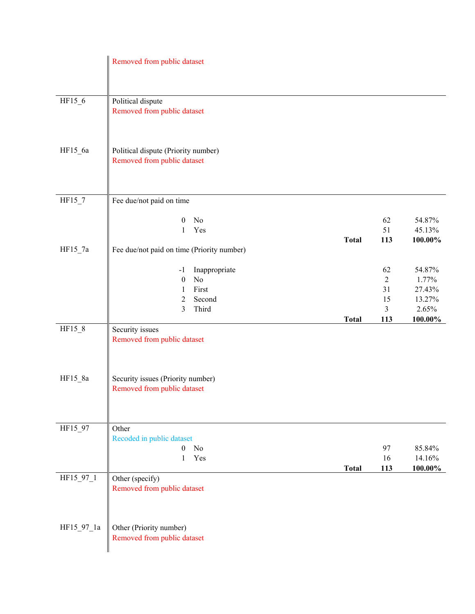|            | Removed from public dataset                                                                                   |              |                                                           |                                                         |
|------------|---------------------------------------------------------------------------------------------------------------|--------------|-----------------------------------------------------------|---------------------------------------------------------|
| HF15_6     | Political dispute<br>Removed from public dataset                                                              |              |                                                           |                                                         |
| HF15_6a    | Political dispute (Priority number)<br>Removed from public dataset                                            |              |                                                           |                                                         |
| $HF15_7$   | Fee due/not paid on time                                                                                      |              |                                                           |                                                         |
|            | No<br>$\boldsymbol{0}$<br>Yes<br>1                                                                            | <b>Total</b> | 62<br>51<br>113                                           | 54.87%<br>45.13%<br>100.00%                             |
| $HF15_7a$  | Fee due/not paid on time (Priority number)                                                                    |              |                                                           |                                                         |
|            | Inappropriate<br>$-1$<br>$\rm No$<br>$\boldsymbol{0}$<br>First<br>1<br>$\overline{2}$<br>Second<br>3<br>Third | <b>Total</b> | 62<br>$\overline{2}$<br>31<br>15<br>$\mathfrak{Z}$<br>113 | 54.87%<br>1.77%<br>27.43%<br>13.27%<br>2.65%<br>100.00% |
| HF15_8     | Security issues<br>Removed from public dataset                                                                |              |                                                           |                                                         |
| HF15_8a    | Security issues (Priority number)<br>Removed from public dataset                                              |              |                                                           |                                                         |
| HF15 97    | Other                                                                                                         |              |                                                           |                                                         |
|            | Recoded in public dataset<br>N <sub>o</sub><br>$\overline{0}$<br>Yes<br>$\mathbf{1}$                          | <b>Total</b> | 97<br>16<br>113                                           | 85.84%<br>14.16%<br>100.00%                             |
| HF15_97_1  | Other (specify)<br>Removed from public dataset                                                                |              |                                                           |                                                         |
| HF15_97_1a | Other (Priority number)<br>Removed from public dataset                                                        |              |                                                           |                                                         |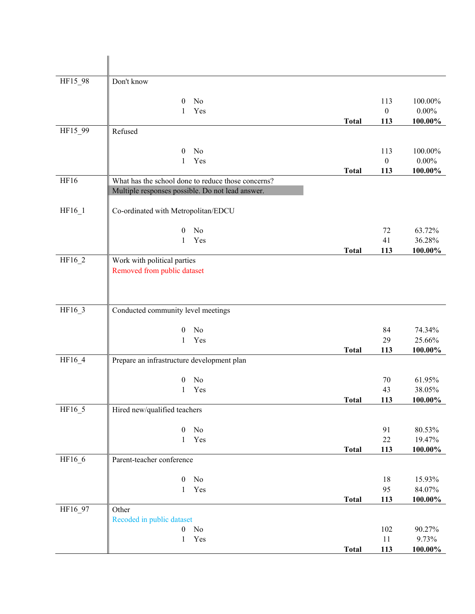| HF15_98 | Don't know                                         |              |                  |                   |
|---------|----------------------------------------------------|--------------|------------------|-------------------|
|         | No<br>$\theta$                                     |              | 113              | 100.00%           |
|         | Yes<br>1                                           |              | $\boldsymbol{0}$ | $0.00\%$          |
|         |                                                    | <b>Total</b> | 113              | 100.00%           |
| HF15_99 | Refused                                            |              |                  |                   |
|         | No<br>$\theta$                                     |              | 113              | 100.00%           |
|         | Yes<br>1                                           |              | $\boldsymbol{0}$ | $0.00\%$          |
|         |                                                    | <b>Total</b> | 113              | 100.00%           |
| HF16    | What has the school done to reduce those concerns? |              |                  |                   |
|         | Multiple responses possible. Do not lead answer.   |              |                  |                   |
| HF16_1  | Co-ordinated with Metropolitan/EDCU                |              |                  |                   |
|         | No<br>$\boldsymbol{0}$                             |              | 72               | 63.72%            |
|         | Yes<br>1                                           |              | 41               | 36.28%            |
|         |                                                    | <b>Total</b> | 113              | 100.00%           |
| HF16_2  | Work with political parties                        |              |                  |                   |
|         | Removed from public dataset                        |              |                  |                   |
|         |                                                    |              |                  |                   |
|         |                                                    |              |                  |                   |
| HF16_3  | Conducted community level meetings                 |              |                  |                   |
|         |                                                    |              |                  |                   |
|         | No<br>$\mathbf{0}$                                 |              | 84               | 74.34%            |
|         | Yes<br>1                                           |              | 29               | 25.66%            |
|         |                                                    | <b>Total</b> | 113              | 100.00%           |
| HF16_4  | Prepare an infrastructure development plan         |              |                  |                   |
|         | No<br>$\boldsymbol{0}$                             |              | 70               | 61.95%            |
|         | Yes<br>1                                           |              | 43               | 38.05%            |
|         |                                                    | Total        | 113              | 100.00%           |
| HF16_5  | Hired new/qualified teachers                       |              |                  |                   |
|         |                                                    |              |                  |                   |
|         | $\boldsymbol{0}$<br>No                             |              | 91<br>$22\,$     | 80.53%            |
|         | Yes<br>1                                           | <b>Total</b> | 113              | 19.47%<br>100.00% |
| HF16_6  | Parent-teacher conference                          |              |                  |                   |
|         |                                                    |              |                  |                   |
|         | $\boldsymbol{0}$<br>No                             |              | 18               | 15.93%            |
|         | Yes<br>$\mathbf{1}$                                |              | 95               | 84.07%            |
|         |                                                    | <b>Total</b> | 113              | 100.00%           |
| HF16_97 | Other                                              |              |                  |                   |
|         | Recoded in public dataset                          |              |                  |                   |
|         | $\boldsymbol{0}$<br>No<br>Yes<br>$\mathbf{1}$      |              | 102<br>11        | 90.27%<br>9.73%   |
|         |                                                    | <b>Total</b> | 113              | 100.00%           |
|         |                                                    |              |                  |                   |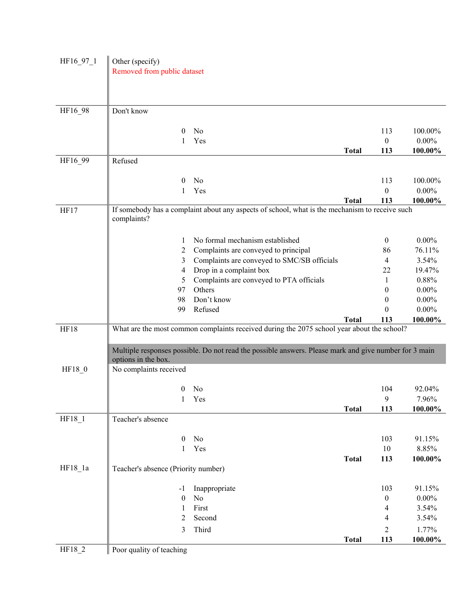| HF16_97_1 | Other (specify)<br>Removed from public dataset |                                                                                                       |              |                  |          |
|-----------|------------------------------------------------|-------------------------------------------------------------------------------------------------------|--------------|------------------|----------|
|           |                                                |                                                                                                       |              |                  |          |
|           |                                                |                                                                                                       |              |                  |          |
| HF16_98   | Don't know                                     |                                                                                                       |              |                  |          |
|           | $\boldsymbol{0}$                               | No                                                                                                    |              | 113              | 100.00%  |
|           | 1                                              | Yes                                                                                                   |              | $\boldsymbol{0}$ | $0.00\%$ |
|           |                                                |                                                                                                       | <b>Total</b> | 113              | 100.00%  |
| HF16_99   | Refused                                        |                                                                                                       |              |                  |          |
|           | 0                                              | No                                                                                                    |              | 113              | 100.00%  |
|           | 1                                              | Yes                                                                                                   |              | $\boldsymbol{0}$ | $0.00\%$ |
|           |                                                |                                                                                                       | <b>Total</b> | 113              | 100.00%  |
| HF17      | complaints?                                    | If somebody has a complaint about any aspects of school, what is the mechanism to receive such        |              |                  |          |
|           | 1                                              | No formal mechanism established                                                                       |              | $\boldsymbol{0}$ | $0.00\%$ |
|           | $\overline{c}$                                 | Complaints are conveyed to principal                                                                  |              | 86               | 76.11%   |
|           | 3                                              | Complaints are conveyed to SMC/SB officials                                                           |              | 4                | 3.54%    |
|           | 4                                              | Drop in a complaint box                                                                               |              | 22               | 19.47%   |
|           | 5                                              | Complaints are conveyed to PTA officials                                                              |              | 1                | 0.88%    |
|           | 97                                             | Others                                                                                                |              | $\theta$         | $0.00\%$ |
|           | 98                                             | Don't know                                                                                            |              | $\theta$         | $0.00\%$ |
|           | 99                                             | Refused                                                                                               |              | $\theta$         | $0.00\%$ |
|           |                                                |                                                                                                       | <b>Total</b> | 113              | 100.00%  |
| HF18      |                                                | What are the most common complaints received during the 2075 school year about the school?            |              |                  |          |
|           | options in the box.                            | Multiple responses possible. Do not read the possible answers. Please mark and give number for 3 main |              |                  |          |
| HF18_0    | No complaints received                         |                                                                                                       |              |                  |          |
|           | $\bf{0}$                                       | No                                                                                                    |              | 104              | 92.04%   |
|           |                                                | Yes                                                                                                   |              | 9                | 7.96%    |
|           |                                                |                                                                                                       | <b>Total</b> | 113              | 100.00%  |
| HF18_1    | Teacher's absence                              |                                                                                                       |              |                  |          |
|           | $\theta$                                       | No                                                                                                    |              | 103              | 91.15%   |
|           | $\mathbf{1}$                                   | Yes                                                                                                   |              | $10\,$           | 8.85%    |
|           |                                                |                                                                                                       | <b>Total</b> | 113              | 100.00%  |
| $HF18_1a$ | Teacher's absence (Priority number)            |                                                                                                       |              |                  |          |
|           | -1                                             | Inappropriate                                                                                         |              | 103              | 91.15%   |
|           | $\boldsymbol{0}$                               | No                                                                                                    |              | $\boldsymbol{0}$ | $0.00\%$ |
|           | 1                                              | First                                                                                                 |              | 4                | 3.54%    |
|           | 2                                              | Second                                                                                                |              | 4                | 3.54%    |
|           | 3                                              | Third                                                                                                 |              | $\overline{2}$   | 1.77%    |
|           |                                                |                                                                                                       | <b>Total</b> |                  |          |
| HF18_2    | Poor quality of teaching                       |                                                                                                       |              | 113              | 100.00%  |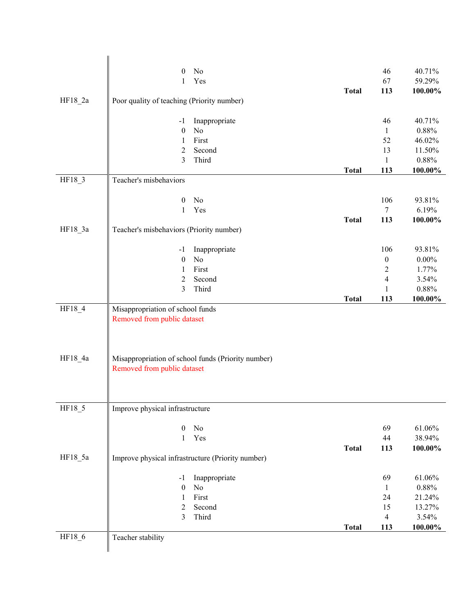|           | No<br>$\boldsymbol{0}$                                          |              | 46                           | 40.71%     |
|-----------|-----------------------------------------------------------------|--------------|------------------------------|------------|
|           | Yes<br>1                                                        |              | 67                           | 59.29%     |
|           |                                                                 | <b>Total</b> | 113                          | 100.00%    |
| $HF18_2a$ | Poor quality of teaching (Priority number)                      |              |                              |            |
|           |                                                                 |              |                              |            |
|           | Inappropriate<br>$-1$                                           |              | 46                           | 40.71%     |
|           | No<br>$\boldsymbol{0}$                                          |              | $\mathbf{1}$                 | 0.88%      |
|           | First<br>1                                                      |              | 52                           | 46.02%     |
|           | Second<br>$\overline{2}$                                        |              | 13                           | 11.50%     |
|           | 3<br>Third                                                      |              | $\mathbf{1}$                 | 0.88%      |
|           |                                                                 | <b>Total</b> | 113                          | 100.00%    |
| HF18_3    | Teacher's misbehaviors                                          |              |                              |            |
|           |                                                                 |              |                              |            |
|           | $\boldsymbol{0}$<br>N <sub>0</sub>                              |              | 106                          | 93.81%     |
|           | Yes<br>$\mathbf{1}$                                             |              | $\tau$                       | 6.19%      |
|           |                                                                 | <b>Total</b> | 113                          | $100.00\%$ |
| $HF18_3a$ | Teacher's misbehaviors (Priority number)                        |              |                              |            |
|           |                                                                 |              |                              |            |
|           | Inappropriate<br>$-1$                                           |              | 106                          | 93.81%     |
|           | $\rm No$<br>$\boldsymbol{0}$                                    |              | $\boldsymbol{0}$             | $0.00\%$   |
|           | First<br>1                                                      |              | $\sqrt{2}$<br>$\overline{4}$ | 1.77%      |
|           | Second<br>$\overline{2}$                                        |              |                              | 3.54%      |
|           | Third<br>3                                                      |              | $\mathbf{1}$                 | $0.88\%$   |
|           |                                                                 | <b>Total</b> | 113                          | 100.00%    |
| HF18_4    | Misappropriation of school funds<br>Removed from public dataset |              |                              |            |
|           |                                                                 |              |                              |            |
|           |                                                                 |              |                              |            |
|           |                                                                 |              |                              |            |
| HF18_4a   | Misappropriation of school funds (Priority number)              |              |                              |            |
|           | Removed from public dataset                                     |              |                              |            |
|           |                                                                 |              |                              |            |
|           |                                                                 |              |                              |            |
|           |                                                                 |              |                              |            |
| HF18 5    | Improve physical infrastructure                                 |              |                              |            |
|           |                                                                 |              |                              |            |
|           | N <sub>0</sub><br>$\theta$                                      |              | 69                           | 61.06%     |
|           | Yes<br>1                                                        |              | 44                           | 38.94%     |
|           |                                                                 | <b>Total</b> | 113                          | 100.00%    |
| HF18 5a   | Improve physical infrastructure (Priority number)               |              |                              |            |
|           |                                                                 |              |                              |            |
|           | Inappropriate<br>$-1$                                           |              | 69                           | 61.06%     |
|           | No<br>$\boldsymbol{0}$                                          |              | $\mathbf{1}$                 | $0.88\%$   |
|           | First<br>1                                                      |              | 24                           | 21.24%     |
|           | $\overline{2}$<br>Second                                        |              | 15                           | 13.27%     |
|           | 3<br>Third                                                      |              | $\overline{4}$               | 3.54%      |
|           |                                                                 | <b>Total</b> | 113                          | 100.00%    |
| HF18_6    | Teacher stability                                               |              |                              |            |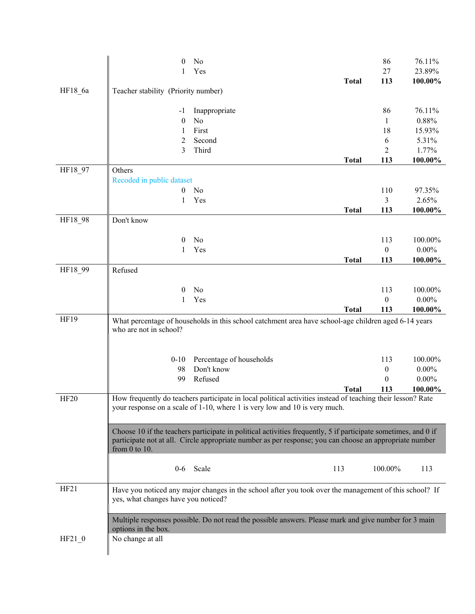|             | 0                                   | No                                                                                                                                                                                                                        |              | 86               | 76.11%     |
|-------------|-------------------------------------|---------------------------------------------------------------------------------------------------------------------------------------------------------------------------------------------------------------------------|--------------|------------------|------------|
|             |                                     | Yes                                                                                                                                                                                                                       |              | 27               | 23.89%     |
|             |                                     |                                                                                                                                                                                                                           | <b>Total</b> | 113              | 100.00%    |
| HF18_6a     | Teacher stability (Priority number) |                                                                                                                                                                                                                           |              |                  |            |
|             |                                     |                                                                                                                                                                                                                           |              | 86               | 76.11%     |
|             | -1<br>$\boldsymbol{0}$              | Inappropriate<br>No                                                                                                                                                                                                       |              | $\mathbf{1}$     | 0.88%      |
|             | 1                                   | First                                                                                                                                                                                                                     |              | 18               | 15.93%     |
|             | 2                                   | Second                                                                                                                                                                                                                    |              | 6                | 5.31%      |
|             | 3                                   | Third                                                                                                                                                                                                                     |              | 2                | 1.77%      |
|             |                                     |                                                                                                                                                                                                                           | <b>Total</b> | 113              | 100.00%    |
| HF18_97     | Others                              |                                                                                                                                                                                                                           |              |                  |            |
|             | Recoded in public dataset           |                                                                                                                                                                                                                           |              |                  |            |
|             | $\mathbf{0}$                        | No                                                                                                                                                                                                                        |              | 110              | 97.35%     |
|             | 1                                   | Yes                                                                                                                                                                                                                       |              | 3                | 2.65%      |
|             |                                     |                                                                                                                                                                                                                           | <b>Total</b> | 113              | $100.00\%$ |
| HF18_98     | Don't know                          |                                                                                                                                                                                                                           |              |                  |            |
|             |                                     |                                                                                                                                                                                                                           |              |                  |            |
|             | $\bf{0}$                            | No                                                                                                                                                                                                                        |              | 113              | 100.00%    |
|             | 1                                   | Yes                                                                                                                                                                                                                       |              | $\boldsymbol{0}$ | $0.00\%$   |
|             |                                     |                                                                                                                                                                                                                           | <b>Total</b> | 113              | 100.00%    |
| HF18_99     | Refused                             |                                                                                                                                                                                                                           |              |                  |            |
|             | $\bf{0}$                            | No                                                                                                                                                                                                                        |              | 113              | 100.00%    |
|             | 1                                   | Yes                                                                                                                                                                                                                       |              | 0                | $0.00\%$   |
|             |                                     |                                                                                                                                                                                                                           | <b>Total</b> | 113              | 100.00%    |
| HF19        |                                     | What percentage of households in this school catchment area have school-age children aged 6-14 years                                                                                                                      |              |                  |            |
|             | who are not in school?              |                                                                                                                                                                                                                           |              |                  |            |
|             |                                     |                                                                                                                                                                                                                           |              |                  |            |
|             |                                     |                                                                                                                                                                                                                           |              |                  |            |
|             | $0 - 10$                            | Percentage of households                                                                                                                                                                                                  |              | 113              | 100.00%    |
|             | 98                                  | Don't know                                                                                                                                                                                                                |              | $\boldsymbol{0}$ | $0.00\%$   |
|             | 99                                  | Refused                                                                                                                                                                                                                   |              | $\theta$         | $0.00\%$   |
|             |                                     |                                                                                                                                                                                                                           | <b>Total</b> | 113              | 100.00%    |
| <b>HF20</b> |                                     | How frequently do teachers participate in local political activities instead of teaching their lesson? Rate<br>your response on a scale of 1-10, where 1 is very low and 10 is very much.                                 |              |                  |            |
|             |                                     |                                                                                                                                                                                                                           |              |                  |            |
|             |                                     |                                                                                                                                                                                                                           |              |                  |            |
|             |                                     | Choose 10 if the teachers participate in political activities frequently, 5 if participate sometimes, and 0 if<br>participate not at all. Circle appropriate number as per response; you can choose an appropriate number |              |                  |            |
|             | from $0$ to $10$ .                  |                                                                                                                                                                                                                           |              |                  |            |
|             |                                     |                                                                                                                                                                                                                           |              |                  |            |
|             |                                     | 0-6 Scale                                                                                                                                                                                                                 | 113          | 100.00%          | 113        |
|             |                                     |                                                                                                                                                                                                                           |              |                  |            |
| HF21        |                                     | Have you noticed any major changes in the school after you took over the management of this school? If                                                                                                                    |              |                  |            |
|             | yes, what changes have you noticed? |                                                                                                                                                                                                                           |              |                  |            |
|             |                                     |                                                                                                                                                                                                                           |              |                  |            |
|             |                                     | Multiple responses possible. Do not read the possible answers. Please mark and give number for 3 main                                                                                                                     |              |                  |            |
|             | options in the box.                 |                                                                                                                                                                                                                           |              |                  |            |
| $HF21_0$    |                                     |                                                                                                                                                                                                                           |              |                  |            |
|             | No change at all                    |                                                                                                                                                                                                                           |              |                  |            |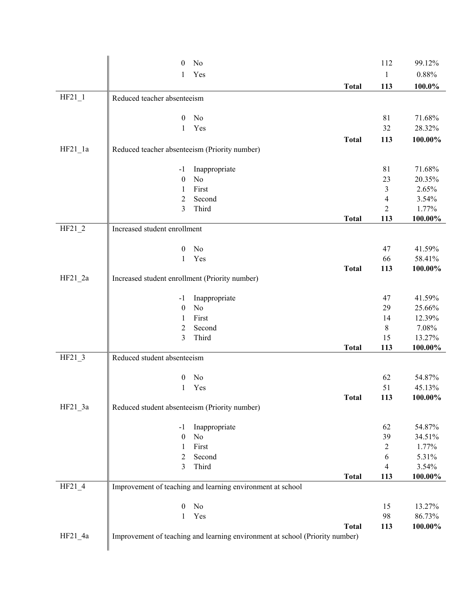|           | 0                                              | No                                                                           |              | 112            | 99.12%     |
|-----------|------------------------------------------------|------------------------------------------------------------------------------|--------------|----------------|------------|
|           | 1                                              | Yes                                                                          |              | $\mathbf{1}$   | 0.88%      |
|           |                                                |                                                                              | <b>Total</b> | 113            | 100.0%     |
| $HF21_1$  | Reduced teacher absenteeism                    |                                                                              |              |                |            |
|           |                                                |                                                                              |              |                |            |
|           | 0                                              | No                                                                           |              | 81             | 71.68%     |
|           | 1                                              | Yes                                                                          |              | 32             | 28.32%     |
|           |                                                |                                                                              | <b>Total</b> | 113            | 100.00%    |
| $HF21_1a$ | Reduced teacher absenteeism (Priority number)  |                                                                              |              |                |            |
|           | $-1$                                           | Inappropriate                                                                |              | 81             | 71.68%     |
|           | $\boldsymbol{0}$                               | No                                                                           |              | 23             | 20.35%     |
|           | 1                                              | First                                                                        |              | 3              | 2.65%      |
|           | 2                                              | Second                                                                       |              | 4              | 3.54%      |
|           | 3                                              | Third                                                                        |              | $\overline{2}$ | 1.77%      |
|           |                                                |                                                                              | <b>Total</b> | 113            | $100.00\%$ |
| $HF21_2$  | Increased student enrollment                   |                                                                              |              |                |            |
|           | 0                                              | N <sub>0</sub>                                                               |              | 47             | 41.59%     |
|           | 1                                              | Yes                                                                          |              | 66             | 58.41%     |
|           |                                                |                                                                              | <b>Total</b> | 113            | 100.00%    |
| $HF21_2a$ | Increased student enrollment (Priority number) |                                                                              |              |                |            |
|           | $-1$                                           | Inappropriate                                                                |              | 47             | 41.59%     |
|           | $\boldsymbol{0}$                               | No                                                                           |              | 29             | 25.66%     |
|           | 1                                              | First                                                                        |              | 14             | 12.39%     |
|           | 2                                              | Second                                                                       |              | $8\,$          | 7.08%      |
|           | 3                                              | Third                                                                        |              | 15             | 13.27%     |
|           |                                                |                                                                              | <b>Total</b> | 113            | 100.00%    |
| $HF21_3$  | Reduced student absenteeism                    |                                                                              |              |                |            |
|           | $\boldsymbol{0}$                               | No                                                                           |              | 62             | 54.87%     |
|           | 1                                              | Yes                                                                          |              | 51             | 45.13%     |
|           |                                                |                                                                              | <b>Total</b> | 113            | 100.00%    |
| $HF21_3a$ | Reduced student absenteeism (Priority number)  |                                                                              |              |                |            |
|           | $-1$                                           | Inappropriate                                                                |              | 62             | 54.87%     |
|           | $\boldsymbol{0}$                               | No                                                                           |              | 39             | 34.51%     |
|           | $\mathbf{1}$                                   | First                                                                        |              | $\overline{2}$ | 1.77%      |
|           | 2                                              | Second                                                                       |              | $\sqrt{6}$     | 5.31%      |
|           | 3                                              | Third                                                                        |              | $\overline{4}$ | 3.54%      |
|           |                                                |                                                                              | <b>Total</b> | 113            | 100.00%    |
| $HF21_4$  |                                                | Improvement of teaching and learning environment at school                   |              |                |            |
|           | $\boldsymbol{0}$                               | No                                                                           |              | 15             | 13.27%     |
|           | $\mathbf{1}$                                   | Yes                                                                          |              | 98             | 86.73%     |
|           |                                                |                                                                              | <b>Total</b> | 113            | 100.00%    |
| $HF21_4a$ |                                                | Improvement of teaching and learning environment at school (Priority number) |              |                |            |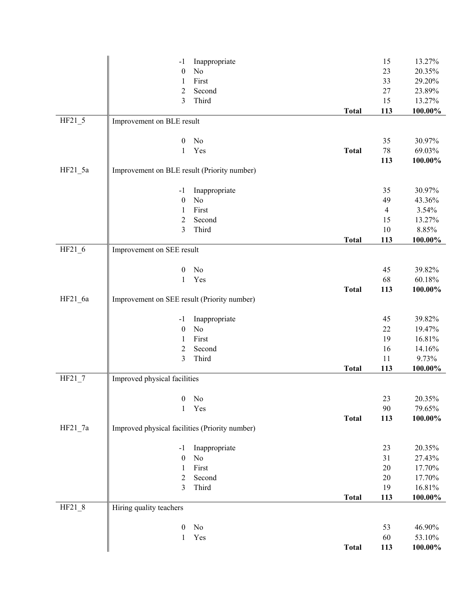|           | $-1$                                           | Inappropriate       |              | 15             | 13.27%     |
|-----------|------------------------------------------------|---------------------|--------------|----------------|------------|
|           | $\boldsymbol{0}$                               | No                  |              | 23             | 20.35%     |
|           | $\mathbf{1}$                                   | First               |              | 33             | 29.20%     |
|           | $\overline{2}$                                 | Second              |              | 27             | 23.89%     |
|           | 3                                              | Third               |              | 15             | 13.27%     |
|           |                                                |                     | <b>Total</b> | 113            | 100.00%    |
| $HF21_5$  | Improvement on BLE result                      |                     |              |                |            |
|           |                                                |                     |              |                |            |
|           | $\boldsymbol{0}$                               | No                  |              | 35             | 30.97%     |
|           | $\mathbf{1}$                                   | Yes                 | <b>Total</b> | $78\,$         | 69.03%     |
|           |                                                |                     |              | 113            | $100.00\%$ |
| $HF21_5a$ | Improvement on BLE result (Priority number)    |                     |              |                |            |
|           | $-1$                                           | Inappropriate       |              | 35             | 30.97%     |
|           | $\boldsymbol{0}$                               | No                  |              | 49             | 43.36%     |
|           | 1                                              | First               |              | $\overline{4}$ | 3.54%      |
|           | 2                                              | Second              |              | 15             | 13.27%     |
|           | 3                                              | Third               |              | $10\,$         | 8.85%      |
|           |                                                |                     | <b>Total</b> | 113            | 100.00%    |
| $HF21_6$  | Improvement on SEE result                      |                     |              |                |            |
|           |                                                |                     |              |                |            |
|           | $\boldsymbol{0}$                               | No                  |              | 45             | 39.82%     |
|           | 1                                              | Yes                 |              | 68             | 60.18%     |
|           |                                                |                     | <b>Total</b> | 113            | 100.00%    |
| $HF21_6a$ | Improvement on SEE result (Priority number)    |                     |              |                |            |
|           | $-1$                                           |                     |              | 45             | 39.82%     |
|           | $\boldsymbol{0}$                               | Inappropriate<br>No |              | 22             | 19.47%     |
|           | 1                                              | First               |              | 19             | 16.81%     |
|           | $\overline{c}$                                 | Second              |              | 16             | 14.16%     |
|           | 3                                              | Third               |              | 11             | 9.73%      |
|           |                                                |                     | <b>Total</b> | 113            | 100.00%    |
| $HF21_7$  | Improved physical facilities                   |                     |              |                |            |
|           |                                                |                     |              |                |            |
|           | $\boldsymbol{0}$                               | No                  |              | 23             | 20.35%     |
|           | $\mathbf{1}$                                   | Yes                 |              | 90             | 79.65%     |
|           |                                                |                     | <b>Total</b> | 113            | $100.00\%$ |
| $HF21_7a$ | Improved physical facilities (Priority number) |                     |              |                |            |
|           |                                                |                     |              |                |            |
|           | $-1$                                           | Inappropriate       |              | 23             | 20.35%     |
|           | $\boldsymbol{0}$                               | No                  |              | 31             | 27.43%     |
|           | $\mathbf{1}$                                   | First               |              | 20             | 17.70%     |
|           | 2                                              | Second              |              | 20             | 17.70%     |
|           | 3                                              | Third               |              | 19             | 16.81%     |
|           |                                                |                     | <b>Total</b> | 113            | $100.00\%$ |
| $HF21_8$  | Hiring quality teachers                        |                     |              |                |            |
|           | $\boldsymbol{0}$                               | No                  |              | 53             | 46.90%     |
|           | $\mathbf{1}$                                   | Yes                 |              | 60             | 53.10%     |
|           |                                                |                     | <b>Total</b> | 113            | 100.00%    |
|           |                                                |                     |              |                |            |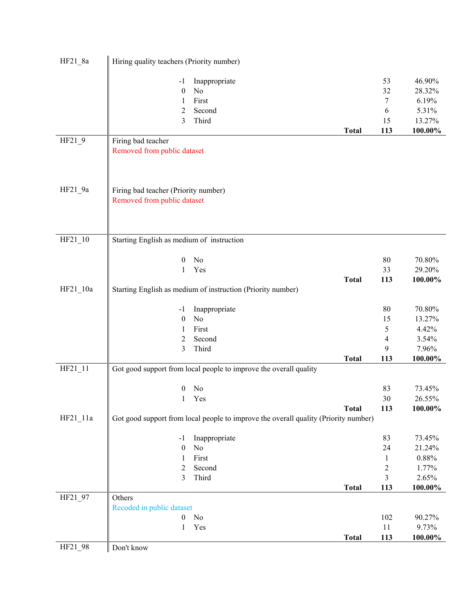| $HF21_8a$ | Hiring quality teachers (Priority number)                                           |                          |                  |
|-----------|-------------------------------------------------------------------------------------|--------------------------|------------------|
|           | Inappropriate<br>$-1$                                                               | 53                       | 46.90%           |
|           | $\boldsymbol{0}$<br>No                                                              | 32                       | 28.32%           |
|           | First<br>1                                                                          | $\tau$                   | 6.19%            |
|           | 2<br>Second                                                                         | 6                        | 5.31%            |
|           | 3<br>Third                                                                          | 15                       | 13.27%           |
|           | <b>Total</b>                                                                        | 113                      | 100.00%          |
| HF21_9    | Firing bad teacher                                                                  |                          |                  |
|           | Removed from public dataset                                                         |                          |                  |
|           |                                                                                     |                          |                  |
|           |                                                                                     |                          |                  |
| $HF21_9a$ | Firing bad teacher (Priority number)                                                |                          |                  |
|           | Removed from public dataset                                                         |                          |                  |
|           |                                                                                     |                          |                  |
|           |                                                                                     |                          |                  |
| $HF21_10$ | Starting English as medium of instruction                                           |                          |                  |
|           | No                                                                                  |                          |                  |
|           | 0<br>Yes<br>$\mathbf{1}$                                                            | 80<br>33                 | 70.80%<br>29.20% |
|           | <b>Total</b>                                                                        | 113                      |                  |
| HF21_10a  | Starting English as medium of instruction (Priority number)                         |                          | 100.00%          |
|           |                                                                                     |                          |                  |
|           | Inappropriate<br>$-1$                                                               | $80\,$                   | 70.80%           |
|           | No<br>$\boldsymbol{0}$                                                              | 15                       | 13.27%           |
|           | $\rm First$<br>1                                                                    | 5                        | 4.42%            |
|           | $\overline{c}$<br>Second                                                            | $\overline{\mathcal{A}}$ | 3.54%            |
|           | Third<br>3                                                                          | 9                        | 7.96%            |
|           | <b>Total</b>                                                                        | 113                      | 100.00%          |
| HF21_11   | Got good support from local people to improve the overall quality                   |                          |                  |
|           | No<br>0                                                                             | 83                       | 73.45%           |
|           | Yes<br>1                                                                            | 30                       | 26.55%           |
|           | <b>Total</b>                                                                        | 113                      | 100.00%          |
| HF21 11a  | Got good support from local people to improve the overall quality (Priority number) |                          |                  |
|           | Inappropriate<br>$-1$                                                               | 83                       | 73.45%           |
|           | $\boldsymbol{0}$<br>No                                                              | 24                       | 21.24%           |
|           | First<br>$\mathbf{1}$                                                               | $\mathbf{1}$             | $0.88\%$         |
|           | $\overline{c}$<br>Second                                                            | $\overline{c}$           | 1.77%            |
|           | 3<br>Third                                                                          | 3                        | 2.65%            |
|           | <b>Total</b>                                                                        | 113                      | 100.00%          |
| HF21_97   | Others                                                                              |                          |                  |
|           | Recoded in public dataset                                                           |                          |                  |
|           | $\boldsymbol{0}$<br>No                                                              | 102                      | 90.27%           |
|           | $\mathbf{1}$<br>Yes                                                                 | 11                       | 9.73%            |
|           | <b>Total</b>                                                                        | 113                      | 100.00%          |
| HF21_98   | Don't know                                                                          |                          |                  |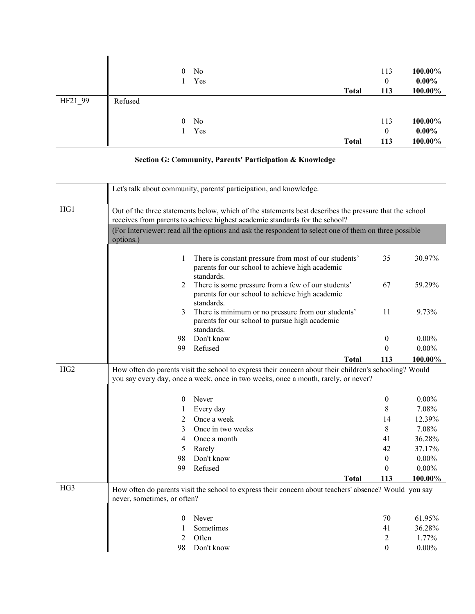|         |         | No<br>$\overline{0}$<br>Yes | <b>Total</b> | 113<br>0<br>113 | 100.00%<br>$0.00\%$<br>100.00% |
|---------|---------|-----------------------------|--------------|-----------------|--------------------------------|
| HF21_99 | Refused |                             |              |                 |                                |
|         |         | No<br>$\overline{0}$        |              | 113             | 100.00%                        |
|         |         | Yes                         |              | 0               | $0.00\%$                       |
|         |         |                             | <b>Total</b> | 113             | 100.00%                        |

## **Section G: Community, Parents' Participation & Knowledge**

|                 |                             | Let's talk about community, parents' participation, and knowledge.                                                                                                                           |                |          |  |  |  |
|-----------------|-----------------------------|----------------------------------------------------------------------------------------------------------------------------------------------------------------------------------------------|----------------|----------|--|--|--|
| HG1             |                             | Out of the three statements below, which of the statements best describes the pressure that the school<br>receives from parents to achieve highest academic standards for the school?        |                |          |  |  |  |
|                 | options.)                   | (For Interviewer: read all the options and ask the respondent to select one of them on three possible                                                                                        |                |          |  |  |  |
|                 | 1                           | There is constant pressure from most of our students'<br>parents for our school to achieve high academic<br>standards.                                                                       | 35             | 30.97%   |  |  |  |
|                 | 2                           | There is some pressure from a few of our students'<br>parents for our school to achieve high academic<br>standards.                                                                          | 67             | 59.29%   |  |  |  |
|                 | 3                           | There is minimum or no pressure from our students'<br>parents for our school to pursue high academic<br>standards.                                                                           | 11             | 9.73%    |  |  |  |
|                 | 98                          | Don't know                                                                                                                                                                                   | $\bf{0}$       | $0.00\%$ |  |  |  |
|                 | 99                          | Refused                                                                                                                                                                                      | $\Omega$       | $0.00\%$ |  |  |  |
|                 |                             | <b>Total</b>                                                                                                                                                                                 | 113            | 100.00%  |  |  |  |
| HG <sub>2</sub> |                             | How often do parents visit the school to express their concern about their children's schooling? Would<br>you say every day, once a week, once in two weeks, once a month, rarely, or never? |                |          |  |  |  |
|                 | $\theta$                    | Never                                                                                                                                                                                        | $\overline{0}$ | $0.00\%$ |  |  |  |
|                 | 1                           | Every day                                                                                                                                                                                    | 8              | 7.08%    |  |  |  |
|                 | 2                           | Once a week                                                                                                                                                                                  | 14             | 12.39%   |  |  |  |
|                 | 3                           | Once in two weeks                                                                                                                                                                            | 8              | 7.08%    |  |  |  |
|                 | 4                           | Once a month                                                                                                                                                                                 | 41             | 36.28%   |  |  |  |
|                 | 5                           | Rarely                                                                                                                                                                                       | 42             | 37.17%   |  |  |  |
|                 | 98                          | Don't know                                                                                                                                                                                   | $\theta$       | $0.00\%$ |  |  |  |
|                 | 99                          | Refused                                                                                                                                                                                      | $\theta$       | $0.00\%$ |  |  |  |
|                 |                             | <b>Total</b>                                                                                                                                                                                 | 113            | 100.00%  |  |  |  |
| HG3             | never, sometimes, or often? | How often do parents visit the school to express their concern about teachers' absence? Would you say                                                                                        |                |          |  |  |  |
|                 | $\theta$                    | Never                                                                                                                                                                                        | 70             | 61.95%   |  |  |  |
|                 | 1                           | Sometimes                                                                                                                                                                                    | 41             | 36.28%   |  |  |  |
|                 | 2                           | Often                                                                                                                                                                                        | 2              | 1.77%    |  |  |  |
|                 | 98                          | Don't know                                                                                                                                                                                   | $\theta$       | $0.00\%$ |  |  |  |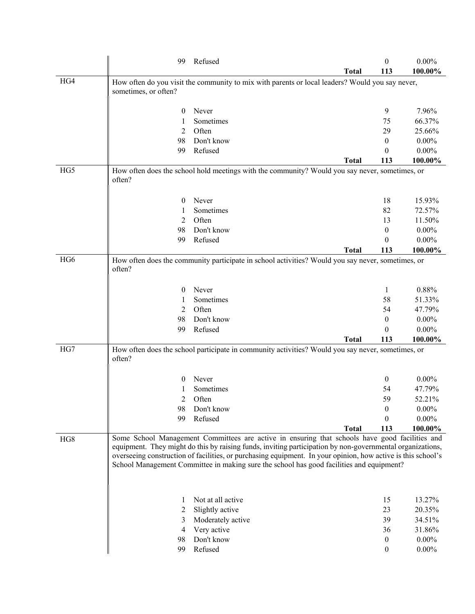|                 | 99                   | Refused                                                                                                                                                                                                                                                                                                                                                                                                                 | <b>Total</b> | $\theta$<br>113  | $0.00\%$<br>100.00% |
|-----------------|----------------------|-------------------------------------------------------------------------------------------------------------------------------------------------------------------------------------------------------------------------------------------------------------------------------------------------------------------------------------------------------------------------------------------------------------------------|--------------|------------------|---------------------|
| HG4             | sometimes, or often? | How often do you visit the community to mix with parents or local leaders? Would you say never,                                                                                                                                                                                                                                                                                                                         |              |                  |                     |
|                 | $\bf{0}$             | Never                                                                                                                                                                                                                                                                                                                                                                                                                   |              | 9                | 7.96%               |
|                 | 1                    | Sometimes                                                                                                                                                                                                                                                                                                                                                                                                               |              | 75               | 66.37%              |
|                 | 2                    | Often                                                                                                                                                                                                                                                                                                                                                                                                                   |              | 29               | 25.66%              |
|                 | 98                   | Don't know                                                                                                                                                                                                                                                                                                                                                                                                              |              | 0                | $0.00\%$            |
|                 | 99                   | Refused                                                                                                                                                                                                                                                                                                                                                                                                                 |              | $\theta$         | $0.00\%$            |
|                 |                      |                                                                                                                                                                                                                                                                                                                                                                                                                         | <b>Total</b> | 113              | 100.00%             |
| HG5             | often?               | How often does the school hold meetings with the community? Would you say never, sometimes, or                                                                                                                                                                                                                                                                                                                          |              |                  |                     |
|                 | $\bf{0}$             | Never                                                                                                                                                                                                                                                                                                                                                                                                                   |              | 18               | 15.93%              |
|                 | 1                    | Sometimes                                                                                                                                                                                                                                                                                                                                                                                                               |              | 82               | 72.57%              |
|                 | 2                    | Often                                                                                                                                                                                                                                                                                                                                                                                                                   |              | 13               | 11.50%              |
|                 | 98                   | Don't know                                                                                                                                                                                                                                                                                                                                                                                                              |              | $\boldsymbol{0}$ | $0.00\%$            |
|                 | 99                   | Refused                                                                                                                                                                                                                                                                                                                                                                                                                 |              | 0                | $0.00\%$            |
|                 |                      |                                                                                                                                                                                                                                                                                                                                                                                                                         | <b>Total</b> | 113              | 100.00%             |
| HG <sub>6</sub> | often?               | How often does the community participate in school activities? Would you say never, sometimes, or                                                                                                                                                                                                                                                                                                                       |              |                  |                     |
|                 | $\bf{0}$             | Never                                                                                                                                                                                                                                                                                                                                                                                                                   |              | 1                | 0.88%               |
|                 |                      | Sometimes                                                                                                                                                                                                                                                                                                                                                                                                               |              | 58               | 51.33%              |
|                 | 2                    | Often                                                                                                                                                                                                                                                                                                                                                                                                                   |              | 54               | 47.79%              |
|                 | 98                   | Don't know                                                                                                                                                                                                                                                                                                                                                                                                              |              | $\theta$         | $0.00\%$            |
|                 | 99                   | Refused                                                                                                                                                                                                                                                                                                                                                                                                                 |              | 0                | $0.00\%$            |
|                 |                      |                                                                                                                                                                                                                                                                                                                                                                                                                         | <b>Total</b> | 113              | 100.00%             |
| HG7             | often?               | How often does the school participate in community activities? Would you say never, sometimes, or                                                                                                                                                                                                                                                                                                                       |              |                  |                     |
|                 | 0                    | Never                                                                                                                                                                                                                                                                                                                                                                                                                   |              | $\boldsymbol{0}$ | $0.00\%$            |
|                 |                      | Sometimes                                                                                                                                                                                                                                                                                                                                                                                                               |              | 54               | 47.79%              |
|                 | 2                    | Often                                                                                                                                                                                                                                                                                                                                                                                                                   |              | 59               | 52.21%              |
|                 | 98                   | Don't know                                                                                                                                                                                                                                                                                                                                                                                                              |              | $\theta$         | $0.00\%$            |
|                 | 99                   | Refused                                                                                                                                                                                                                                                                                                                                                                                                                 |              | 0                | $0.00\%$            |
|                 |                      |                                                                                                                                                                                                                                                                                                                                                                                                                         | <b>Total</b> | 113              | 100.00%             |
| HG8             |                      | Some School Management Committees are active in ensuring that schools have good facilities and<br>equipment. They might do this by raising funds, inviting participation by non-governmental organizations,<br>overseeing construction of facilities, or purchasing equipment. In your opinion, how active is this school's<br>School Management Committee in making sure the school has good facilities and equipment? |              |                  |                     |
|                 | 1                    | Not at all active                                                                                                                                                                                                                                                                                                                                                                                                       |              | 15               | 13.27%              |
|                 | 2                    | Slightly active                                                                                                                                                                                                                                                                                                                                                                                                         |              | 23               | 20.35%              |
|                 | 3                    | Moderately active                                                                                                                                                                                                                                                                                                                                                                                                       |              | 39               | 34.51%              |
|                 | 4                    | Very active                                                                                                                                                                                                                                                                                                                                                                                                             |              | 36               | 31.86%              |
|                 | 98                   | Don't know                                                                                                                                                                                                                                                                                                                                                                                                              |              | $\mathbf{0}$     | $0.00\%$            |
|                 | 99                   | Refused                                                                                                                                                                                                                                                                                                                                                                                                                 |              | $\boldsymbol{0}$ | $0.00\%$            |
|                 |                      |                                                                                                                                                                                                                                                                                                                                                                                                                         |              |                  |                     |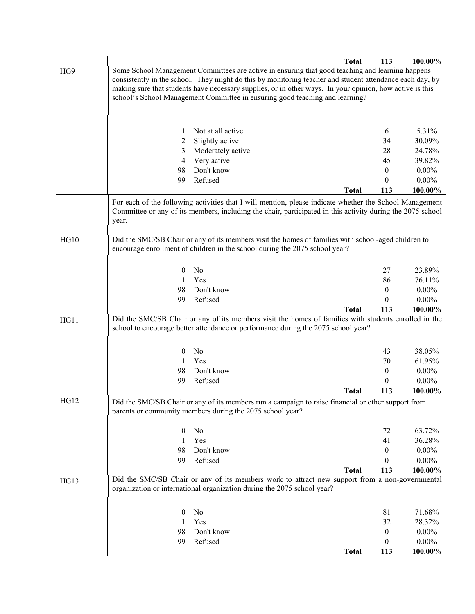|             |                  |                                                                                                                                                                                                                       | <b>Total</b> | 113              | 100.00%  |
|-------------|------------------|-----------------------------------------------------------------------------------------------------------------------------------------------------------------------------------------------------------------------|--------------|------------------|----------|
| HG9         |                  | Some School Management Committees are active in ensuring that good teaching and learning happens                                                                                                                      |              |                  |          |
|             |                  | consistently in the school. They might do this by monitoring teacher and student attendance each day, by                                                                                                              |              |                  |          |
|             |                  | making sure that students have necessary supplies, or in other ways. In your opinion, how active is this                                                                                                              |              |                  |          |
|             |                  | school's School Management Committee in ensuring good teaching and learning?                                                                                                                                          |              |                  |          |
|             |                  |                                                                                                                                                                                                                       |              |                  |          |
|             |                  |                                                                                                                                                                                                                       |              |                  |          |
|             | 1                | Not at all active                                                                                                                                                                                                     |              | 6                | 5.31%    |
|             | $\overline{c}$   | Slightly active                                                                                                                                                                                                       |              | 34               | 30.09%   |
|             | 3                | Moderately active                                                                                                                                                                                                     |              | 28               | 24.78%   |
|             | 4                | Very active                                                                                                                                                                                                           |              | 45               | 39.82%   |
|             | 98               | Don't know                                                                                                                                                                                                            |              | $\mathbf{0}$     | $0.00\%$ |
|             | 99               | Refused                                                                                                                                                                                                               |              | 0                | $0.00\%$ |
|             |                  |                                                                                                                                                                                                                       | <b>Total</b> | 113              | 100.00%  |
|             |                  |                                                                                                                                                                                                                       |              |                  |          |
|             |                  | For each of the following activities that I will mention, please indicate whether the School Management<br>Committee or any of its members, including the chair, participated in this activity during the 2075 school |              |                  |          |
|             | year.            |                                                                                                                                                                                                                       |              |                  |          |
|             |                  |                                                                                                                                                                                                                       |              |                  |          |
| HG10        |                  | Did the SMC/SB Chair or any of its members visit the homes of families with school-aged children to                                                                                                                   |              |                  |          |
|             |                  | encourage enrollment of children in the school during the 2075 school year?                                                                                                                                           |              |                  |          |
|             |                  |                                                                                                                                                                                                                       |              |                  |          |
|             | $\theta$         | No                                                                                                                                                                                                                    |              | 27               | 23.89%   |
|             | 1                | Yes                                                                                                                                                                                                                   |              | 86               | 76.11%   |
|             | 98               | Don't know                                                                                                                                                                                                            |              | $\theta$         | $0.00\%$ |
|             | 99               | Refused                                                                                                                                                                                                               |              | $\theta$         | $0.00\%$ |
|             |                  |                                                                                                                                                                                                                       | <b>Total</b> | 113              | 100.00%  |
| HG11        |                  | Did the SMC/SB Chair or any of its members visit the homes of families with students enrolled in the                                                                                                                  |              |                  |          |
|             |                  | school to encourage better attendance or performance during the 2075 school year?                                                                                                                                     |              |                  |          |
|             |                  |                                                                                                                                                                                                                       |              |                  |          |
|             | $\bf{0}$         | No                                                                                                                                                                                                                    |              | 43               | 38.05%   |
|             | 1                | Yes                                                                                                                                                                                                                   |              | 70               | 61.95%   |
|             | 98               | Don't know                                                                                                                                                                                                            |              | $\theta$         | $0.00\%$ |
|             | 99               | Refused                                                                                                                                                                                                               |              | 0                | $0.00\%$ |
|             |                  |                                                                                                                                                                                                                       | <b>Total</b> | 113              | 100.00%  |
| <b>HG12</b> |                  |                                                                                                                                                                                                                       |              |                  |          |
|             |                  | Did the SMC/SB Chair or any of its members run a campaign to raise financial or other support from<br>parents or community members during the 2075 school year?                                                       |              |                  |          |
|             |                  |                                                                                                                                                                                                                       |              |                  |          |
|             | $\bf{0}$         | No                                                                                                                                                                                                                    |              | 72               | 63.72%   |
|             | -1               | Yes                                                                                                                                                                                                                   |              | 41               | 36.28%   |
|             | 98               | Don't know                                                                                                                                                                                                            |              | $\boldsymbol{0}$ | $0.00\%$ |
|             | 99               | Refused                                                                                                                                                                                                               |              | 0                | $0.00\%$ |
|             |                  |                                                                                                                                                                                                                       | <b>Total</b> | 113              | 100.00%  |
| HG13        |                  | Did the SMC/SB Chair or any of its members work to attract new support from a non-governmental                                                                                                                        |              |                  |          |
|             |                  | organization or international organization during the 2075 school year?                                                                                                                                               |              |                  |          |
|             |                  |                                                                                                                                                                                                                       |              |                  |          |
|             |                  |                                                                                                                                                                                                                       |              |                  |          |
|             | $\boldsymbol{0}$ | No                                                                                                                                                                                                                    |              | 81               | 71.68%   |
|             |                  | Yes                                                                                                                                                                                                                   |              | 32               | 28.32%   |
|             | 98               | Don't know                                                                                                                                                                                                            |              | $\boldsymbol{0}$ | $0.00\%$ |
|             | 99               | Refused                                                                                                                                                                                                               |              | 0                | $0.00\%$ |
|             |                  |                                                                                                                                                                                                                       | <b>Total</b> | 113              | 100.00%  |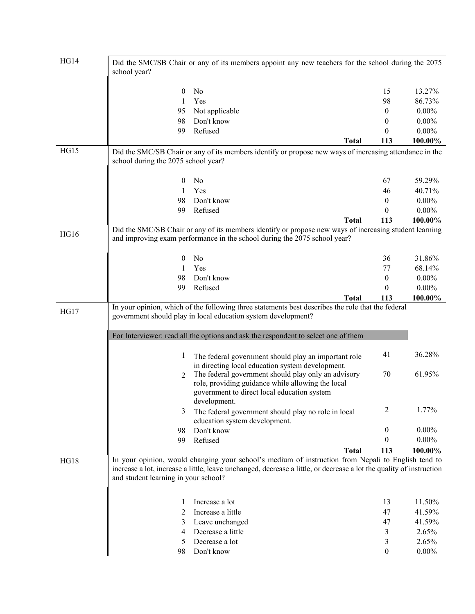| HG14        | Did the SMC/SB Chair or any of its members appoint any new teachers for the school during the 2075<br>school year? |                                                                                                                                                                                                                                                          |                  |          |  |  |
|-------------|--------------------------------------------------------------------------------------------------------------------|----------------------------------------------------------------------------------------------------------------------------------------------------------------------------------------------------------------------------------------------------------|------------------|----------|--|--|
|             | $\bf{0}$                                                                                                           | No                                                                                                                                                                                                                                                       | 15               | 13.27%   |  |  |
|             | 1                                                                                                                  | Yes                                                                                                                                                                                                                                                      | 98               | 86.73%   |  |  |
|             | 95                                                                                                                 | Not applicable                                                                                                                                                                                                                                           | 0                | $0.00\%$ |  |  |
|             | 98                                                                                                                 | Don't know                                                                                                                                                                                                                                               | 0                | $0.00\%$ |  |  |
|             | 99                                                                                                                 | Refused                                                                                                                                                                                                                                                  | $\theta$         | $0.00\%$ |  |  |
|             |                                                                                                                    | <b>Total</b>                                                                                                                                                                                                                                             | 113              | 100.00%  |  |  |
| <b>HG15</b> | school during the 2075 school year?                                                                                | Did the SMC/SB Chair or any of its members identify or propose new ways of increasing attendance in the                                                                                                                                                  |                  |          |  |  |
|             | $\boldsymbol{0}$                                                                                                   | No                                                                                                                                                                                                                                                       | 67               | 59.29%   |  |  |
|             | 1                                                                                                                  | Yes                                                                                                                                                                                                                                                      | 46               | 40.71%   |  |  |
|             | 98                                                                                                                 | Don't know                                                                                                                                                                                                                                               | $\theta$         | $0.00\%$ |  |  |
|             | 99                                                                                                                 | Refused                                                                                                                                                                                                                                                  | $\theta$         | $0.00\%$ |  |  |
|             |                                                                                                                    | <b>Total</b>                                                                                                                                                                                                                                             | 113              | 100.00%  |  |  |
| <b>HG16</b> |                                                                                                                    | Did the SMC/SB Chair or any of its members identify or propose new ways of increasing student learning<br>and improving exam performance in the school during the 2075 school year?                                                                      |                  |          |  |  |
|             | $\bf{0}$                                                                                                           | No                                                                                                                                                                                                                                                       | 36               | 31.86%   |  |  |
|             | 1                                                                                                                  | Yes                                                                                                                                                                                                                                                      | 77               | 68.14%   |  |  |
|             | 98                                                                                                                 | Don't know                                                                                                                                                                                                                                               | $\boldsymbol{0}$ | $0.00\%$ |  |  |
|             | 99                                                                                                                 | Refused                                                                                                                                                                                                                                                  | $\theta$         | $0.00\%$ |  |  |
|             |                                                                                                                    | <b>Total</b>                                                                                                                                                                                                                                             | 113              | 100.00%  |  |  |
| HG17        |                                                                                                                    | In your opinion, which of the following three statements best describes the role that the federal<br>government should play in local education system development?<br>For Interviewer: read all the options and ask the respondent to select one of them |                  |          |  |  |
|             | 1                                                                                                                  | The federal government should play an important role<br>in directing local education system development.                                                                                                                                                 | 41               | 36.28%   |  |  |
|             | 2                                                                                                                  | The federal government should play only an advisory<br>role, providing guidance while allowing the local<br>government to direct local education system<br>development.                                                                                  | 70               | 61.95%   |  |  |
|             | 3                                                                                                                  | The federal government should play no role in local<br>education system development.                                                                                                                                                                     | 2                | 1.77%    |  |  |
|             | 98                                                                                                                 | Don't know                                                                                                                                                                                                                                               | 0                | $0.00\%$ |  |  |
|             | 99                                                                                                                 | Refused                                                                                                                                                                                                                                                  | 0                | $0.00\%$ |  |  |
|             |                                                                                                                    | <b>Total</b>                                                                                                                                                                                                                                             | 113              | 100.00%  |  |  |
| HG18        | and student learning in your school?                                                                               | In your opinion, would changing your school's medium of instruction from Nepali to English tend to<br>increase a lot, increase a little, leave unchanged, decrease a little, or decrease a lot the quality of instruction                                |                  |          |  |  |
|             | 1                                                                                                                  | Increase a lot                                                                                                                                                                                                                                           | 13               | 11.50%   |  |  |
|             | 2                                                                                                                  | Increase a little                                                                                                                                                                                                                                        | 47               | 41.59%   |  |  |
|             | 3                                                                                                                  | Leave unchanged                                                                                                                                                                                                                                          | 47               | 41.59%   |  |  |
|             | 4                                                                                                                  | Decrease a little                                                                                                                                                                                                                                        | 3                | 2.65%    |  |  |
|             | 5                                                                                                                  | Decrease a lot                                                                                                                                                                                                                                           | 3                | 2.65%    |  |  |
|             | 98                                                                                                                 | Don't know                                                                                                                                                                                                                                               | $\boldsymbol{0}$ | $0.00\%$ |  |  |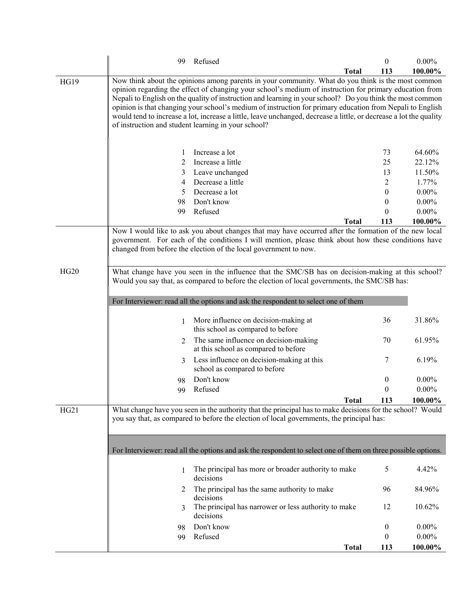|             | 99 | Refused                                                                                                                                                                                                                                                                                                                                                                                                                                                                                                                                                                                                              |              | 0                | $0.00\%$ |
|-------------|----|----------------------------------------------------------------------------------------------------------------------------------------------------------------------------------------------------------------------------------------------------------------------------------------------------------------------------------------------------------------------------------------------------------------------------------------------------------------------------------------------------------------------------------------------------------------------------------------------------------------------|--------------|------------------|----------|
|             |    |                                                                                                                                                                                                                                                                                                                                                                                                                                                                                                                                                                                                                      | <b>Total</b> | 113              | 100.00%  |
| <b>HG19</b> |    | Now think about the opinions among parents in your community. What do you think is the most common<br>opinion regarding the effect of changing your school's medium of instruction for primary education from<br>Nepali to English on the quality of instruction and learning in your school? Do you think the most common<br>opinion is that changing your school's medium of instruction for primary education from Nepali to English<br>would tend to increase a lot, increase a little, leave unchanged, decrease a little, or decrease a lot the quality<br>of instruction and student learning in your school? |              |                  |          |
|             | 1  | Increase a lot                                                                                                                                                                                                                                                                                                                                                                                                                                                                                                                                                                                                       |              | 73               | 64.60%   |
|             | 2  | Increase a little                                                                                                                                                                                                                                                                                                                                                                                                                                                                                                                                                                                                    |              | 25               | 22.12%   |
|             | 3  | Leave unchanged                                                                                                                                                                                                                                                                                                                                                                                                                                                                                                                                                                                                      |              | 13               | 11.50%   |
|             | 4  | Decrease a little                                                                                                                                                                                                                                                                                                                                                                                                                                                                                                                                                                                                    |              | 2                | 1.77%    |
|             | 5  | Decrease a lot                                                                                                                                                                                                                                                                                                                                                                                                                                                                                                                                                                                                       |              | 0                | $0.00\%$ |
|             | 98 | Don't know                                                                                                                                                                                                                                                                                                                                                                                                                                                                                                                                                                                                           |              | 0                | $0.00\%$ |
|             | 99 | Refused                                                                                                                                                                                                                                                                                                                                                                                                                                                                                                                                                                                                              |              | $\theta$         | $0.00\%$ |
|             |    |                                                                                                                                                                                                                                                                                                                                                                                                                                                                                                                                                                                                                      | <b>Total</b> | 113              | 100.00%  |
| HG20        |    | Now I would like to ask you about changes that may have occurred after the formation of the new local<br>government. For each of the conditions I will mention, please think about how these conditions have<br>changed from before the election of the local government to now.<br>What change have you seen in the influence that the SMC/SB has on decision-making at this school?                                                                                                                                                                                                                                |              |                  |          |
|             |    | Would you say that, as compared to before the election of local governments, the SMC/SB has:<br>For Interviewer: read all the options and ask the respondent to select one of them                                                                                                                                                                                                                                                                                                                                                                                                                                   |              |                  |          |
|             | 1  | More influence on decision-making at<br>this school as compared to before                                                                                                                                                                                                                                                                                                                                                                                                                                                                                                                                            |              | 36               | 31.86%   |
|             | 2  | The same influence on decision-making<br>at this school as compared to before                                                                                                                                                                                                                                                                                                                                                                                                                                                                                                                                        |              | 70               | 61.95%   |
|             | 3  | Less influence on decision-making at this<br>school as compared to before                                                                                                                                                                                                                                                                                                                                                                                                                                                                                                                                            |              | 7                | 6.19%    |
|             | 98 | Don't know                                                                                                                                                                                                                                                                                                                                                                                                                                                                                                                                                                                                           |              | $\boldsymbol{0}$ | $0.00\%$ |
|             | 99 | Refused                                                                                                                                                                                                                                                                                                                                                                                                                                                                                                                                                                                                              |              | $\mathbf{0}$     | $0.00\%$ |
|             |    |                                                                                                                                                                                                                                                                                                                                                                                                                                                                                                                                                                                                                      | Total        | 113              | 100.00%  |
| HG21        |    | What change have you seen in the authority that the principal has to make decisions for the school? Would<br>you say that, as compared to before the election of local governments, the principal has:                                                                                                                                                                                                                                                                                                                                                                                                               |              |                  |          |
|             |    | For Interviewer: read all the options and ask the respondent to select one of them on three possible options.                                                                                                                                                                                                                                                                                                                                                                                                                                                                                                        |              |                  |          |
|             | 1  | The principal has more or broader authority to make<br>decisions                                                                                                                                                                                                                                                                                                                                                                                                                                                                                                                                                     |              | 5                | 4.42%    |
|             | 2  | The principal has the same authority to make<br>decisions                                                                                                                                                                                                                                                                                                                                                                                                                                                                                                                                                            |              | 96               | 84.96%   |
|             | 3  | The principal has narrower or less authority to make<br>decisions                                                                                                                                                                                                                                                                                                                                                                                                                                                                                                                                                    |              | 12               | 10.62%   |
|             | 98 | Don't know                                                                                                                                                                                                                                                                                                                                                                                                                                                                                                                                                                                                           |              | $\mathbf{0}$     | $0.00\%$ |
|             | 99 | Refused                                                                                                                                                                                                                                                                                                                                                                                                                                                                                                                                                                                                              |              | 0                | $0.00\%$ |
|             |    |                                                                                                                                                                                                                                                                                                                                                                                                                                                                                                                                                                                                                      | <b>Total</b> | 113              | 100.00%  |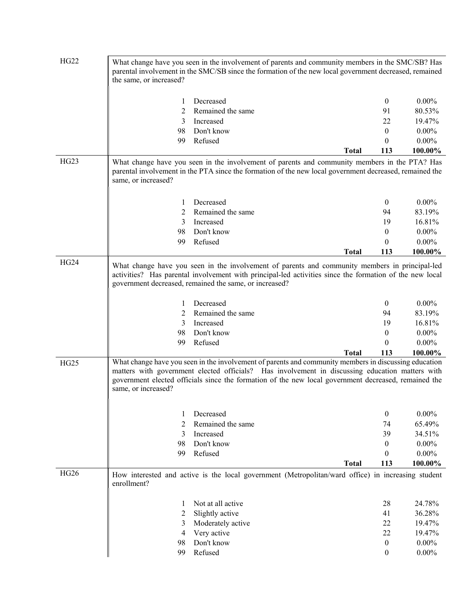| <b>HG22</b> | the same, or increased? | What change have you seen in the involvement of parents and community members in the SMC/SB? Has<br>parental involvement in the SMC/SB since the formation of the new local government decreased, remained                                                                                                       |              |                                                            |                                                      |
|-------------|-------------------------|------------------------------------------------------------------------------------------------------------------------------------------------------------------------------------------------------------------------------------------------------------------------------------------------------------------|--------------|------------------------------------------------------------|------------------------------------------------------|
|             | 1                       | Decreased                                                                                                                                                                                                                                                                                                        |              | $\mathbf{0}$                                               | $0.00\%$                                             |
|             | 2                       | Remained the same                                                                                                                                                                                                                                                                                                |              | 91                                                         | 80.53%                                               |
|             | 3                       | Increased                                                                                                                                                                                                                                                                                                        |              | 22                                                         | 19.47%                                               |
|             | 98                      | Don't know                                                                                                                                                                                                                                                                                                       |              | $\overline{0}$                                             | $0.00\%$                                             |
|             |                         | Refused                                                                                                                                                                                                                                                                                                          |              | $\theta$                                                   | $0.00\%$                                             |
|             | 99                      |                                                                                                                                                                                                                                                                                                                  |              |                                                            |                                                      |
|             |                         |                                                                                                                                                                                                                                                                                                                  | <b>Total</b> | 113                                                        | 100.00%                                              |
| HG23        | same, or increased?     | What change have you seen in the involvement of parents and community members in the PTA? Has<br>parental involvement in the PTA since the formation of the new local government decreased, remained the                                                                                                         |              |                                                            |                                                      |
|             | 1                       | Decreased                                                                                                                                                                                                                                                                                                        |              | $\boldsymbol{0}$                                           | $0.00\%$                                             |
|             | 2                       | Remained the same                                                                                                                                                                                                                                                                                                |              | 94                                                         | 83.19%                                               |
|             | 3                       | Increased                                                                                                                                                                                                                                                                                                        |              | 19                                                         | 16.81%                                               |
|             | 98                      | Don't know                                                                                                                                                                                                                                                                                                       |              | $\boldsymbol{0}$                                           | $0.00\%$                                             |
|             | 99                      | Refused                                                                                                                                                                                                                                                                                                          |              | $\boldsymbol{0}$                                           | $0.00\%$                                             |
|             |                         |                                                                                                                                                                                                                                                                                                                  | <b>Total</b> | 113                                                        | 100.00%                                              |
|             | 1<br>2<br>3<br>98<br>99 | activities? Has parental involvement with principal-led activities since the formation of the new local<br>government decreased, remained the same, or increased?<br>Decreased<br>Remained the same<br>Increased<br>Don't know<br>Refused                                                                        |              | $\overline{0}$<br>94<br>19<br>$\boldsymbol{0}$<br>$\theta$ | $0.00\%$<br>83.19%<br>16.81%<br>$0.00\%$<br>$0.00\%$ |
|             |                         |                                                                                                                                                                                                                                                                                                                  | <b>Total</b> | 113                                                        | 100.00%                                              |
| HG25        | same, or increased?     | What change have you seen in the involvement of parents and community members in discussing education<br>matters with government elected officials? Has involvement in discussing education matters with<br>government elected officials since the formation of the new local government decreased, remained the |              |                                                            |                                                      |
|             | 1                       | Decreased                                                                                                                                                                                                                                                                                                        |              | $\mathbf{0}$                                               | $0.00\%$                                             |
|             | 2                       | Remained the same                                                                                                                                                                                                                                                                                                |              | 74                                                         | 65.49%                                               |
|             | 3                       | Increased                                                                                                                                                                                                                                                                                                        |              | 39                                                         | 34.51%                                               |
|             | 98                      | Don't know                                                                                                                                                                                                                                                                                                       |              | $\boldsymbol{0}$                                           | $0.00\%$                                             |
|             | 99                      | Refused                                                                                                                                                                                                                                                                                                          |              | $\theta$                                                   | $0.00\%$                                             |
|             |                         |                                                                                                                                                                                                                                                                                                                  | <b>Total</b> | 113                                                        | 100.00%                                              |
| <b>HG26</b> | enrollment?             | How interested and active is the local government (Metropolitan/ward office) in increasing student                                                                                                                                                                                                               |              |                                                            |                                                      |
|             | 1                       | Not at all active                                                                                                                                                                                                                                                                                                |              | 28                                                         | 24.78%                                               |
|             | 2                       | Slightly active                                                                                                                                                                                                                                                                                                  |              | 41                                                         | 36.28%                                               |
|             | 3                       | Moderately active                                                                                                                                                                                                                                                                                                |              | 22                                                         | 19.47%                                               |
|             | $\overline{4}$          | Very active                                                                                                                                                                                                                                                                                                      |              | 22                                                         | 19.47%                                               |
|             | 98                      | Don't know                                                                                                                                                                                                                                                                                                       |              | $\boldsymbol{0}$                                           | $0.00\%$                                             |
|             | 99                      | Refused                                                                                                                                                                                                                                                                                                          |              | $\boldsymbol{0}$                                           | $0.00\%$                                             |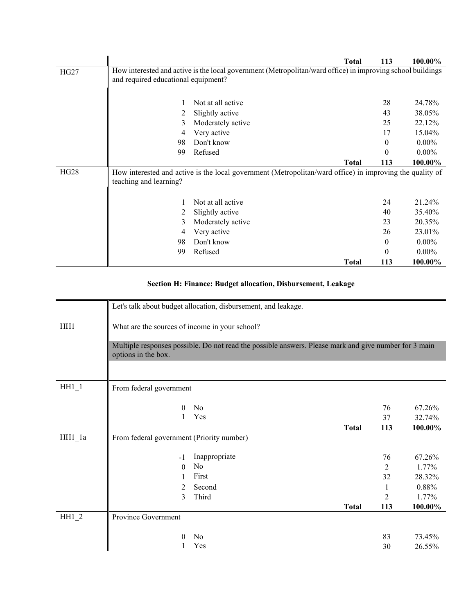|      |                                     |                                                                                                            | Total        | 113      | 100.00%  |
|------|-------------------------------------|------------------------------------------------------------------------------------------------------------|--------------|----------|----------|
| HG27 |                                     | How interested and active is the local government (Metropolitan/ward office) in improving school buildings |              |          |          |
|      | and required educational equipment? |                                                                                                            |              |          |          |
|      |                                     |                                                                                                            |              |          |          |
|      |                                     | Not at all active                                                                                          |              | 28       | 24.78%   |
|      | 2                                   | Slightly active                                                                                            |              | 43       | 38.05%   |
|      | 3                                   | Moderately active                                                                                          |              | 25       | 22.12%   |
|      | 4                                   | Very active                                                                                                |              | 17       | 15.04%   |
|      | 98                                  | Don't know                                                                                                 |              | $\theta$ | $0.00\%$ |
|      | 99                                  | Refused                                                                                                    |              | $\theta$ | $0.00\%$ |
|      |                                     |                                                                                                            | Total        | 113      | 100.00%  |
| HG28 |                                     | How interested and active is the local government (Metropolitan/ward office) in improving the quality of   |              |          |          |
|      | teaching and learning?              |                                                                                                            |              |          |          |
|      |                                     |                                                                                                            |              |          |          |
|      |                                     | Not at all active                                                                                          |              | 24       | 21.24%   |
|      | 2                                   | Slightly active                                                                                            |              | 40       | 35.40%   |
|      | 3                                   | Moderately active                                                                                          |              | 23       | 20.35%   |
|      | 4                                   | Very active                                                                                                |              | 26       | 23.01%   |
|      | 98                                  | Don't know                                                                                                 |              | $\theta$ | $0.00\%$ |
|      | 99                                  | Refused                                                                                                    |              | 0        | $0.00\%$ |
|      |                                     |                                                                                                            | <b>Total</b> | 113      | 100.00%  |

## **Section H: Finance: Budget allocation, Disbursement, Leakage**

|          |                                                | Let's talk about budget allocation, disbursement, and leakage.                                        |              |          |                  |
|----------|------------------------------------------------|-------------------------------------------------------------------------------------------------------|--------------|----------|------------------|
| HH1      | What are the sources of income in your school? |                                                                                                       |              |          |                  |
|          | options in the box.                            | Multiple responses possible. Do not read the possible answers. Please mark and give number for 3 main |              |          |                  |
|          |                                                |                                                                                                       |              |          |                  |
| $HH1_1$  | From federal government                        |                                                                                                       |              |          |                  |
|          | $\theta$<br>1                                  | N <sub>o</sub><br>Yes                                                                                 |              | 76<br>37 | 67.26%<br>32.74% |
|          |                                                |                                                                                                       | <b>Total</b> | 113      | 100.00%          |
| $HH1_1a$ | From federal government (Priority number)      |                                                                                                       |              |          |                  |
|          | $-1$                                           | Inappropriate                                                                                         |              | 76       | 67.26%           |
|          | $\Omega$                                       | No                                                                                                    |              | 2        | 1.77%            |
|          |                                                | First                                                                                                 |              | 32       | 28.32%           |
|          | 2                                              | Second                                                                                                |              | 1        | 0.88%            |
|          | 3                                              | Third                                                                                                 |              | 2        | 1.77%            |
|          |                                                |                                                                                                       | <b>Total</b> | 113      | 100.00%          |
| $HH1_2$  | Province Government                            |                                                                                                       |              |          |                  |
|          |                                                | N <sub>0</sub>                                                                                        |              | 83       | 73.45%           |
|          |                                                | Yes                                                                                                   |              | 30       | 26.55%           |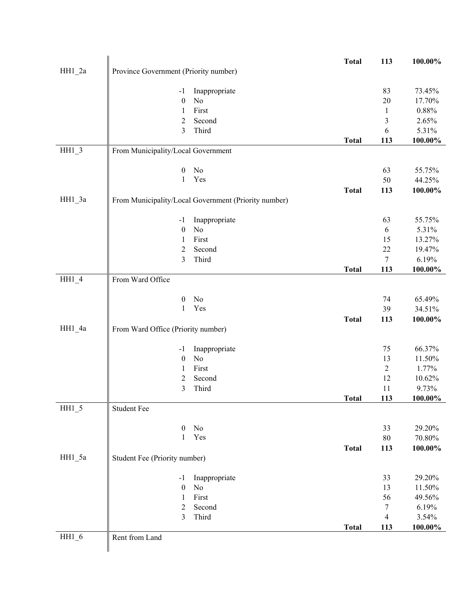|          |                                       |                                                      | <b>Total</b> | 113          | 100.00%    |
|----------|---------------------------------------|------------------------------------------------------|--------------|--------------|------------|
| $HH1_2a$ | Province Government (Priority number) |                                                      |              |              |            |
|          |                                       |                                                      |              |              |            |
|          | $-1$                                  | Inappropriate                                        |              | 83           | 73.45%     |
|          | $\boldsymbol{0}$                      | No                                                   |              | 20           | 17.70%     |
|          | 1                                     | First                                                |              | $\mathbf{1}$ | 0.88%      |
|          | $\overline{2}$                        | Second                                               |              | 3            | 2.65%      |
|          | 3                                     | Third                                                |              | 6            | 5.31%      |
|          |                                       |                                                      | <b>Total</b> | 113          | 100.00%    |
| $HH1_3$  | From Municipality/Local Government    |                                                      |              |              |            |
|          |                                       |                                                      |              |              |            |
|          | $\boldsymbol{0}$                      | No                                                   |              | 63           | 55.75%     |
|          | $\mathbf{1}$                          | Yes                                                  |              | 50           | 44.25%     |
|          |                                       |                                                      | <b>Total</b> | 113          | 100.00%    |
| $HH1_3a$ |                                       | From Municipality/Local Government (Priority number) |              |              |            |
|          |                                       |                                                      |              |              |            |
|          |                                       |                                                      |              | 63           | 55.75%     |
|          | $-1$<br>$\boldsymbol{0}$              | Inappropriate<br>No                                  |              | $\sqrt{6}$   | 5.31%      |
|          |                                       |                                                      |              |              |            |
|          | $\mathbf{1}$                          | First                                                |              | 15           | 13.27%     |
|          | $\overline{2}$                        | Second                                               |              | 22           | 19.47%     |
|          | 3                                     | Third                                                |              | $\tau$       | 6.19%      |
|          |                                       |                                                      | <b>Total</b> | 113          | 100.00%    |
| HH1 4    | From Ward Office                      |                                                      |              |              |            |
|          |                                       |                                                      |              |              |            |
|          | $\boldsymbol{0}$                      | N <sub>0</sub>                                       |              | 74           | 65.49%     |
|          | $\mathbf{1}$                          | Yes                                                  |              | 39           | 34.51%     |
|          |                                       |                                                      | <b>Total</b> | 113          | 100.00%    |
| HH1_4a   | From Ward Office (Priority number)    |                                                      |              |              |            |
|          |                                       |                                                      |              |              |            |
|          | $-1$                                  | Inappropriate                                        |              | 75           | 66.37%     |
|          | $\boldsymbol{0}$                      | No                                                   |              | 13           | 11.50%     |
|          | $\mathbf{1}$                          | First                                                |              | $\sqrt{2}$   | 1.77%      |
|          | $\boldsymbol{2}$                      | Second                                               |              | 12           | 10.62%     |
|          | 3                                     | Third                                                |              | 11           | 9.73%      |
|          |                                       |                                                      | <b>Total</b> | 113          | 100.00%    |
| $HH1_5$  | <b>Student Fee</b>                    |                                                      |              |              |            |
|          |                                       |                                                      |              |              |            |
|          | $\boldsymbol{0}$                      | No                                                   |              | 33           | 29.20%     |
|          | $\mathbf{1}$                          | Yes                                                  |              | $80\,$       | $70.80\%$  |
|          |                                       |                                                      | <b>Total</b> | 113          | $100.00\%$ |
| HH1_5a   | Student Fee (Priority number)         |                                                      |              |              |            |
|          |                                       |                                                      |              |              |            |
|          | $-1$                                  | Inappropriate                                        |              | 33           | 29.20%     |
|          | $\boldsymbol{0}$                      | No                                                   |              | 13           | 11.50%     |
|          | 1                                     | First                                                |              | 56           | 49.56%     |
|          | $\overline{2}$                        | Second                                               |              | 7            | 6.19%      |
|          | 3                                     | Third                                                |              | 4            | 3.54%      |
|          |                                       |                                                      | <b>Total</b> | 113          | 100.00%    |
| $HH1_6$  | Rent from Land                        |                                                      |              |              |            |
|          |                                       |                                                      |              |              |            |
|          |                                       |                                                      |              |              |            |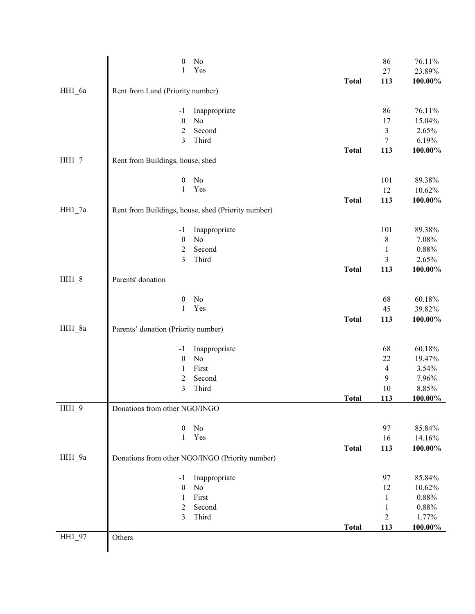|          | $\boldsymbol{0}$                    | $\rm No$                                           |              | 86               | 76.11%   |
|----------|-------------------------------------|----------------------------------------------------|--------------|------------------|----------|
|          | 1                                   | Yes                                                |              | $27\,$           | 23.89%   |
|          |                                     |                                                    | <b>Total</b> | 113              | 100.00%  |
| HH1_6a   | Rent from Land (Priority number)    |                                                    |              |                  |          |
|          |                                     |                                                    |              |                  |          |
|          | $-1$                                | Inappropriate                                      |              | 86               | 76.11%   |
|          | $\boldsymbol{0}$                    | No                                                 |              | 17               | 15.04%   |
|          | $\overline{c}$                      | Second                                             |              | $\mathfrak{Z}$   | 2.65%    |
|          | 3                                   | Third                                              |              | $\boldsymbol{7}$ | 6.19%    |
|          |                                     |                                                    | <b>Total</b> | 113              | 100.00%  |
|          |                                     |                                                    |              |                  |          |
| $HH1_7$  | Rent from Buildings, house, shed    |                                                    |              |                  |          |
|          |                                     |                                                    |              |                  |          |
|          | $\boldsymbol{0}$<br>$\mathbf{1}$    | No                                                 |              | 101              | 89.38%   |
|          |                                     | Yes                                                |              | 12               | 10.62%   |
|          |                                     |                                                    | <b>Total</b> | 113              | 100.00%  |
| $HH1_7a$ |                                     | Rent from Buildings, house, shed (Priority number) |              |                  |          |
|          |                                     |                                                    |              |                  |          |
|          | $-1$                                | Inappropriate                                      |              | 101              | 89.38%   |
|          | $\boldsymbol{0}$                    | No                                                 |              | 8                | 7.08%    |
|          | $\overline{2}$                      | Second                                             |              | $\mathbf{1}$     | $0.88\%$ |
|          | 3                                   | Third                                              |              | 3                | 2.65%    |
|          |                                     |                                                    | <b>Total</b> | 113              | 100.00%  |
| $HH1_8$  | Parents' donation                   |                                                    |              |                  |          |
|          |                                     |                                                    |              |                  |          |
|          | $\boldsymbol{0}$                    | No                                                 |              | 68               | 60.18%   |
|          | $\mathbf{1}$                        | Yes                                                |              | 45               | 39.82%   |
|          |                                     |                                                    | <b>Total</b> | 113              | 100.00%  |
| HH1_8a   | Parents' donation (Priority number) |                                                    |              |                  |          |
|          |                                     |                                                    |              |                  |          |
|          | $-1$                                | Inappropriate                                      |              | 68               | 60.18%   |
|          | $\boldsymbol{0}$                    | No                                                 |              | 22               | 19.47%   |
|          | 1                                   | First                                              |              | 4                | 3.54%    |
|          | $\overline{2}$                      | Second                                             |              | 9                | 7.96%    |
|          | 3                                   | Third                                              |              | 10               | 8.85%    |
|          |                                     |                                                    | <b>Total</b> | 113              | 100.00%  |
| $HH1_9$  | Donations from other NGO/INGO       |                                                    |              |                  |          |
|          |                                     |                                                    |              |                  |          |
|          | $\boldsymbol{0}$                    | $\rm No$                                           |              | 97               | 85.84%   |
|          | 1                                   | Yes                                                |              | 16               | 14.16%   |
|          |                                     |                                                    |              |                  | 100.00%  |
|          |                                     |                                                    | <b>Total</b> | 113              |          |
| HH1_9a   |                                     | Donations from other NGO/INGO (Priority number)    |              |                  |          |
|          |                                     |                                                    |              |                  |          |
|          | $-1$                                | Inappropriate                                      |              | 97               | 85.84%   |
|          | $\boldsymbol{0}$                    | No                                                 |              | 12               | 10.62%   |
|          | 1                                   | First                                              |              | 1                | $0.88\%$ |
|          | $\sqrt{2}$                          | Second                                             |              | $\mathbf{1}$     | $0.88\%$ |
|          | 3                                   | Third                                              |              | $\overline{c}$   | 1.77%    |
|          |                                     |                                                    | <b>Total</b> | 113              | 100.00%  |
| HH1_97   | Others                              |                                                    |              |                  |          |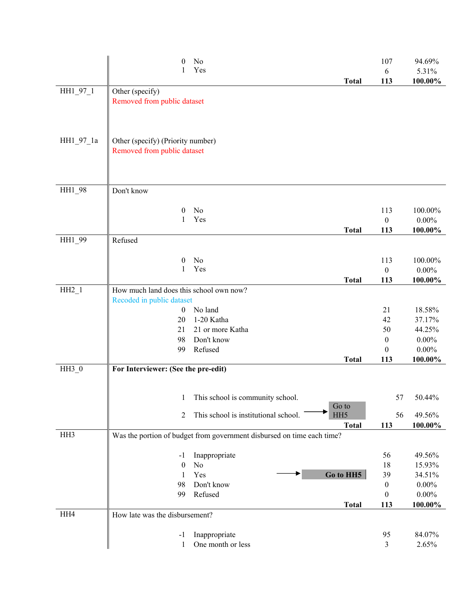|           | No<br>0<br>Yes<br><b>Total</b>                                         | 107<br>6<br>113  | 94.69%<br>5.31%<br>100.00% |
|-----------|------------------------------------------------------------------------|------------------|----------------------------|
| HH1_97_1  | Other (specify)                                                        |                  |                            |
|           | Removed from public dataset                                            |                  |                            |
| HH1_97_1a | Other (specify) (Priority number)<br>Removed from public dataset       |                  |                            |
| HH1_98    | Don't know                                                             |                  |                            |
|           | No<br>0                                                                | 113              | 100.00%                    |
|           | Yes<br>1                                                               | $\boldsymbol{0}$ | $0.00\%$                   |
|           | <b>Total</b>                                                           | 113              | 100.00%                    |
| HH1 99    | Refused                                                                |                  |                            |
|           | No<br>$\boldsymbol{0}$                                                 | 113              | 100.00%                    |
|           | Yes<br>1                                                               | $\boldsymbol{0}$ | $0.00\%$                   |
|           | <b>Total</b>                                                           | 113              | 100.00%                    |
| $HH2_1$   | How much land does this school own now?                                |                  |                            |
|           | Recoded in public dataset                                              |                  |                            |
|           | No land<br>$\boldsymbol{0}$                                            | 21               | 18.58%                     |
|           | 1-20 Katha<br>20                                                       | 42               | 37.17%                     |
|           | 21 or more Katha<br>21                                                 | 50               | 44.25%                     |
|           | Don't know<br>98                                                       | $\boldsymbol{0}$ | $0.00\%$                   |
|           | Refused<br>99                                                          | $\boldsymbol{0}$ | $0.00\%$                   |
|           | <b>Total</b>                                                           | 113              | 100.00%                    |
| HH3 0     | For Interviewer: (See the pre-edit)                                    |                  |                            |
|           | This school is community school.<br>$\mathbf{1}$                       | 57               | 50.44%                     |
|           | Go to<br>This school is institutional school.<br>HH <sub>5</sub><br>2  | 56               | 49.56%                     |
| HH3       | <b>Total</b>                                                           | 113              | 100.00%                    |
|           | Was the portion of budget from government disbursed on time each time? |                  |                            |
|           | Inappropriate<br>-1                                                    | 56               | 49.56%                     |
|           | $\theta$<br>No                                                         | 18               | 15.93%                     |
|           | Go to HH5<br>Yes<br>1                                                  | 39               | 34.51%                     |
|           | Don't know<br>98                                                       | $\boldsymbol{0}$ | $0.00\%$                   |
|           | Refused<br>99                                                          | $\theta$         | $0.00\%$                   |
|           | <b>Total</b>                                                           | 113              | 100.00%                    |
| HH4       | How late was the disbursement?                                         |                  |                            |
|           | Inappropriate<br>-1                                                    | 95               | 84.07%                     |
|           | One month or less<br>1                                                 | 3                | 2.65%                      |
|           |                                                                        |                  |                            |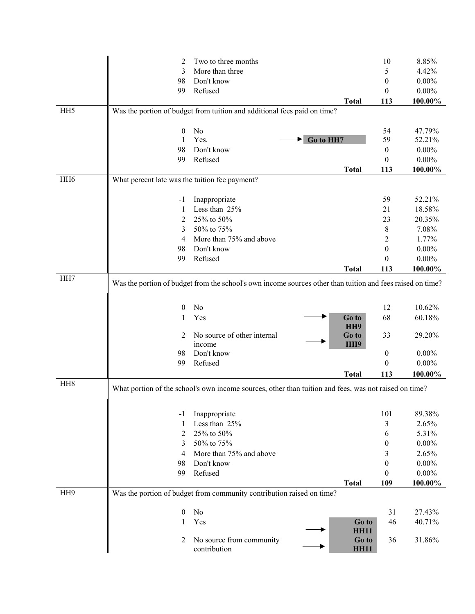|                 | 2                                              | Two to three months                                                                                              |                      | 10                    | 8.85%                |
|-----------------|------------------------------------------------|------------------------------------------------------------------------------------------------------------------|----------------------|-----------------------|----------------------|
|                 | 3                                              | More than three                                                                                                  |                      | 5                     | 4.42%                |
|                 | 98                                             | Don't know                                                                                                       |                      | $\boldsymbol{0}$      | $0.00\%$             |
|                 | 99                                             | Refused                                                                                                          |                      | $\theta$              | $0.00\%$             |
|                 |                                                |                                                                                                                  | <b>Total</b>         | 113                   | 100.00%              |
| HH <sub>5</sub> |                                                | Was the portion of budget from tuition and additional fees paid on time?                                         |                      |                       |                      |
|                 |                                                |                                                                                                                  |                      |                       |                      |
|                 | $\theta$                                       | No<br>Yes.                                                                                                       |                      | 54                    | 47.79%               |
|                 | 1                                              | Go to HH7<br>Don't know                                                                                          |                      | 59                    | 52.21%               |
|                 | 98<br>99                                       | Refused                                                                                                          |                      | 0<br>$\boldsymbol{0}$ | $0.00\%$<br>$0.00\%$ |
|                 |                                                |                                                                                                                  | <b>Total</b>         | 113                   | 100.00%              |
| HH <sub>6</sub> | What percent late was the tuition fee payment? |                                                                                                                  |                      |                       |                      |
|                 |                                                |                                                                                                                  |                      |                       |                      |
|                 | -1                                             | Inappropriate                                                                                                    |                      | 59                    | 52.21%               |
|                 | 1                                              | Less than 25%                                                                                                    |                      | 21                    | 18.58%               |
|                 | 2                                              | 25% to 50%                                                                                                       |                      | 23                    | 20.35%               |
|                 | 3                                              | 50% to 75%                                                                                                       |                      | 8                     | 7.08%                |
|                 | 4                                              | More than 75% and above                                                                                          |                      | 2                     | 1.77%                |
|                 | 98                                             | Don't know                                                                                                       |                      | $\boldsymbol{0}$      | $0.00\%$             |
|                 | 99                                             | Refused                                                                                                          |                      | 0                     | $0.00\%$             |
|                 |                                                |                                                                                                                  | <b>Total</b>         | 113                   | 100.00%              |
|                 | $\theta$                                       | Was the portion of budget from the school's own income sources other than tuition and fees raised on time?<br>No |                      | 12                    | 10.62%               |
|                 | 1                                              | Yes                                                                                                              | Go to                | 68                    | 60.18%               |
|                 |                                                |                                                                                                                  | HH <sub>9</sub>      |                       |                      |
|                 | 2                                              | No source of other internal                                                                                      | Go to                | 33                    | 29.20%               |
|                 | 98                                             | income<br>Don't know                                                                                             | HH <sub>9</sub>      | 0                     | $0.00\%$             |
|                 | 99                                             | Refused                                                                                                          |                      | $\boldsymbol{0}$      | $0.00\%$             |
|                 |                                                |                                                                                                                  | <b>Total</b>         | 113                   |                      |
| HH <sub>8</sub> |                                                |                                                                                                                  |                      |                       | 100.00%              |
|                 |                                                | What portion of the school's own income sources, other than tuition and fees, was not raised on time?            |                      |                       |                      |
|                 |                                                |                                                                                                                  |                      |                       |                      |
|                 | -1                                             | Inappropriate                                                                                                    |                      | 101                   | 89.38%               |
|                 | 1                                              | Less than 25%                                                                                                    |                      | 3                     | 2.65%                |
|                 | 2                                              | 25% to 50%                                                                                                       |                      | 6                     | 5.31%                |
|                 | 3                                              | 50% to 75%                                                                                                       |                      | 0                     | $0.00\%$             |
|                 | 4                                              | More than 75% and above                                                                                          |                      | 3                     | 2.65%                |
|                 | 98                                             | Don't know                                                                                                       |                      | $\boldsymbol{0}$      | $0.00\%$             |
|                 | 99                                             | Refused                                                                                                          |                      | $\boldsymbol{0}$      | $0.00\%$             |
|                 |                                                |                                                                                                                  | <b>Total</b>         | 109                   | 100.00%              |
| HH <sub>9</sub> |                                                | Was the portion of budget from community contribution raised on time?                                            |                      |                       |                      |
|                 | $\boldsymbol{0}$                               | No                                                                                                               |                      | 31                    | 27.43%               |
|                 | 1                                              | Yes                                                                                                              | Go to                | 46                    | 40.71%               |
|                 |                                                |                                                                                                                  | <b>HH11</b>          |                       |                      |
|                 | 2                                              | No source from community<br>contribution                                                                         | Go to<br><b>HH11</b> | 36                    | 31.86%               |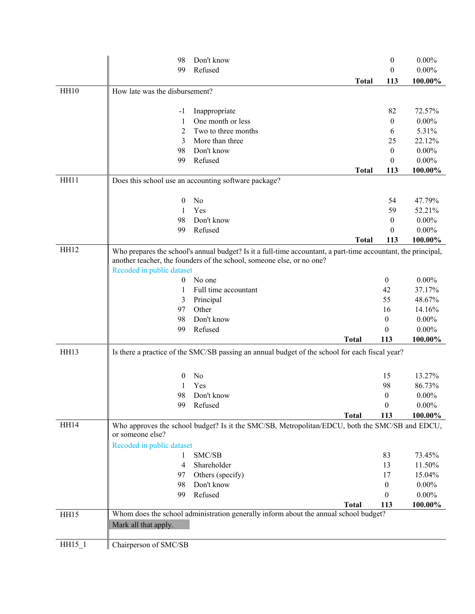|             | 98                             | Don't know                                                                                                    |              | $\boldsymbol{0}$ | $0.00\%$ |
|-------------|--------------------------------|---------------------------------------------------------------------------------------------------------------|--------------|------------------|----------|
|             | 99                             | Refused                                                                                                       |              | $\overline{0}$   | $0.00\%$ |
|             |                                |                                                                                                               | <b>Total</b> | 113              | 100.00%  |
| HH10        | How late was the disbursement? |                                                                                                               |              |                  |          |
|             |                                |                                                                                                               |              |                  |          |
|             | $-1$                           | Inappropriate                                                                                                 |              | 82               | 72.57%   |
|             | 1                              | One month or less                                                                                             |              | $\boldsymbol{0}$ | $0.00\%$ |
|             | 2                              | Two to three months                                                                                           |              | 6                | 5.31%    |
|             | 3                              | More than three                                                                                               |              | 25               | 22.12%   |
|             | 98                             | Don't know                                                                                                    |              | $\boldsymbol{0}$ | $0.00\%$ |
|             | 99                             | Refused                                                                                                       |              | $\theta$         | $0.00\%$ |
|             |                                |                                                                                                               | <b>Total</b> | 113              | 100.00%  |
| HH11        |                                | Does this school use an accounting software package?                                                          |              |                  |          |
|             | 0                              | No                                                                                                            |              | 54               | 47.79%   |
|             | 1                              | Yes                                                                                                           |              | 59               | 52.21%   |
|             | 98                             | Don't know                                                                                                    |              | $\theta$         | $0.00\%$ |
|             | 99                             | Refused                                                                                                       |              | $\theta$         | $0.00\%$ |
|             |                                |                                                                                                               | <b>Total</b> | 113              | 100.00%  |
| HH12        |                                | Who prepares the school's annual budget? Is it a full-time accountant, a part-time accountant, the principal, |              |                  |          |
|             |                                | another teacher, the founders of the school, someone else, or no one?                                         |              |                  |          |
|             | Recoded in public dataset      |                                                                                                               |              |                  |          |
|             | 0                              | No one                                                                                                        |              | $\boldsymbol{0}$ | $0.00\%$ |
|             | 1                              | Full time accountant                                                                                          |              | 42               | 37.17%   |
|             | 3                              | Principal                                                                                                     |              | 55               | 48.67%   |
|             | 97                             | Other                                                                                                         |              | 16               | 14.16%   |
|             | 98                             | Don't know                                                                                                    |              | $\boldsymbol{0}$ | $0.00\%$ |
|             | 99                             | Refused                                                                                                       |              | $\theta$         | $0.00\%$ |
|             |                                |                                                                                                               | <b>Total</b> | 113              | 100.00%  |
| HH13        |                                | Is there a practice of the SMC/SB passing an annual budget of the school for each fiscal year?                |              |                  |          |
|             |                                |                                                                                                               |              |                  |          |
|             | 0                              | No                                                                                                            |              | 15               | 13.27%   |
|             |                                | Yes                                                                                                           |              | 98               | 86.73%   |
|             | 98                             | Don't know                                                                                                    |              | $\boldsymbol{0}$ | $0.00\%$ |
|             | 99                             | Refused                                                                                                       |              | $\boldsymbol{0}$ | $0.00\%$ |
|             |                                |                                                                                                               | <b>Total</b> | 113              | 100.00%  |
| <b>HH14</b> |                                | Who approves the school budget? Is it the SMC/SB, Metropolitan/EDCU, both the SMC/SB and EDCU,                |              |                  |          |
|             | or someone else?               |                                                                                                               |              |                  |          |
|             | Recoded in public dataset      |                                                                                                               |              |                  |          |
|             | 1                              | SMC/SB                                                                                                        |              | 83               | 73.45%   |
|             | 4                              | Shareholder                                                                                                   |              | 13               | 11.50%   |
|             | 97                             | Others (specify)                                                                                              |              | 17               | 15.04%   |
|             | 98                             | Don't know                                                                                                    |              | $\boldsymbol{0}$ | $0.00\%$ |
|             | 99                             | Refused                                                                                                       |              | $\theta$         | $0.00\%$ |
|             |                                |                                                                                                               | <b>Total</b> | 113              | 100.00%  |
| HH15        |                                | Whom does the school administration generally inform about the annual school budget?                          |              |                  |          |
|             | Mark all that apply.           |                                                                                                               |              |                  |          |
| $HH15_1$    | Chairperson of SMC/SB          |                                                                                                               |              |                  |          |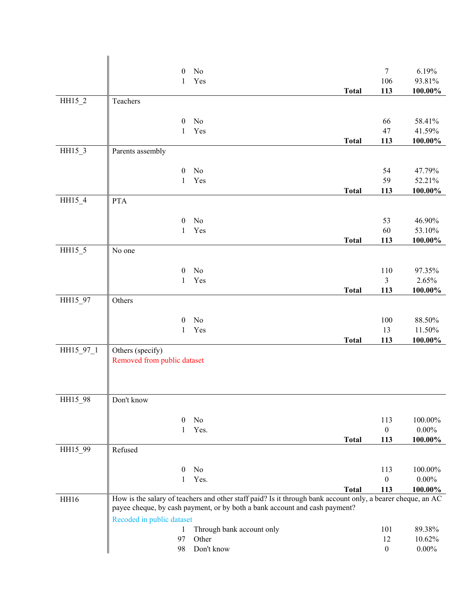|           | $\boldsymbol{0}$            | No                                                                                                          |              | $\boldsymbol{7}$        | 6.19%      |
|-----------|-----------------------------|-------------------------------------------------------------------------------------------------------------|--------------|-------------------------|------------|
|           | $\mathbf{1}$                | Yes                                                                                                         |              | 106                     | 93.81%     |
|           |                             |                                                                                                             | <b>Total</b> | 113                     | $100.00\%$ |
| $HH15_2$  | Teachers                    |                                                                                                             |              |                         |            |
|           |                             |                                                                                                             |              |                         |            |
|           | $\boldsymbol{0}$            | $\rm No$                                                                                                    |              | 66                      | 58.41%     |
|           | 1                           | Yes                                                                                                         |              | 47                      | 41.59%     |
|           |                             |                                                                                                             | <b>Total</b> | 113                     | 100.00%    |
| $HH15_3$  | Parents assembly            |                                                                                                             |              |                         |            |
|           | $\boldsymbol{0}$            | No                                                                                                          |              | 54                      | 47.79%     |
|           | $\mathbf{1}$                | Yes                                                                                                         |              | 59                      | 52.21%     |
|           |                             |                                                                                                             | <b>Total</b> | 113                     | $100.00\%$ |
| HH15_4    | <b>PTA</b>                  |                                                                                                             |              |                         |            |
|           |                             |                                                                                                             |              |                         |            |
|           | $\boldsymbol{0}$            | No                                                                                                          |              | 53                      | 46.90%     |
|           | 1                           | Yes                                                                                                         |              | 60                      | 53.10%     |
|           |                             |                                                                                                             | <b>Total</b> | 113                     | $100.00\%$ |
| HH15_5    | No one                      |                                                                                                             |              |                         |            |
|           | $\boldsymbol{0}$            | No                                                                                                          |              | 110                     | 97.35%     |
|           | 1                           | Yes                                                                                                         |              | $\overline{\mathbf{3}}$ | 2.65%      |
|           |                             |                                                                                                             | <b>Total</b> | 113                     | 100.00%    |
| HH15_97   | Others                      |                                                                                                             |              |                         |            |
|           |                             |                                                                                                             |              |                         |            |
|           | $\boldsymbol{0}$            | No                                                                                                          |              | 100                     | $88.50\%$  |
|           | $\mathbf{1}$                | Yes                                                                                                         |              | 13                      | 11.50%     |
|           |                             |                                                                                                             | <b>Total</b> | 113                     | 100.00%    |
| HH15_97_1 | Others (specify)            |                                                                                                             |              |                         |            |
|           | Removed from public dataset |                                                                                                             |              |                         |            |
|           |                             |                                                                                                             |              |                         |            |
|           |                             |                                                                                                             |              |                         |            |
| HH15_98   | Don't know                  |                                                                                                             |              |                         |            |
|           |                             |                                                                                                             |              |                         |            |
|           | $\mathbf{0}$                | No                                                                                                          |              | 113                     | 100.00%    |
|           | 1                           | Yes.                                                                                                        |              | $\boldsymbol{0}$        | $0.00\%$   |
|           |                             |                                                                                                             | <b>Total</b> | 113                     | 100.00%    |
| HH15_99   | Refused                     |                                                                                                             |              |                         |            |
|           | $\boldsymbol{0}$            | No                                                                                                          |              | 113                     | 100.00%    |
|           | 1                           | Yes.                                                                                                        |              | $\boldsymbol{0}$        | $0.00\%$   |
|           |                             |                                                                                                             | <b>Total</b> | 113                     | 100.00%    |
| HH16      |                             | How is the salary of teachers and other staff paid? Is it through bank account only, a bearer cheque, an AC |              |                         |            |
|           |                             | payee cheque, by cash payment, or by both a bank account and cash payment?                                  |              |                         |            |
|           | Recoded in public dataset   |                                                                                                             |              |                         |            |
|           | $\mathbf{1}$                | Through bank account only                                                                                   |              | 101                     | 89.38%     |
|           | 97                          | Other                                                                                                       |              | 12                      | 10.62%     |
|           | 98                          | Don't know                                                                                                  |              | $\boldsymbol{0}$        | $0.00\%$   |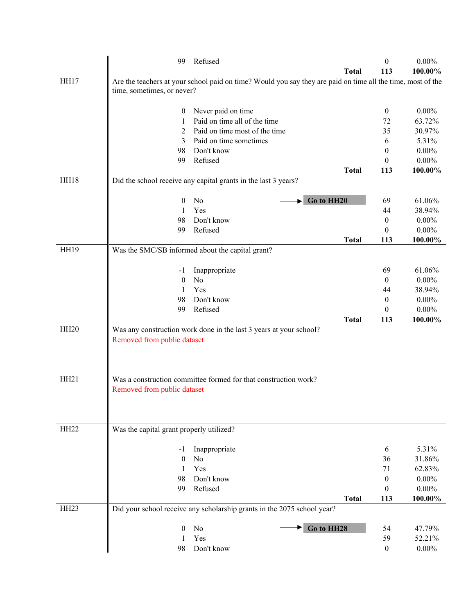|                  | 99                                       | Refused                                                                                                     |              | $\boldsymbol{0}$ | $0.00\%$ |
|------------------|------------------------------------------|-------------------------------------------------------------------------------------------------------------|--------------|------------------|----------|
|                  |                                          |                                                                                                             | <b>Total</b> | 113              | 100.00%  |
| <b>HH17</b>      | time, sometimes, or never?               | Are the teachers at your school paid on time? Would you say they are paid on time all the time, most of the |              |                  |          |
|                  | $\boldsymbol{0}$                         | Never paid on time                                                                                          |              | $\boldsymbol{0}$ | $0.00\%$ |
|                  | 1                                        | Paid on time all of the time                                                                                |              | 72               | 63.72%   |
|                  | 2                                        | Paid on time most of the time                                                                               |              | 35               | 30.97%   |
|                  | 3                                        | Paid on time sometimes                                                                                      |              | 6                | 5.31%    |
|                  | 98                                       | Don't know                                                                                                  |              | 0                | $0.00\%$ |
|                  | 99                                       | Refused                                                                                                     |              | $\theta$         | $0.00\%$ |
|                  |                                          |                                                                                                             | <b>Total</b> | 113              | 100.00%  |
| HH18             |                                          | Did the school receive any capital grants in the last 3 years?                                              |              |                  |          |
|                  | 0                                        | Go to HH20<br>No                                                                                            |              | 69               | 61.06%   |
|                  | 1                                        | Yes                                                                                                         |              | 44               | 38.94%   |
|                  | 98                                       | Don't know                                                                                                  |              | 0                | $0.00\%$ |
|                  | 99                                       | Refused                                                                                                     |              | $\theta$         | $0.00\%$ |
|                  |                                          |                                                                                                             | <b>Total</b> | 113              | 100.00%  |
| <b>HH19</b>      |                                          | Was the SMC/SB informed about the capital grant?                                                            |              |                  |          |
|                  | -1                                       | Inappropriate                                                                                               |              | 69               | 61.06%   |
|                  | $\overline{0}$                           | No                                                                                                          |              | $\boldsymbol{0}$ | $0.00\%$ |
|                  | 1                                        | Yes                                                                                                         |              | 44               | 38.94%   |
|                  | 98                                       | Don't know                                                                                                  |              | 0                | $0.00\%$ |
|                  | 99                                       | Refused                                                                                                     |              | 0                | $0.00\%$ |
|                  |                                          |                                                                                                             | <b>Total</b> | 113              | 100.00%  |
| HH <sub>20</sub> | Removed from public dataset              | Was any construction work done in the last 3 years at your school?                                          |              |                  |          |
| HH <sub>21</sub> | Removed from public dataset              | Was a construction committee formed for that construction work?                                             |              |                  |          |
| HH <sub>22</sub> | Was the capital grant properly utilized? |                                                                                                             |              |                  |          |
|                  | -1                                       | Inappropriate                                                                                               |              | 6                | 5.31%    |
|                  | $\overline{0}$                           | No                                                                                                          |              | 36               | 31.86%   |
|                  | 1                                        | Yes                                                                                                         |              | 71               | 62.83%   |
|                  | 98                                       | Don't know                                                                                                  |              | $\boldsymbol{0}$ | $0.00\%$ |
|                  | 99                                       | Refused                                                                                                     |              | $\theta$         | $0.00\%$ |
|                  |                                          |                                                                                                             | <b>Total</b> | 113              | 100.00%  |
| HH <sub>23</sub> |                                          | Did your school receive any scholarship grants in the 2075 school year?                                     |              |                  |          |
|                  | $\theta$                                 | Go to HH28<br>No                                                                                            |              | 54               | 47.79%   |
|                  | 1                                        | Yes                                                                                                         |              | 59               | 52.21%   |
|                  | 98                                       | Don't know                                                                                                  |              | $\mathbf{0}$     | $0.00\%$ |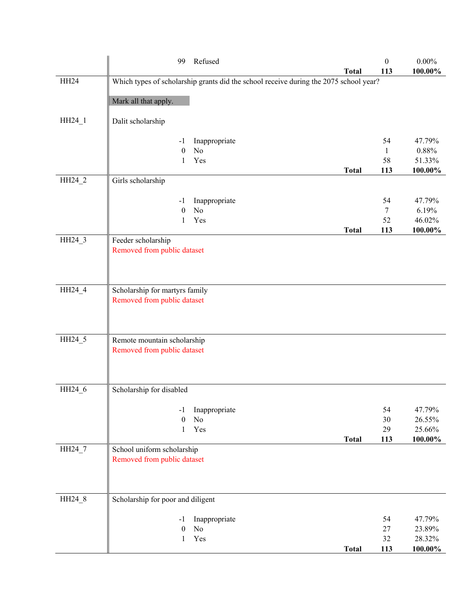|        | Refused<br>99                                                                         |              | $\boldsymbol{0}$ | $0.00\%$          |
|--------|---------------------------------------------------------------------------------------|--------------|------------------|-------------------|
|        |                                                                                       | <b>Total</b> | 113              | 100.00%           |
| HH24   | Which types of scholarship grants did the school receive during the 2075 school year? |              |                  |                   |
|        |                                                                                       |              |                  |                   |
|        | Mark all that apply.                                                                  |              |                  |                   |
| HH24_1 | Dalit scholarship                                                                     |              |                  |                   |
|        |                                                                                       |              |                  |                   |
|        | Inappropriate<br>$-1$                                                                 |              | 54               | 47.79%            |
|        | No<br>$\boldsymbol{0}$                                                                |              | $\mathbf{1}$     | 0.88%             |
|        | Yes<br>1                                                                              |              | 58               | 51.33%            |
|        |                                                                                       | <b>Total</b> | 113              | 100.00%           |
| HH24_2 | Girls scholarship                                                                     |              |                  |                   |
|        |                                                                                       |              |                  |                   |
|        | Inappropriate<br>-1                                                                   |              | 54               | 47.79%            |
|        | No<br>$\theta$                                                                        |              | $\tau$           | 6.19%             |
|        | Yes<br>1                                                                              | <b>Total</b> | 52<br>113        | 46.02%<br>100.00% |
| HH24_3 | Feeder scholarship                                                                    |              |                  |                   |
|        | Removed from public dataset                                                           |              |                  |                   |
|        |                                                                                       |              |                  |                   |
|        |                                                                                       |              |                  |                   |
|        |                                                                                       |              |                  |                   |
| HH24_4 | Scholarship for martyrs family                                                        |              |                  |                   |
|        | Removed from public dataset                                                           |              |                  |                   |
|        |                                                                                       |              |                  |                   |
|        |                                                                                       |              |                  |                   |
|        |                                                                                       |              |                  |                   |
| HH24_5 | Remote mountain scholarship                                                           |              |                  |                   |
|        | Removed from public dataset                                                           |              |                  |                   |
|        |                                                                                       |              |                  |                   |
|        |                                                                                       |              |                  |                   |
| HH24_6 | Scholarship for disabled                                                              |              |                  |                   |
|        |                                                                                       |              |                  |                   |
|        | Inappropriate<br>$-1$                                                                 |              | 54               | 47.79%            |
|        | No<br>$\theta$                                                                        |              | 30               | 26.55%            |
|        | Yes<br>1                                                                              |              | 29               | 25.66%            |
|        |                                                                                       | <b>Total</b> | 113              | $100.00\%$        |
| HH24_7 | School uniform scholarship                                                            |              |                  |                   |
|        | Removed from public dataset                                                           |              |                  |                   |
|        |                                                                                       |              |                  |                   |
|        |                                                                                       |              |                  |                   |
| HH24_8 | Scholarship for poor and diligent                                                     |              |                  |                   |
|        |                                                                                       |              |                  |                   |
|        | Inappropriate<br>$-1$                                                                 |              | 54               | 47.79%            |
|        | No<br>$\boldsymbol{0}$                                                                |              | 27               | 23.89%            |
|        | Yes<br>1                                                                              |              | 32               | 28.32%            |
|        |                                                                                       | <b>Total</b> | 113              | 100.00%           |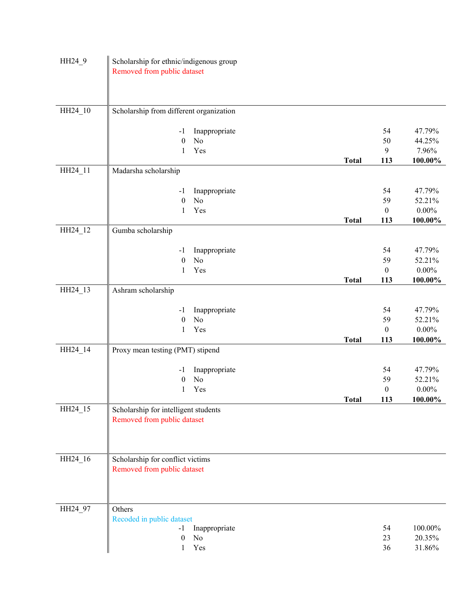| HH24_9  | Scholarship for ethnic/indigenous group<br>Removed from public dataset |              |                        |                    |
|---------|------------------------------------------------------------------------|--------------|------------------------|--------------------|
| HH24_10 | Scholarship from different organization                                |              |                        |                    |
|         |                                                                        |              |                        |                    |
|         | Inappropriate<br>$-1$                                                  |              | 54                     | 47.79%             |
|         | $\boldsymbol{0}$<br>No                                                 |              | 50                     | 44.25%             |
|         | Yes<br>1                                                               |              | $\mathbf{9}$           | 7.96%              |
|         |                                                                        | <b>Total</b> | 113                    | 100.00%            |
| HH24_11 | Madarsha scholarship                                                   |              |                        |                    |
|         |                                                                        |              |                        |                    |
|         | Inappropriate<br>$-1$                                                  |              | 54                     | 47.79%             |
|         | No<br>$\boldsymbol{0}$<br>Yes<br>$\mathbf{1}$                          |              | 59<br>$\boldsymbol{0}$ | 52.21%<br>$0.00\%$ |
|         |                                                                        | <b>Total</b> | 113                    | $100.00\%$         |
| HH24_12 | Gumba scholarship                                                      |              |                        |                    |
|         |                                                                        |              |                        |                    |
|         | Inappropriate<br>$-1$                                                  |              | 54                     | 47.79%             |
|         | $\boldsymbol{0}$<br>No                                                 |              | 59                     | 52.21%             |
|         | Yes<br>$\mathbf{1}$                                                    |              | $\boldsymbol{0}$       | $0.00\%$           |
|         |                                                                        | <b>Total</b> | 113                    | $100.00\%$         |
| HH24_13 | Ashram scholarship                                                     |              |                        |                    |
|         |                                                                        |              |                        |                    |
|         | Inappropriate<br>$-1$                                                  |              | 54                     | 47.79%             |
|         | No<br>$\boldsymbol{0}$                                                 |              | 59                     | 52.21%             |
|         | Yes<br>1                                                               |              | $\boldsymbol{0}$       | $0.00\%$           |
| HH24_14 |                                                                        | <b>Total</b> | 113                    | 100.00%            |
|         | Proxy mean testing (PMT) stipend                                       |              |                        |                    |
|         | Inappropriate<br>$-1$                                                  |              | 54                     | 47.79%             |
|         | No<br>$\boldsymbol{0}$                                                 |              | 59                     | 52.21%             |
|         | Yes<br>1                                                               |              | $\boldsymbol{0}$       | $0.00\%$           |
|         |                                                                        | <b>Total</b> | 113                    | 100.00%            |
| HH24_15 | Scholarship for intelligent students<br>Removed from public dataset    |              |                        |                    |
|         |                                                                        |              |                        |                    |
|         |                                                                        |              |                        |                    |
| HH24_16 | Scholarship for conflict victims<br>Removed from public dataset        |              |                        |                    |
| HH24_97 | Others                                                                 |              |                        |                    |
|         | Recoded in public dataset                                              |              |                        |                    |
|         | Inappropriate<br>$-1$                                                  |              | 54                     | 100.00%            |
|         | $\boldsymbol{0}$<br>No                                                 |              | 23                     | 20.35%             |
|         | Yes<br>1                                                               |              | 36                     | 31.86%             |
|         |                                                                        |              |                        |                    |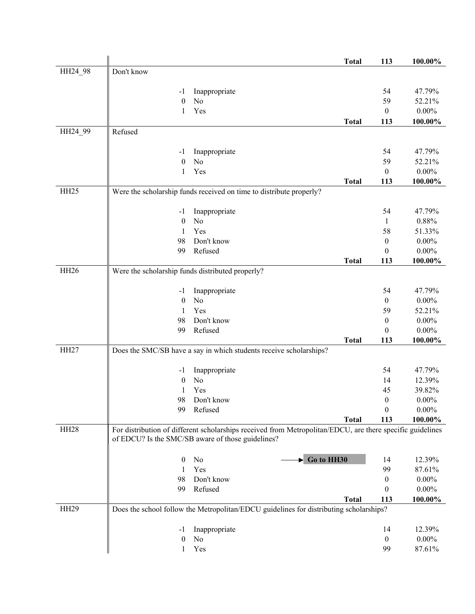|                  |                                                  |                                                                                                           | <b>Total</b> | 113                     | 100.00%             |
|------------------|--------------------------------------------------|-----------------------------------------------------------------------------------------------------------|--------------|-------------------------|---------------------|
| HH24 98          | Don't know                                       |                                                                                                           |              |                         |                     |
|                  |                                                  |                                                                                                           |              |                         |                     |
|                  | -1                                               | Inappropriate                                                                                             |              | 54                      | 47.79%              |
|                  | $\boldsymbol{0}$                                 | No                                                                                                        |              | 59                      | 52.21%              |
|                  | 1                                                | Yes                                                                                                       |              | $\mathbf{0}$            | $0.00\%$            |
|                  |                                                  |                                                                                                           | <b>Total</b> | 113                     | 100.00%             |
| HH24_99          | Refused                                          |                                                                                                           |              |                         |                     |
|                  |                                                  |                                                                                                           |              |                         |                     |
|                  | -1                                               | Inappropriate<br>No                                                                                       |              | 54<br>59                | 47.79%<br>52.21%    |
|                  | $\boldsymbol{0}$<br>1                            | Yes                                                                                                       |              | $\boldsymbol{0}$        | $0.00\%$            |
|                  |                                                  |                                                                                                           | <b>Total</b> | 113                     | 100.00%             |
| HH <sub>25</sub> |                                                  | Were the scholarship funds received on time to distribute properly?                                       |              |                         |                     |
|                  |                                                  |                                                                                                           |              |                         |                     |
|                  | $-1$                                             | Inappropriate                                                                                             |              | 54                      | 47.79%              |
|                  | $\boldsymbol{0}$                                 | No                                                                                                        |              | $\mathbf{1}$            | $0.88\%$            |
|                  | $\mathbf{1}$                                     | Yes                                                                                                       |              | 58                      | 51.33%              |
|                  | 98                                               | Don't know                                                                                                |              | $\boldsymbol{0}$        | $0.00\%$            |
|                  | 99                                               | Refused                                                                                                   |              | $\theta$                | $0.00\%$            |
|                  |                                                  |                                                                                                           | <b>Total</b> | 113                     | 100.00%             |
| HH <sub>26</sub> | Were the scholarship funds distributed properly? |                                                                                                           |              |                         |                     |
|                  | -1                                               | Inappropriate                                                                                             |              | 54                      | 47.79%              |
|                  | $\boldsymbol{0}$                                 | No                                                                                                        |              | $\boldsymbol{0}$        | $0.00\%$            |
|                  | 1                                                | Yes                                                                                                       |              | 59                      | 52.21%              |
|                  | 98                                               | Don't know                                                                                                |              | $\boldsymbol{0}$        | $0.00\%$            |
|                  | 99                                               | Refused                                                                                                   |              | $\boldsymbol{0}$        | $0.00\%$            |
|                  |                                                  |                                                                                                           | <b>Total</b> | 113                     | 100.00%             |
| HH <sub>27</sub> |                                                  | Does the SMC/SB have a say in which students receive scholarships?                                        |              |                         |                     |
|                  |                                                  |                                                                                                           |              |                         |                     |
|                  | $-1$                                             | Inappropriate                                                                                             |              | 54                      | 47.79%              |
|                  | $\boldsymbol{0}$                                 | No                                                                                                        |              | 14                      | 12.39%              |
|                  | 1                                                | Yes                                                                                                       |              | 45                      | 39.82%              |
|                  | 98                                               | Don't know                                                                                                |              | $\boldsymbol{0}$        | $0.00\%$            |
|                  | 99                                               | Refused                                                                                                   | <b>Total</b> | $\boldsymbol{0}$<br>113 | $0.00\%$<br>100.00% |
| HH <sub>28</sub> |                                                  | For distribution of different scholarships received from Metropolitan/EDCU, are there specific guidelines |              |                         |                     |
|                  |                                                  | of EDCU? Is the SMC/SB aware of those guidelines?                                                         |              |                         |                     |
|                  |                                                  |                                                                                                           |              |                         |                     |
|                  | $\theta$                                         | $\blacktriangleright$ Go to HH30<br>No                                                                    |              | 14                      | 12.39%              |
|                  | 1                                                | Yes                                                                                                       |              | 99                      | 87.61%              |
|                  | 98                                               | Don't know                                                                                                |              | $\boldsymbol{0}$        | $0.00\%$            |
|                  | 99                                               | Refused                                                                                                   |              | $\boldsymbol{0}$        | $0.00\%$            |
|                  |                                                  |                                                                                                           | <b>Total</b> | 113                     | 100.00%             |
| <b>HH29</b>      |                                                  | Does the school follow the Metropolitan/EDCU guidelines for distributing scholarships?                    |              |                         |                     |
|                  |                                                  | Inappropriate                                                                                             |              | 14                      | 12.39%              |
|                  | -1<br>$\boldsymbol{0}$                           | No                                                                                                        |              | $\boldsymbol{0}$        | $0.00\%$            |
|                  | 1                                                | Yes                                                                                                       |              | 99                      | 87.61%              |
|                  |                                                  |                                                                                                           |              |                         |                     |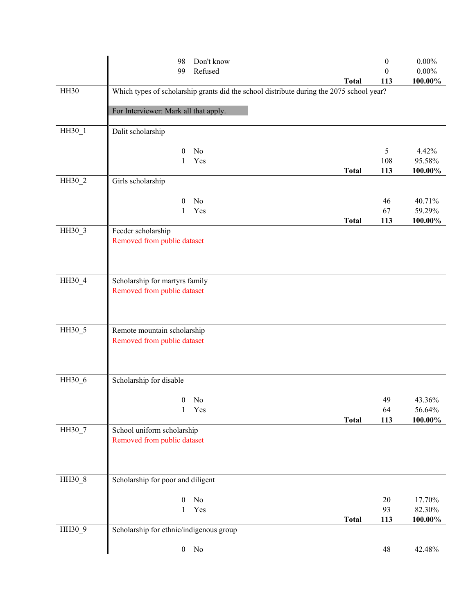|        | Don't know<br>98<br>Refused<br>99                                                        |              | $\boldsymbol{0}$<br>$\theta$ | $0.00\%$<br>$0.00\%$ |
|--------|------------------------------------------------------------------------------------------|--------------|------------------------------|----------------------|
|        |                                                                                          | <b>Total</b> | 113                          | $100.00\%$           |
| HH30   | Which types of scholarship grants did the school distribute during the 2075 school year? |              |                              |                      |
|        | For Interviewer: Mark all that apply.                                                    |              |                              |                      |
| HH30_1 | Dalit scholarship                                                                        |              |                              |                      |
|        | No<br>$\mathbf{0}$                                                                       |              | 5                            | 4.42%                |
|        | Yes<br>1                                                                                 | <b>Total</b> | 108<br>113                   | 95.58%<br>$100.00\%$ |
| HH30_2 | Girls scholarship                                                                        |              |                              |                      |
|        |                                                                                          |              |                              |                      |
|        | No<br>$\theta$<br>Yes<br>1                                                               |              | 46<br>67                     | 40.71%<br>59.29%     |
|        |                                                                                          | <b>Total</b> | 113                          | 100.00%              |
| HH30_3 | Feeder scholarship<br>Removed from public dataset                                        |              |                              |                      |
| HH30_4 | Scholarship for martyrs family                                                           |              |                              |                      |
|        | Removed from public dataset                                                              |              |                              |                      |
| HH30_5 | Remote mountain scholarship<br>Removed from public dataset                               |              |                              |                      |
| HH30_6 | Scholarship for disable                                                                  |              |                              |                      |
|        | $0$ No                                                                                   |              | 49                           | 43.36%               |
|        | Yes<br>$\mathbf{1}$                                                                      |              | 64                           | 56.64%               |
| HH30 7 |                                                                                          | <b>Total</b> | 113                          | 100.00%              |
|        | School uniform scholarship<br>Removed from public dataset                                |              |                              |                      |
| HH30_8 | Scholarship for poor and diligent                                                        |              |                              |                      |
|        | $\boldsymbol{0}$<br>No                                                                   |              | 20                           | 17.70%               |
|        | Yes<br>$\mathbf{1}$                                                                      |              | 93                           | 82.30%               |
|        |                                                                                          | <b>Total</b> | 113                          | 100.00%              |
| HH30_9 | Scholarship for ethnic/indigenous group                                                  |              |                              |                      |
|        | $\mathbf{0}$<br>No                                                                       |              | 48                           | 42.48%               |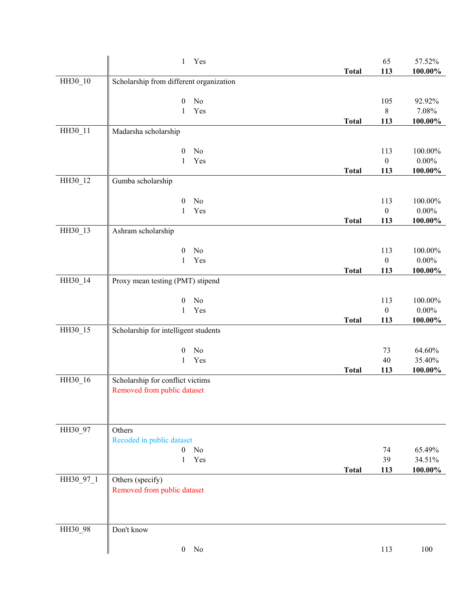|           | $\mathbf{1}$<br>Yes                     |              | 65               | 57.52%     |
|-----------|-----------------------------------------|--------------|------------------|------------|
|           |                                         | <b>Total</b> | 113              | $100.00\%$ |
| HH30_10   | Scholarship from different organization |              |                  |            |
|           | $\boldsymbol{0}$<br>No                  |              | 105              | 92.92%     |
|           | Yes<br>1                                |              | $\,8\,$          | 7.08%      |
|           |                                         | <b>Total</b> | 113              | 100.00%    |
| HH30_11   | Madarsha scholarship                    |              |                  |            |
|           |                                         |              |                  |            |
|           | $\boldsymbol{0}$<br>No                  |              | 113              | 100.00%    |
|           | Yes<br>1                                |              | $\boldsymbol{0}$ | $0.00\%$   |
| HH30_12   | Gumba scholarship                       | <b>Total</b> | 113              | $100.00\%$ |
|           |                                         |              |                  |            |
|           | No<br>$\mathbf{0}$                      |              | 113              | 100.00%    |
|           | Yes<br>1                                |              | $\boldsymbol{0}$ | $0.00\%$   |
|           |                                         | <b>Total</b> | 113              | $100.00\%$ |
| HH30_13   | Ashram scholarship                      |              |                  |            |
|           | No<br>$\boldsymbol{0}$                  |              | 113              | 100.00%    |
|           | Yes<br>1                                |              | $\boldsymbol{0}$ | $0.00\%$   |
|           |                                         | <b>Total</b> | 113              | 100.00%    |
| HH30_14   | Proxy mean testing (PMT) stipend        |              |                  |            |
|           |                                         |              |                  |            |
|           | No<br>$\boldsymbol{0}$                  |              | 113              | 100.00%    |
|           | Yes<br>$\mathbf{1}$                     |              | $\boldsymbol{0}$ | $0.00\%$   |
|           |                                         | <b>Total</b> | 113              | $100.00\%$ |
| HH30_15   | Scholarship for intelligent students    |              |                  |            |
|           | No<br>$\boldsymbol{0}$                  |              | 73               | 64.60%     |
|           | Yes<br>$\mathbf{1}$                     |              | 40               | 35.40%     |
|           |                                         | <b>Total</b> | 113              | $100.00\%$ |
| HH30_16   | Scholarship for conflict victims        |              |                  |            |
|           | Removed from public dataset             |              |                  |            |
|           |                                         |              |                  |            |
|           |                                         |              |                  |            |
| HH30 97   | Others                                  |              |                  |            |
|           | Recoded in public dataset               |              |                  |            |
|           | No<br>$\overline{0}$                    |              | 74               | 65.49%     |
|           | Yes<br>$\mathbf{1}$                     |              | 39               | 34.51%     |
|           |                                         | <b>Total</b> | 113              | 100.00%    |
| HH30_97_1 | Others (specify)                        |              |                  |            |
|           | Removed from public dataset             |              |                  |            |
|           |                                         |              |                  |            |
|           |                                         |              |                  |            |
| HH30_98   | Don't know                              |              |                  |            |
|           |                                         |              |                  |            |
|           | $0$ No                                  |              | 113              | 100        |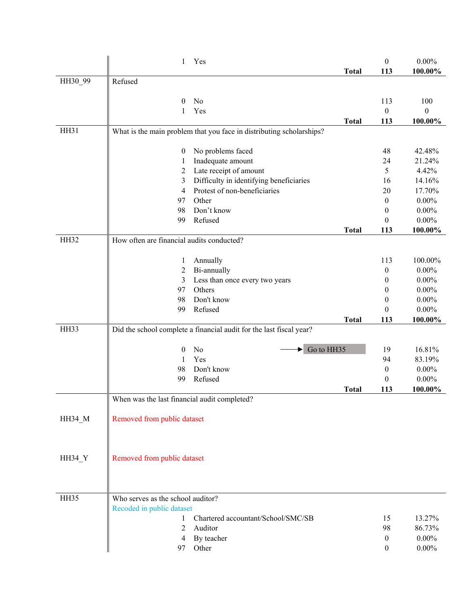|               | 1                                            | Yes                                                                  |              | $\boldsymbol{0}$        | $0.00\%$         |
|---------------|----------------------------------------------|----------------------------------------------------------------------|--------------|-------------------------|------------------|
|               |                                              |                                                                      | <b>Total</b> | 113                     | 100.00%          |
| HH30 99       | Refused                                      |                                                                      |              |                         |                  |
|               |                                              | No                                                                   |              |                         | 100              |
|               | $\theta$<br>1                                | Yes                                                                  |              | 113<br>$\boldsymbol{0}$ | $\boldsymbol{0}$ |
|               |                                              |                                                                      | <b>Total</b> | 113                     | 100.00%          |
| HH31          |                                              | What is the main problem that you face in distributing scholarships? |              |                         |                  |
|               |                                              |                                                                      |              |                         |                  |
|               | $\boldsymbol{0}$                             | No problems faced                                                    |              | 48                      | 42.48%           |
|               | 1                                            | Inadequate amount                                                    |              | 24                      | 21.24%           |
|               | $\overline{c}$                               | Late receipt of amount                                               |              | 5                       | 4.42%            |
|               | 3                                            | Difficulty in identifying beneficiaries                              |              | 16                      | 14.16%           |
|               | 4                                            | Protest of non-beneficiaries                                         |              | 20                      | 17.70%           |
|               | 97                                           | Other                                                                |              | $\boldsymbol{0}$        | $0.00\%$         |
|               | 98                                           | Don't know                                                           |              | $\boldsymbol{0}$        | $0.00\%$         |
|               | 99                                           | Refused                                                              |              | 0                       | $0.00\%$         |
|               |                                              |                                                                      | <b>Total</b> | 113                     | 100.00%          |
| <b>HH32</b>   | How often are financial audits conducted?    |                                                                      |              |                         |                  |
|               |                                              |                                                                      |              |                         | 100.00%          |
|               | 1                                            | Annually                                                             |              | 113                     | $0.00\%$         |
|               | 2<br>3                                       | Bi-annually<br>Less than once every two years                        |              | 0<br>$\boldsymbol{0}$   | $0.00\%$         |
|               | 97                                           | Others                                                               |              | $\theta$                | $0.00\%$         |
|               | 98                                           | Don't know                                                           |              | $\boldsymbol{0}$        | $0.00\%$         |
|               | 99                                           | Refused                                                              |              | $\theta$                | $0.00\%$         |
|               |                                              |                                                                      | <b>Total</b> | 113                     | 100.00%          |
| HH33          |                                              | Did the school complete a financial audit for the last fiscal year?  |              |                         |                  |
|               |                                              |                                                                      |              |                         |                  |
|               | $\boldsymbol{0}$                             | Go to HH35<br>No                                                     |              | 19                      | 16.81%           |
|               | 1                                            | Yes                                                                  |              | 94                      | 83.19%           |
|               | 98                                           | Don't know                                                           |              | $\boldsymbol{0}$        | $0.00\%$         |
|               | 99                                           | Refused                                                              |              | $\boldsymbol{0}$        | $0.00\%$         |
|               |                                              |                                                                      | <b>Total</b> | 113                     | 100.00%          |
|               | When was the last financial audit completed? |                                                                      |              |                         |                  |
|               |                                              |                                                                      |              |                         |                  |
| HH34_M        | Removed from public dataset                  |                                                                      |              |                         |                  |
|               |                                              |                                                                      |              |                         |                  |
|               |                                              |                                                                      |              |                         |                  |
| <b>HH34_Y</b> | Removed from public dataset                  |                                                                      |              |                         |                  |
|               |                                              |                                                                      |              |                         |                  |
|               |                                              |                                                                      |              |                         |                  |
|               |                                              |                                                                      |              |                         |                  |
| HH35          | Who serves as the school auditor?            |                                                                      |              |                         |                  |
|               | Recoded in public dataset                    |                                                                      |              |                         |                  |
|               | 1                                            | Chartered accountant/School/SMC/SB                                   |              | 15                      | 13.27%           |
|               | 2                                            | Auditor                                                              |              | 98                      | 86.73%           |
|               | 4                                            | By teacher                                                           |              | $\boldsymbol{0}$        | $0.00\%$         |
|               | 97                                           | Other                                                                |              | $\mathbf{0}$            | $0.00\%$         |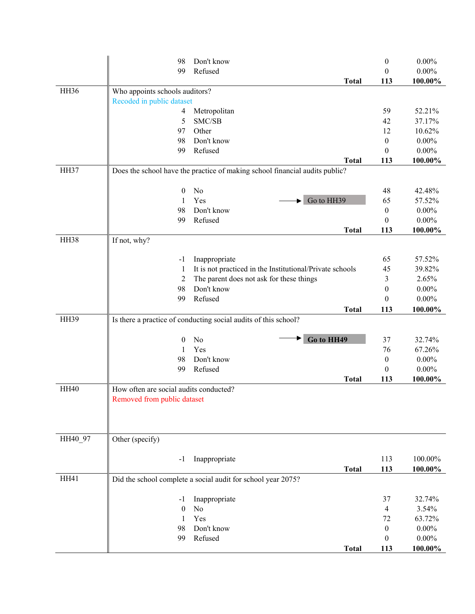|             | 98                                     | Don't know                                                                  | $\boldsymbol{0}$ | $0.00\%$ |
|-------------|----------------------------------------|-----------------------------------------------------------------------------|------------------|----------|
|             | 99                                     | Refused                                                                     | $\boldsymbol{0}$ | $0.00\%$ |
|             |                                        | <b>Total</b>                                                                | 113              | 100.00%  |
| HH36        | Who appoints schools auditors?         |                                                                             |                  |          |
|             | Recoded in public dataset              |                                                                             |                  |          |
|             | 4                                      | Metropolitan                                                                | 59               | 52.21%   |
|             | 5                                      | SMC/SB                                                                      | 42               | 37.17%   |
|             | 97                                     | Other                                                                       | 12               | 10.62%   |
|             | 98                                     | Don't know                                                                  | $\boldsymbol{0}$ | $0.00\%$ |
|             | 99                                     | Refused                                                                     | $\boldsymbol{0}$ | $0.00\%$ |
|             |                                        | <b>Total</b>                                                                | 113              | 100.00%  |
| HH37        |                                        | Does the school have the practice of making school financial audits public? |                  |          |
|             | $\boldsymbol{0}$                       | No                                                                          | 48               | 42.48%   |
|             | 1                                      | Yes<br>Go to HH39                                                           | 65               | 57.52%   |
|             | 98                                     | Don't know                                                                  | $\boldsymbol{0}$ | $0.00\%$ |
|             | 99                                     | Refused                                                                     | $\boldsymbol{0}$ | $0.00\%$ |
|             |                                        | <b>Total</b>                                                                | 113              | 100.00%  |
| HH38        | If not, why?                           |                                                                             |                  |          |
|             |                                        |                                                                             |                  |          |
|             | $-1$                                   | Inappropriate                                                               | 65               | 57.52%   |
|             | 1                                      | It is not practiced in the Institutional/Private schools                    | 45               | 39.82%   |
|             | $\overline{c}$                         | The parent does not ask for these things                                    | 3                | 2.65%    |
|             | 98                                     | Don't know                                                                  | $\boldsymbol{0}$ | $0.00\%$ |
|             | 99                                     | Refused                                                                     | $\theta$         | $0.00\%$ |
|             |                                        | <b>Total</b>                                                                | 113              | 100.00%  |
| <b>HH39</b> |                                        | Is there a practice of conducting social audits of this school?             |                  |          |
|             | $\boldsymbol{0}$                       | Go to HH49<br>No                                                            | 37               | 32.74%   |
|             | 1                                      | Yes                                                                         | 76               | 67.26%   |
|             | 98                                     | Don't know                                                                  | $\boldsymbol{0}$ | $0.00\%$ |
|             | 99                                     | Refused                                                                     | $\boldsymbol{0}$ | $0.00\%$ |
|             |                                        | <b>Total</b>                                                                | 113              | 100.00%  |
| <b>HH40</b> | How often are social audits conducted? |                                                                             |                  |          |
|             | Removed from public dataset            |                                                                             |                  |          |
|             |                                        |                                                                             |                  |          |
|             |                                        |                                                                             |                  |          |
|             |                                        |                                                                             |                  |          |
| HH40_97     | Other (specify)                        |                                                                             |                  |          |
|             | -1                                     | Inappropriate                                                               | 113              | 100.00%  |
|             |                                        | <b>Total</b>                                                                | 113              | 100.00%  |
| <b>HH41</b> |                                        | Did the school complete a social audit for school year 2075?                |                  |          |
|             |                                        |                                                                             |                  |          |
|             | -1                                     | Inappropriate                                                               | 37               | 32.74%   |
|             | $\mathbf{0}$                           | No                                                                          | $\overline{4}$   | 3.54%    |
|             | 1                                      | Yes                                                                         | 72               | 63.72%   |
|             | 98                                     | Don't know                                                                  | $\boldsymbol{0}$ | $0.00\%$ |
|             | 99                                     | Refused                                                                     | $\theta$         | $0.00\%$ |
|             |                                        | <b>Total</b>                                                                | 113              | 100.00%  |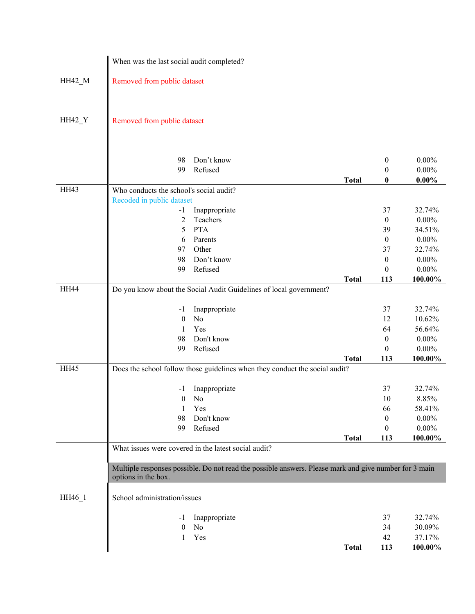|             | When was the last social audit completed?                                                                                                                                                                                        |              |                                                                                       |                                                                                       |
|-------------|----------------------------------------------------------------------------------------------------------------------------------------------------------------------------------------------------------------------------------|--------------|---------------------------------------------------------------------------------------|---------------------------------------------------------------------------------------|
| HH42_M      | Removed from public dataset                                                                                                                                                                                                      |              |                                                                                       |                                                                                       |
| HH42_Y      | Removed from public dataset                                                                                                                                                                                                      |              |                                                                                       |                                                                                       |
|             | 98<br>Don't know<br>Refused<br>99                                                                                                                                                                                                | <b>Total</b> | $\boldsymbol{0}$<br>0<br>0                                                            | $0.00\%$<br>$0.00\%$<br>$0.00\%$                                                      |
| <b>HH43</b> | Who conducts the school's social audit?                                                                                                                                                                                          |              |                                                                                       |                                                                                       |
| <b>HH44</b> | Recoded in public dataset<br>Inappropriate<br>$-1$<br>Teachers<br>2<br>5<br><b>PTA</b><br>6<br>Parents<br>Other<br>97<br>Don't know<br>98<br>Refused<br>99<br>Do you know about the Social Audit Guidelines of local government? | <b>Total</b> | 37<br>$\theta$<br>39<br>$\boldsymbol{0}$<br>37<br>$\boldsymbol{0}$<br>$\theta$<br>113 | 32.74%<br>$0.00\%$<br>34.51%<br>$0.00\%$<br>32.74%<br>$0.00\%$<br>$0.00\%$<br>100.00% |
|             |                                                                                                                                                                                                                                  |              |                                                                                       |                                                                                       |
|             | Inappropriate<br>$-1$<br>No<br>$\boldsymbol{0}$<br>Yes<br>1<br>Don't know<br>98<br>Refused<br>99                                                                                                                                 | <b>Total</b> | 37<br>12<br>64<br>$\boldsymbol{0}$<br>0<br>113                                        | 32.74%<br>10.62%<br>56.64%<br>$0.00\%$<br>$0.00\%$<br>100.00%                         |
| HH45        | Does the school follow those guidelines when they conduct the social audit?                                                                                                                                                      |              |                                                                                       |                                                                                       |
|             | Inappropriate<br>-1<br>No<br>$\boldsymbol{0}$<br>Yes<br>1<br>Don't know<br>98<br>Refused<br>99                                                                                                                                   |              | 37<br>10<br>66<br>$\bf{0}$<br>$\theta$                                                | 32.74%<br>8.85%<br>58.41%<br>$0.00\%$<br>$0.00\%$                                     |
|             |                                                                                                                                                                                                                                  | <b>Total</b> | 113                                                                                   | 100.00%                                                                               |
| HH46_1      | What issues were covered in the latest social audit?<br>Multiple responses possible. Do not read the possible answers. Please mark and give number for 3 main<br>options in the box.<br>School administration/issues             |              |                                                                                       |                                                                                       |
|             | Inappropriate<br>-1<br>No<br>$\boldsymbol{0}$<br>Yes<br>1                                                                                                                                                                        | <b>Total</b> | 37<br>34<br>42<br>113                                                                 | 32.74%<br>30.09%<br>37.17%<br>100.00%                                                 |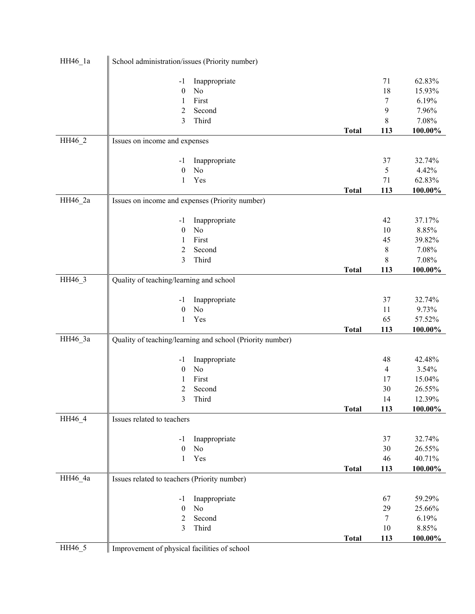| HH46_1a | School administration/issues (Priority number)            |              |                |            |
|---------|-----------------------------------------------------------|--------------|----------------|------------|
|         | Inappropriate<br>$-1$                                     |              | 71             | 62.83%     |
|         | No<br>$\boldsymbol{0}$                                    |              | 18             | 15.93%     |
|         | First<br>1                                                |              | 7              | 6.19%      |
|         | Second<br>2                                               |              | 9              | 7.96%      |
|         | 3<br>Third                                                |              | 8              | 7.08%      |
|         |                                                           | <b>Total</b> | 113            | 100.00%    |
| HH46_2  | Issues on income and expenses                             |              |                |            |
|         | Inappropriate<br>$-1$                                     |              | 37             | 32.74%     |
|         | $\boldsymbol{0}$<br>No                                    |              | 5              | 4.42%      |
|         | Yes<br>1                                                  |              | 71             | 62.83%     |
|         |                                                           | <b>Total</b> | 113            | $100.00\%$ |
| HH46_2a | Issues on income and expenses (Priority number)           |              |                |            |
|         |                                                           |              |                |            |
|         | Inappropriate<br>$-1$                                     |              | 42             | 37.17%     |
|         | $\boldsymbol{0}$<br>No                                    |              | 10             | 8.85%      |
|         | First<br>1                                                |              | 45             | 39.82%     |
|         | $\overline{2}$<br>Second                                  |              | 8              | 7.08%      |
|         | 3<br>Third                                                |              | 8              | 7.08%      |
| HH46_3  |                                                           | <b>Total</b> | 113            | 100.00%    |
|         | Quality of teaching/learning and school                   |              |                |            |
|         | Inappropriate<br>-1                                       |              | 37             | 32.74%     |
|         | No<br>$\boldsymbol{0}$                                    |              | 11             | 9.73%      |
|         | Yes<br>1                                                  |              | 65             | 57.52%     |
|         |                                                           | <b>Total</b> | 113            | 100.00%    |
| HH46_3a | Quality of teaching/learning and school (Priority number) |              |                |            |
|         |                                                           |              |                |            |
|         | Inappropriate<br>$-1$                                     |              | 48             | 42.48%     |
|         | No<br>$\boldsymbol{0}$                                    |              | $\overline{4}$ | 3.54%      |
|         | First<br>1                                                |              | 17             | 15.04%     |
|         | 2<br>Second                                               |              | 30             | 26.55%     |
|         | 3<br>Third                                                |              | 14             | 12.39%     |
|         |                                                           | <b>Total</b> | 113            | 100.00%    |
| HH46_4  | Issues related to teachers                                |              |                |            |
|         | Inappropriate<br>-1                                       |              | 37             | 32.74%     |
|         | $\boldsymbol{0}$<br>No                                    |              | 30             | 26.55%     |
|         | Yes<br>1                                                  |              | 46             | 40.71%     |
|         |                                                           | <b>Total</b> | 113            | 100.00%    |
| HH46_4a | Issues related to teachers (Priority number)              |              |                |            |
|         |                                                           |              |                |            |
|         | Inappropriate<br>$-1$                                     |              | 67             | 59.29%     |
|         | No<br>$\boldsymbol{0}$                                    |              | 29             | 25.66%     |
|         | Second<br>$\overline{c}$                                  |              | 7              | 6.19%      |
|         | 3<br>Third                                                |              | $10\,$         | 8.85%      |
|         |                                                           | <b>Total</b> | 113            | 100.00%    |
| HH46_5  | Improvement of physical facilities of school              |              |                |            |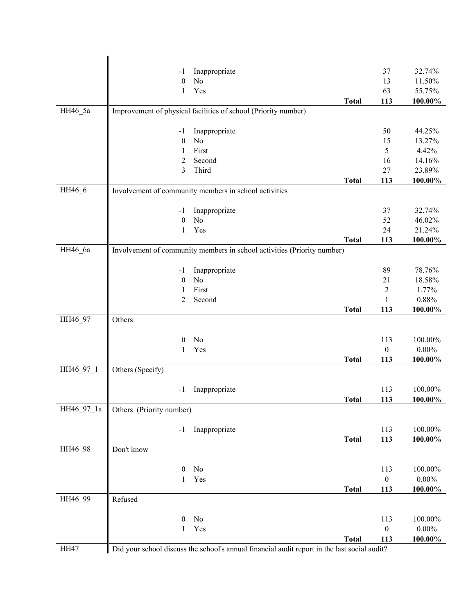|            | $-1$                     | Inappropriate                                                                                |              | 37               | 32.74%     |
|------------|--------------------------|----------------------------------------------------------------------------------------------|--------------|------------------|------------|
|            | $\boldsymbol{0}$         | No                                                                                           |              | 13               | 11.50%     |
|            | 1                        | Yes                                                                                          |              | 63               | 55.75%     |
|            |                          |                                                                                              | <b>Total</b> | 113              | 100.00%    |
| HH46_5a    |                          | Improvement of physical facilities of school (Priority number)                               |              |                  |            |
|            |                          |                                                                                              |              |                  |            |
|            | $-1$                     | Inappropriate                                                                                |              | 50               | 44.25%     |
|            | $\boldsymbol{0}$         | No                                                                                           |              | 15               | 13.27%     |
|            | 1                        | First                                                                                        |              | 5                | 4.42%      |
|            | 2                        | Second                                                                                       |              | 16               | 14.16%     |
|            | 3                        | Third                                                                                        |              | 27               | 23.89%     |
| HH46_6     |                          |                                                                                              | <b>Total</b> | 113              | 100.00%    |
|            |                          | Involvement of community members in school activities                                        |              |                  |            |
|            | $-1$                     | Inappropriate                                                                                |              | 37               | 32.74%     |
|            | $\boldsymbol{0}$         | No                                                                                           |              | 52               | 46.02%     |
|            | 1                        | Yes                                                                                          |              | 24               | 21.24%     |
|            |                          |                                                                                              | <b>Total</b> | 113              | 100.00%    |
| HH46_6a    |                          | Involvement of community members in school activities (Priority number)                      |              |                  |            |
|            |                          |                                                                                              |              |                  |            |
|            | $-1$                     | Inappropriate                                                                                |              | 89               | 78.76%     |
|            | $\boldsymbol{0}$         | No                                                                                           |              | 21               | 18.58%     |
|            | 1                        | First                                                                                        |              | $\sqrt{2}$       | 1.77%      |
|            | 2                        | Second                                                                                       |              | 1                | 0.88%      |
|            |                          |                                                                                              | <b>Total</b> | 113              | 100.00%    |
| HH46_97    | Others                   |                                                                                              |              |                  |            |
|            |                          |                                                                                              |              |                  |            |
|            | $\boldsymbol{0}$         | No                                                                                           |              | 113              | 100.00%    |
|            | 1                        | Yes                                                                                          |              | $\boldsymbol{0}$ | $0.00\%$   |
| HH46_97_1  | Others (Specify)         |                                                                                              | <b>Total</b> | 113              | 100.00%    |
|            |                          |                                                                                              |              |                  |            |
|            | $-1$                     | Inappropriate                                                                                |              | 113              | 100.00%    |
|            |                          |                                                                                              | Total        | 113              | 100.00%    |
| HH46_97_1a | Others (Priority number) |                                                                                              |              |                  |            |
|            |                          |                                                                                              |              |                  |            |
|            | $-1$                     | Inappropriate                                                                                |              | 113              | 100.00%    |
|            |                          |                                                                                              | <b>Total</b> | 113              | 100.00%    |
| HH46_98    | Don't know               |                                                                                              |              |                  |            |
|            |                          |                                                                                              |              |                  |            |
|            | $\boldsymbol{0}$         | No                                                                                           |              | 113              | 100.00%    |
|            | 1                        | Yes                                                                                          |              | $\boldsymbol{0}$ | $0.00\%$   |
|            |                          |                                                                                              | <b>Total</b> | 113              | 100.00%    |
| HH46 99    | Refused                  |                                                                                              |              |                  |            |
|            |                          |                                                                                              |              |                  |            |
|            | $\boldsymbol{0}$         | No                                                                                           |              | 113              | 100.00%    |
|            | $\mathbf{1}$             | Yes                                                                                          |              | $\boldsymbol{0}$ | $0.00\%$   |
| HH47       |                          | Did your school discuss the school's annual financial audit report in the last social audit? | <b>Total</b> | 113              | $100.00\%$ |
|            |                          |                                                                                              |              |                  |            |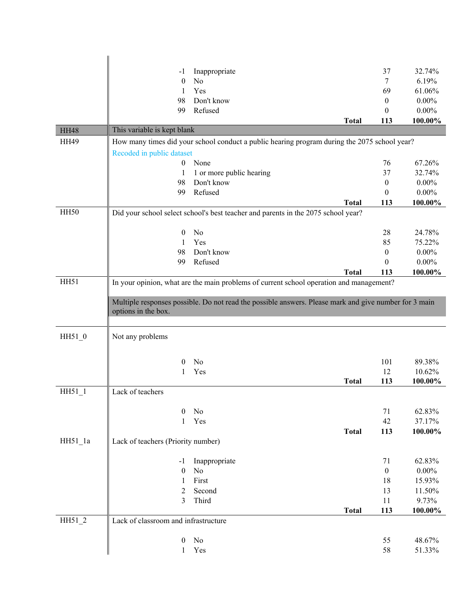|             | Inappropriate<br>-1                  |                                                                                                       | 37               | 32.74%   |
|-------------|--------------------------------------|-------------------------------------------------------------------------------------------------------|------------------|----------|
|             | No<br>$\boldsymbol{0}$               |                                                                                                       | 7                | 6.19%    |
|             | Yes<br>1                             |                                                                                                       | 69               | 61.06%   |
|             | 98<br>Don't know                     |                                                                                                       | $\boldsymbol{0}$ | $0.00\%$ |
|             | Refused<br>99                        |                                                                                                       | $\mathbf{0}$     | $0.00\%$ |
|             |                                      | <b>Total</b>                                                                                          | 113              | 100.00%  |
| <b>HH48</b> | This variable is kept blank          |                                                                                                       |                  |          |
| <b>HH49</b> |                                      | How many times did your school conduct a public hearing program during the 2075 school year?          |                  |          |
|             | Recoded in public dataset            |                                                                                                       |                  |          |
|             | None<br>$\boldsymbol{0}$             |                                                                                                       | 76               | 67.26%   |
|             | 1<br>1 or more public hearing        |                                                                                                       | 37               | 32.74%   |
|             | Don't know<br>98                     |                                                                                                       | $\boldsymbol{0}$ | $0.00\%$ |
|             | Refused<br>99                        |                                                                                                       | $\theta$         | $0.00\%$ |
| <b>HH50</b> |                                      | <b>Total</b>                                                                                          | 113              | 100.00%  |
|             |                                      | Did your school select school's best teacher and parents in the 2075 school year?                     |                  |          |
|             | No<br>$\theta$                       |                                                                                                       | 28               | 24.78%   |
|             | Yes<br>1                             |                                                                                                       | 85               | 75.22%   |
|             | Don't know<br>98                     |                                                                                                       | $\boldsymbol{0}$ | $0.00\%$ |
|             | Refused<br>99                        |                                                                                                       | $\theta$         | $0.00\%$ |
|             |                                      | <b>Total</b>                                                                                          | 113              | 100.00%  |
| HH51        |                                      | In your opinion, what are the main problems of current school operation and management?               |                  |          |
|             |                                      |                                                                                                       |                  |          |
|             |                                      | Multiple responses possible. Do not read the possible answers. Please mark and give number for 3 main |                  |          |
|             | options in the box.                  |                                                                                                       |                  |          |
|             |                                      |                                                                                                       |                  |          |
| HH51_0      | Not any problems                     |                                                                                                       |                  |          |
|             |                                      |                                                                                                       |                  |          |
|             | No<br>0                              |                                                                                                       | 101              | 89.38%   |
|             | Yes                                  |                                                                                                       | 12               | 10.62%   |
|             |                                      | <b>Total</b>                                                                                          | 113              | 100.00%  |
| $HH51_1$    | Lack of teachers                     |                                                                                                       |                  |          |
|             |                                      |                                                                                                       |                  |          |
|             | 0<br>No                              |                                                                                                       | 71               | 62.83%   |
|             | Yes<br>$\mathbf{1}$                  |                                                                                                       | 42               | 37.17%   |
|             |                                      | <b>Total</b>                                                                                          | 113              | 100.00%  |
| HH51 1a     | Lack of teachers (Priority number)   |                                                                                                       |                  |          |
|             |                                      |                                                                                                       |                  |          |
|             | Inappropriate<br>-1                  |                                                                                                       | 71               | 62.83%   |
|             | $\theta$<br>No                       |                                                                                                       | $\boldsymbol{0}$ | $0.00\%$ |
|             | First<br>1                           |                                                                                                       | 18               | 15.93%   |
|             | Second<br>2                          |                                                                                                       | 13               | 11.50%   |
|             | 3<br>Third                           |                                                                                                       | 11               | 9.73%    |
| HH51_2      | Lack of classroom and infrastructure | <b>Total</b>                                                                                          | 113              | 100.00%  |
|             |                                      |                                                                                                       |                  |          |
|             | No<br>$\boldsymbol{0}$               |                                                                                                       | 55               | 48.67%   |
|             | Yes<br>$\mathbf{1}$                  |                                                                                                       | 58               | 51.33%   |
|             |                                      |                                                                                                       |                  |          |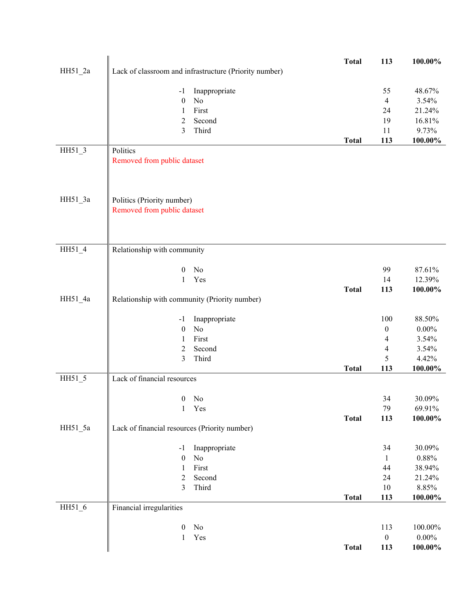|           |                                                        | <b>Total</b> | 113              | 100.00%          |
|-----------|--------------------------------------------------------|--------------|------------------|------------------|
| $HH51_2a$ | Lack of classroom and infrastructure (Priority number) |              |                  |                  |
|           |                                                        |              |                  |                  |
|           | Inappropriate<br>$-1$                                  |              | 55               | 48.67%           |
|           | No<br>$\boldsymbol{0}$                                 |              | $\overline{4}$   | 3.54%            |
|           | First<br>1                                             |              | 24               | 21.24%           |
|           | $\overline{2}$<br>Second                               |              | 19               | 16.81%           |
|           | $\mathfrak{Z}$<br>Third                                |              | 11               | 9.73%            |
|           |                                                        | <b>Total</b> | 113              | $100.00\%$       |
| HH51_3    | Politics                                               |              |                  |                  |
|           | Removed from public dataset                            |              |                  |                  |
|           |                                                        |              |                  |                  |
|           |                                                        |              |                  |                  |
|           |                                                        |              |                  |                  |
| $HH51_3a$ | Politics (Priority number)                             |              |                  |                  |
|           | Removed from public dataset                            |              |                  |                  |
|           |                                                        |              |                  |                  |
|           |                                                        |              |                  |                  |
|           |                                                        |              |                  |                  |
| HH51_4    | Relationship with community                            |              |                  |                  |
|           |                                                        |              |                  |                  |
|           | No<br>$\boldsymbol{0}$                                 |              | 99               | 87.61%           |
|           | Yes<br>$\mathbf{1}$                                    |              | 14               | 12.39%           |
|           |                                                        | <b>Total</b> | 113              | 100.00%          |
| HH51_4a   | Relationship with community (Priority number)          |              |                  |                  |
|           |                                                        |              |                  |                  |
|           | Inappropriate<br>$-1$                                  |              | 100              | 88.50%           |
|           | No<br>$\boldsymbol{0}$                                 |              | $\boldsymbol{0}$ | $0.00\%$         |
|           | First<br>1                                             |              | $\overline{4}$   | 3.54%            |
|           | $\overline{c}$<br>Second<br>$\mathfrak{Z}$             |              | 4<br>5           | 3.54%            |
|           | Third                                                  |              | 113              | 4.42%<br>100.00% |
| HH51_5    | Lack of financial resources                            | <b>Total</b> |                  |                  |
|           |                                                        |              |                  |                  |
|           | N <sub>o</sub><br>$\boldsymbol{0}$                     |              | 34               | 30.09%           |
|           | $\mathbf{1}$<br>Yes                                    |              | 79               | 69.91%           |
|           |                                                        | <b>Total</b> | 113              | 100.00%          |
| HH51_5a   | Lack of financial resources (Priority number)          |              |                  |                  |
|           |                                                        |              |                  |                  |
|           | Inappropriate<br>$-1$                                  |              | 34               | 30.09%           |
|           | No<br>$\boldsymbol{0}$                                 |              | $\mathbf{1}$     | $0.88\%$         |
|           | First<br>1                                             |              | 44               | 38.94%           |
|           | $\overline{c}$<br>Second                               |              | 24               | 21.24%           |
|           | 3<br>Third                                             |              | 10               | 8.85%            |
|           |                                                        | <b>Total</b> | 113              | 100.00%          |
| HH51_6    | Financial irregularities                               |              |                  |                  |
|           |                                                        |              |                  |                  |
|           | No<br>$\boldsymbol{0}$                                 |              | 113              | 100.00%          |
|           | Yes<br>$\mathbf{1}$                                    |              | $\boldsymbol{0}$ | $0.00\%$         |
|           |                                                        | <b>Total</b> | 113              | $100.00\%$       |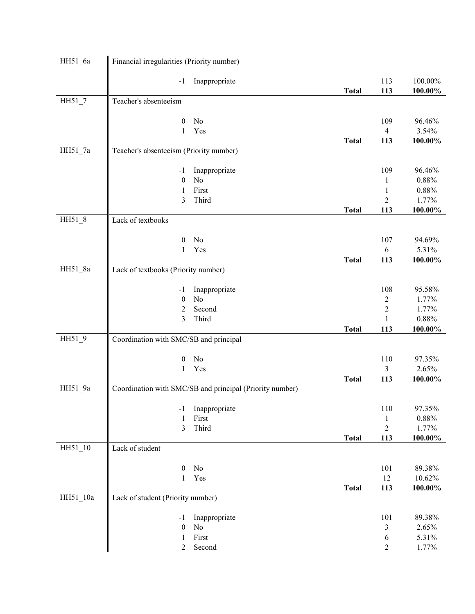| HH51_6a  | Financial irregularities (Priority number) |                                                          |              |                  |            |
|----------|--------------------------------------------|----------------------------------------------------------|--------------|------------------|------------|
|          | $-1$                                       | Inappropriate                                            |              | 113              | 100.00%    |
|          |                                            |                                                          | <b>Total</b> | 113              | 100.00%    |
| $HH51_7$ | Teacher's absenteeism                      |                                                          |              |                  |            |
|          |                                            |                                                          |              |                  |            |
|          | $\boldsymbol{0}$                           | No                                                       |              | 109              | 96.46%     |
|          | $\mathbf{1}$                               | Yes                                                      |              | $\overline{4}$   | 3.54%      |
|          |                                            |                                                          | <b>Total</b> | 113              | 100.00%    |
| HH51_7a  | Teacher's absenteeism (Priority number)    |                                                          |              |                  |            |
|          | $-1$                                       | Inappropriate                                            |              | 109              | 96.46%     |
|          | $\boldsymbol{0}$                           | No                                                       |              | 1                | 0.88%      |
|          | 1                                          | First                                                    |              | $\mathbf{1}$     | $0.88\%$   |
|          | 3                                          | Third                                                    |              | $\overline{c}$   | 1.77%      |
|          |                                            |                                                          | <b>Total</b> | 113              | 100.00%    |
| HH51 8   | Lack of textbooks                          |                                                          |              |                  |            |
|          |                                            |                                                          |              |                  |            |
|          | $\boldsymbol{0}$                           | No                                                       |              | 107              | 94.69%     |
|          | 1                                          | Yes                                                      |              | 6                | 5.31%      |
|          |                                            |                                                          | <b>Total</b> | 113              | 100.00%    |
| HH51_8a  | Lack of textbooks (Priority number)        |                                                          |              |                  |            |
|          | $-1$                                       | Inappropriate                                            |              | 108              | 95.58%     |
|          | $\boldsymbol{0}$                           | N <sub>o</sub>                                           |              | $\boldsymbol{2}$ | 1.77%      |
|          | 2                                          | Second                                                   |              | $\overline{c}$   | 1.77%      |
|          | 3                                          | Third                                                    |              | $\mathbf{1}$     | 0.88%      |
|          |                                            |                                                          | <b>Total</b> | 113              | 100.00%    |
| HH51_9   | Coordination with SMC/SB and principal     |                                                          |              |                  |            |
|          |                                            |                                                          |              |                  |            |
|          | $\boldsymbol{0}$                           | No                                                       |              | 110              | 97.35%     |
|          | 1                                          | Yes                                                      |              | 3                | 2.65%      |
|          |                                            |                                                          | <b>Total</b> | 113              | 100.00%    |
| HH51_9a  |                                            | Coordination with SMC/SB and principal (Priority number) |              |                  |            |
|          | $-1$                                       | Inappropriate                                            |              | 110              | 97.35%     |
|          | 1                                          | First                                                    |              | $\mathbf 1$      | $0.88\%$   |
|          | 3                                          | Third                                                    |              | $\overline{2}$   | 1.77%      |
|          |                                            |                                                          | <b>Total</b> | 113              | $100.00\%$ |
| HH51_10  | Lack of student                            |                                                          |              |                  |            |
|          |                                            |                                                          |              |                  |            |
|          | $\boldsymbol{0}$                           | No                                                       |              | 101              | 89.38%     |
|          | $\mathbf{1}$                               | Yes                                                      |              | 12               | 10.62%     |
|          |                                            |                                                          | <b>Total</b> | 113              | 100.00%    |
| HH51_10a | Lack of student (Priority number)          |                                                          |              |                  |            |
|          | $-1$                                       | Inappropriate                                            |              | 101              | 89.38%     |
|          | $\boldsymbol{0}$                           | No                                                       |              | 3                | 2.65%      |
|          | $\mathbf{1}$                               | First                                                    |              | 6                | 5.31%      |
|          | $\overline{2}$                             | Second                                                   |              | $\overline{c}$   | 1.77%      |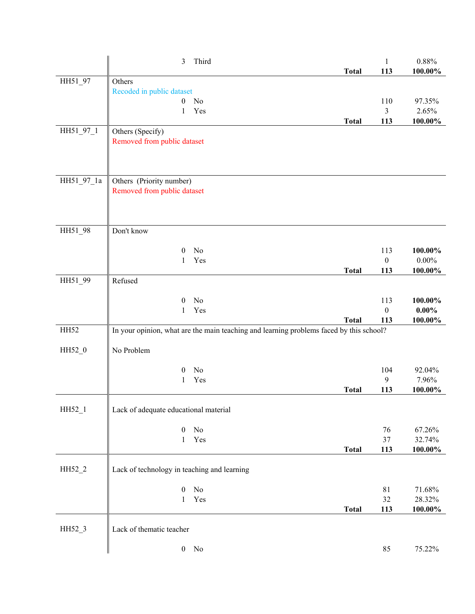|            | 3<br>Third                                                                              | <b>Total</b> | $\mathbf{1}$<br>113     | 0.88%<br>100.00%    |
|------------|-----------------------------------------------------------------------------------------|--------------|-------------------------|---------------------|
| HH51 97    | Others                                                                                  |              |                         |                     |
|            | Recoded in public dataset                                                               |              |                         |                     |
|            | $\boldsymbol{0}$<br>No                                                                  |              | 110                     | 97.35%              |
|            | Yes<br>1                                                                                |              | 3                       | 2.65%               |
|            |                                                                                         | <b>Total</b> | 113                     | 100.00%             |
| HH51_97_1  | Others (Specify)                                                                        |              |                         |                     |
|            | Removed from public dataset                                                             |              |                         |                     |
|            |                                                                                         |              |                         |                     |
|            |                                                                                         |              |                         |                     |
|            |                                                                                         |              |                         |                     |
| HH51_97_1a | Others (Priority number)                                                                |              |                         |                     |
|            | Removed from public dataset                                                             |              |                         |                     |
|            |                                                                                         |              |                         |                     |
|            |                                                                                         |              |                         |                     |
| HH51_98    | Don't know                                                                              |              |                         |                     |
|            |                                                                                         |              |                         |                     |
|            | No<br>$\boldsymbol{0}$                                                                  |              | 113                     | 100.00%             |
|            | Yes<br>1                                                                                |              | $\boldsymbol{0}$        | $0.00\%$            |
|            |                                                                                         | <b>Total</b> | 113                     | 100.00%             |
| HH51_99    | Refused                                                                                 |              |                         |                     |
|            |                                                                                         |              |                         |                     |
|            | No<br>$\theta$                                                                          |              | 113                     | 100.00%             |
|            | Yes<br>1                                                                                | <b>Total</b> | $\boldsymbol{0}$<br>113 | $0.00\%$<br>100.00% |
| HH52       | In your opinion, what are the main teaching and learning problems faced by this school? |              |                         |                     |
|            |                                                                                         |              |                         |                     |
| HH52_0     | No Problem                                                                              |              |                         |                     |
|            |                                                                                         |              |                         |                     |
|            | No<br>$\boldsymbol{0}$                                                                  |              | 104                     | 92.04%              |
|            | Yes<br>1                                                                                |              | 9                       | 7.96%               |
|            |                                                                                         | <b>Total</b> | 113                     | 100.00%             |
|            |                                                                                         |              |                         |                     |
| HH52_1     | Lack of adequate educational material                                                   |              |                         |                     |
|            | $\boldsymbol{0}$<br>No                                                                  |              | 76                      | 67.26%              |
|            | Yes<br>$\mathbf{1}$                                                                     |              | 37                      | 32.74%              |
|            |                                                                                         | <b>Total</b> | 113                     | $100.00\%$          |
|            |                                                                                         |              |                         |                     |
| HH52_2     | Lack of technology in teaching and learning                                             |              |                         |                     |
|            |                                                                                         |              |                         |                     |
|            | $\rm No$<br>$\boldsymbol{0}$                                                            |              | 81                      | 71.68%              |
|            | Yes<br>$\mathbf{1}$                                                                     |              | 32                      | 28.32%              |
|            |                                                                                         | <b>Total</b> | 113                     | 100.00%             |
|            |                                                                                         |              |                         |                     |
| HH52_3     | Lack of thematic teacher                                                                |              |                         |                     |
|            | $\boldsymbol{0}$<br>$\rm No$                                                            |              | 85                      | 75.22%              |
|            |                                                                                         |              |                         |                     |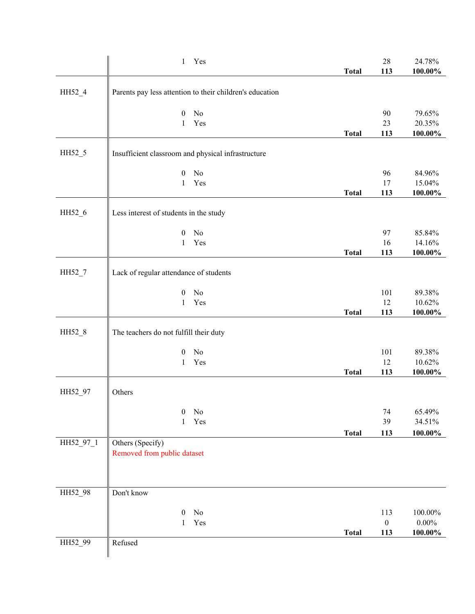|           | Yes<br>$\mathbf{1}$                                      |              | $28\,$                  | 24.78%                 |
|-----------|----------------------------------------------------------|--------------|-------------------------|------------------------|
|           |                                                          | <b>Total</b> | 113                     | 100.00%                |
| HH52_4    | Parents pay less attention to their children's education |              |                         |                        |
|           | No<br>$\boldsymbol{0}$                                   |              | 90                      | 79.65%                 |
|           | Yes<br>1                                                 |              | 23                      | 20.35%                 |
|           |                                                          | <b>Total</b> | 113                     | 100.00%                |
| HH52_5    |                                                          |              |                         |                        |
|           | Insufficient classroom and physical infrastructure       |              |                         |                        |
|           | No<br>$\mathbf{0}$                                       |              | 96                      | 84.96%                 |
|           | Yes<br>$\mathbf{1}$                                      |              | 17                      | 15.04%                 |
|           |                                                          | <b>Total</b> | 113                     | 100.00%                |
| HH52_6    | Less interest of students in the study                   |              |                         |                        |
|           | No<br>$\boldsymbol{0}$                                   |              | 97                      | 85.84%                 |
|           | $\mathbf{1}$<br>Yes                                      |              | 16                      | 14.16%                 |
|           |                                                          | <b>Total</b> | 113                     | 100.00%                |
| HH52_7    | Lack of regular attendance of students                   |              |                         |                        |
|           |                                                          |              |                         |                        |
|           | No<br>$\boldsymbol{0}$                                   |              | 101                     | 89.38%                 |
|           | Yes<br>1                                                 |              | 12                      | 10.62%                 |
|           |                                                          | <b>Total</b> | 113                     | $100.00\%$             |
| HH52_8    | The teachers do not fulfill their duty                   |              |                         |                        |
|           | No<br>$\boldsymbol{0}$                                   |              | 101                     | 89.38%                 |
|           | Yes<br>1                                                 |              | 12                      | 10.62%                 |
|           |                                                          | <b>Total</b> | 113                     | 100.00%                |
|           |                                                          |              |                         |                        |
| HH52_97   | Others                                                   |              |                         |                        |
|           | No<br>0                                                  |              | 74                      | 65.49%                 |
|           | Yes<br>1                                                 |              | 39                      | 34.51%                 |
|           |                                                          | <b>Total</b> | 113                     | $100.00\%$             |
| HH52_97_1 | Others (Specify)<br>Removed from public dataset          |              |                         |                        |
|           |                                                          |              |                         |                        |
|           |                                                          |              |                         |                        |
| HH52_98   | Don't know                                               |              |                         |                        |
|           |                                                          |              |                         |                        |
|           | $\boldsymbol{0}$<br>No                                   |              | 113                     | 100.00%                |
|           | Yes<br>$\mathbf{1}$                                      | <b>Total</b> | $\boldsymbol{0}$<br>113 | $0.00\%$<br>$100.00\%$ |
| HH52_99   | Refused                                                  |              |                         |                        |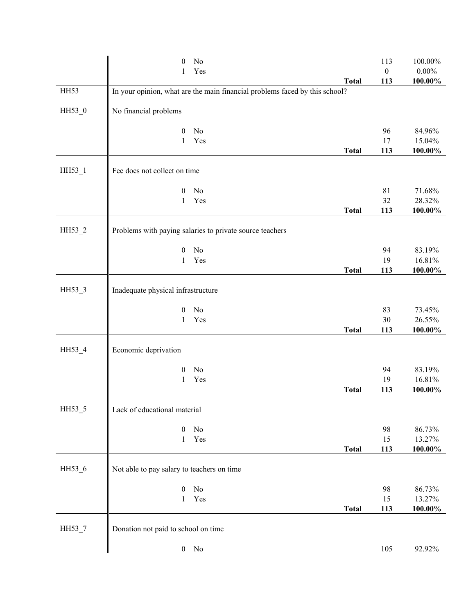|        | 0                                          | No                                                                          |              | 113              | 100.00%    |
|--------|--------------------------------------------|-----------------------------------------------------------------------------|--------------|------------------|------------|
|        | 1                                          | Yes                                                                         |              | $\boldsymbol{0}$ | $0.00\%$   |
|        |                                            |                                                                             | <b>Total</b> | 113              | $100.00\%$ |
| HH53   |                                            | In your opinion, what are the main financial problems faced by this school? |              |                  |            |
| HH53_0 | No financial problems                      |                                                                             |              |                  |            |
|        | $\boldsymbol{0}$                           | No                                                                          |              | 96               | 84.96%     |
|        | 1                                          | Yes                                                                         |              | 17               | 15.04%     |
|        |                                            |                                                                             | <b>Total</b> | 113              | $100.00\%$ |
| HH53_1 | Fee does not collect on time               |                                                                             |              |                  |            |
|        | $\boldsymbol{0}$                           | No                                                                          |              | 81               | 71.68%     |
|        | 1                                          | Yes                                                                         |              | 32               | 28.32%     |
|        |                                            |                                                                             | <b>Total</b> | 113              | 100.00%    |
| HH53_2 |                                            | Problems with paying salaries to private source teachers                    |              |                  |            |
|        | $\boldsymbol{0}$                           | No                                                                          |              | 94               | 83.19%     |
|        | 1                                          | Yes                                                                         |              | 19               | 16.81%     |
|        |                                            |                                                                             | <b>Total</b> | 113              | 100.00%    |
| HH53_3 | Inadequate physical infrastructure         |                                                                             |              |                  |            |
|        | $\boldsymbol{0}$                           | No                                                                          |              | 83               | 73.45%     |
|        | 1                                          | Yes                                                                         |              | 30               | 26.55%     |
|        |                                            |                                                                             | <b>Total</b> | 113              | 100.00%    |
| HH53_4 | Economic deprivation                       |                                                                             |              |                  |            |
|        | $\boldsymbol{0}$                           | No                                                                          |              | 94               | 83.19%     |
|        | 1                                          | Yes                                                                         |              | 19               | 16.81%     |
|        |                                            |                                                                             | <b>Total</b> | 113              | 100.00%    |
| HH53_5 | Lack of educational material               |                                                                             |              |                  |            |
|        | $\boldsymbol{0}$                           | No                                                                          |              | 98               | 86.73%     |
|        | $\mathbf{1}$                               | Yes                                                                         |              | 15               | 13.27%     |
|        |                                            |                                                                             | <b>Total</b> | 113              | 100.00%    |
| HH53_6 | Not able to pay salary to teachers on time |                                                                             |              |                  |            |
|        | $\boldsymbol{0}$                           | No                                                                          |              | 98               | 86.73%     |
|        | 1                                          | Yes                                                                         |              | 15               | 13.27%     |
|        |                                            |                                                                             | <b>Total</b> | 113              | $100.00\%$ |
| HH53_7 | Donation not paid to school on time        |                                                                             |              |                  |            |
|        |                                            | $0$ No                                                                      |              | 105              | 92.92%     |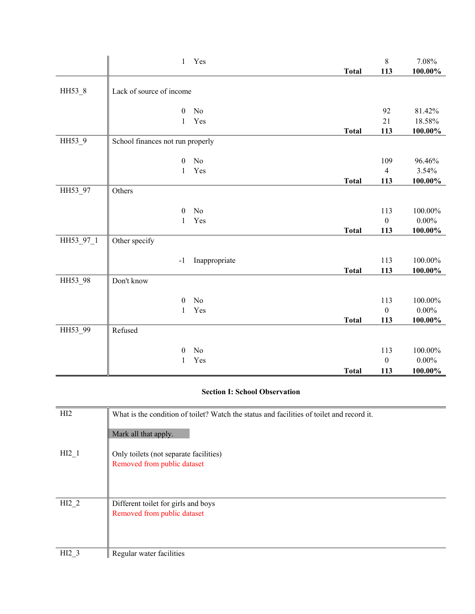|           | $\mathbf{1}$                     | Yes           | <b>Total</b> | $\,8\,$<br>113   | 7.08%<br>100.00% |
|-----------|----------------------------------|---------------|--------------|------------------|------------------|
| HH53_8    | Lack of source of income         |               |              |                  |                  |
|           |                                  |               |              |                  |                  |
|           | $\boldsymbol{0}$                 | No            |              | 92               | 81.42%           |
|           | $\mathbf{1}$                     | Yes           |              | 21               | 18.58%           |
|           |                                  |               | <b>Total</b> | 113              | $100.00\%$       |
| HH53_9    | School finances not run properly |               |              |                  |                  |
|           | $\boldsymbol{0}$                 | No            |              | 109              | 96.46%           |
|           | 1                                | Yes           |              | $\overline{4}$   | 3.54%            |
|           |                                  |               | <b>Total</b> | 113              | $100.00\%$       |
| HH53_97   | Others                           |               |              |                  |                  |
|           | $\boldsymbol{0}$                 | No            |              | 113              | 100.00%          |
|           | $\mathbf{1}$                     | Yes           |              | $\boldsymbol{0}$ | $0.00\%$         |
|           |                                  |               | <b>Total</b> | 113              | 100.00%          |
| HH53_97_1 | Other specify                    |               |              |                  |                  |
|           | $-1$                             | Inappropriate |              | 113              | 100.00%          |
|           |                                  |               | <b>Total</b> | 113              | 100.00%          |
| HH53_98   | Don't know                       |               |              |                  |                  |
|           | $\boldsymbol{0}$                 | No            |              | 113              | 100.00%          |
|           | 1                                | Yes           |              | $\overline{0}$   | $0.00\%$         |
|           |                                  |               | <b>Total</b> | 113              | $100.00\%$       |
| HH53_99   | Refused                          |               |              |                  |                  |
|           | $\boldsymbol{0}$                 | $\rm No$      |              | 113              | 100.00%          |
|           | 1                                | Yes           |              | $\boldsymbol{0}$ | $0.00\%$         |
|           |                                  |               | <b>Total</b> | 113              | 100.00%          |

## **Section I: School Observation**

| HI2              | What is the condition of toilet? Watch the status and facilities of toilet and record it. |
|------------------|-------------------------------------------------------------------------------------------|
|                  | Mark all that apply.                                                                      |
| HI2 <sub>1</sub> | Only toilets (not separate facilities)                                                    |
|                  | Removed from public dataset                                                               |
|                  |                                                                                           |
| HI2 2            | Different toilet for girls and boys                                                       |
|                  | Removed from public dataset                                                               |
|                  |                                                                                           |
|                  |                                                                                           |
| HI2 <sub>3</sub> | Regular water facilities                                                                  |